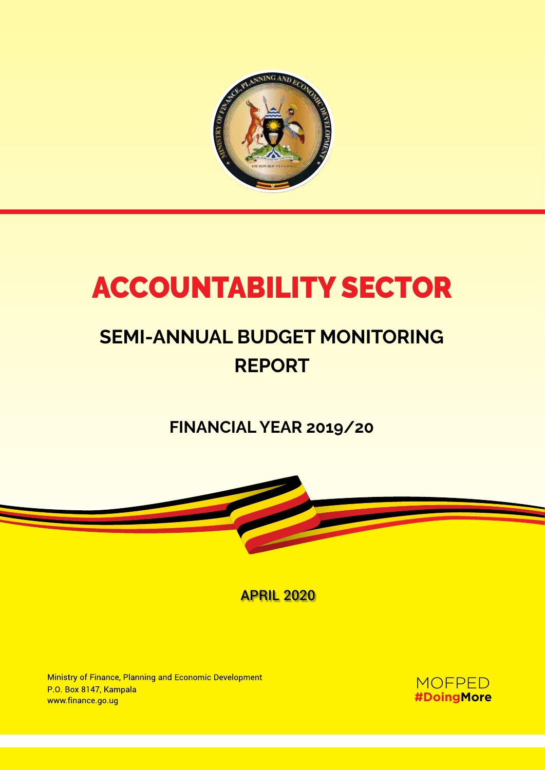

# Accountability Sector

## **SEMI-ANNUAL BUDGET MONITORING REPORT**

**FINANCIAL YEAR 2019/20**



APRIL 2020

Ministry of Finance, Planning and Economic Development P.O. Box 8147, Kampala www.finance.go.ug

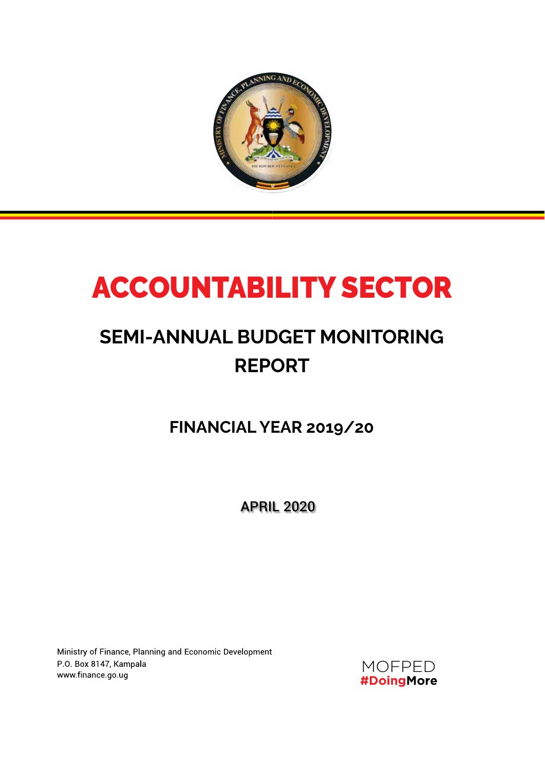

# Accountability Sector

## **SEMI-ANNUAL BUDGET MONITORING REPORT**

**FINANCIAL YEAR 2019/20**

APRIL 2020

Ministry of Finance, Planning and Economic Development P.O. Box 8147, Kampala www.finance.go.ug

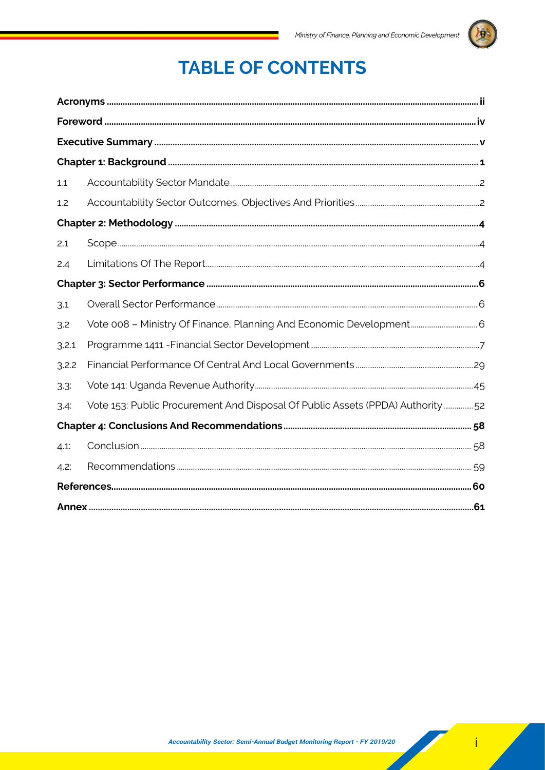

| 1.1   |                                                                               |  |
|-------|-------------------------------------------------------------------------------|--|
| 1.2   |                                                                               |  |
|       |                                                                               |  |
| 2.1   |                                                                               |  |
| 2.4   |                                                                               |  |
|       |                                                                               |  |
| 3.1   |                                                                               |  |
| 3.2   | Vote 008 - Ministry Of Finance, Planning And Economic Development 6           |  |
| 3.2.1 |                                                                               |  |
| 3.2.2 |                                                                               |  |
| 3.3:  |                                                                               |  |
| 3.4   | Vote 153: Public Procurement And Disposal Of Public Assets (PPDA) Authority52 |  |
|       |                                                                               |  |
| 4.1   |                                                                               |  |
| 4.2:  |                                                                               |  |
|       |                                                                               |  |
|       |                                                                               |  |

 $\mathbf{i}$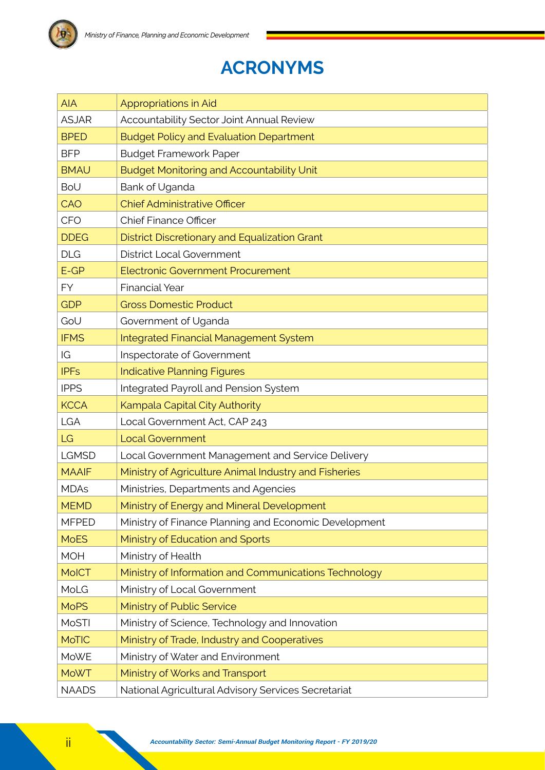## **Acronyms**

| <b>AIA</b>   | <b>Appropriations in Aid</b>                          |
|--------------|-------------------------------------------------------|
| <b>ASJAR</b> | Accountability Sector Joint Annual Review             |
| <b>BPED</b>  | <b>Budget Policy and Evaluation Department</b>        |
| <b>BFP</b>   | <b>Budget Framework Paper</b>                         |
| <b>BMAU</b>  | <b>Budget Monitoring and Accountability Unit</b>      |
| <b>BoU</b>   | Bank of Uganda                                        |
| CAO          | <b>Chief Administrative Officer</b>                   |
| <b>CFO</b>   | <b>Chief Finance Officer</b>                          |
| <b>DDEG</b>  | District Discretionary and Equalization Grant         |
| <b>DLG</b>   | <b>District Local Government</b>                      |
| $E$ -GP      | <b>Electronic Government Procurement</b>              |
| FY           | <b>Financial Year</b>                                 |
| <b>GDP</b>   | <b>Gross Domestic Product</b>                         |
| GoU          | Government of Uganda                                  |
| <b>IFMS</b>  | <b>Integrated Financial Management System</b>         |
| IG           | Inspectorate of Government                            |
| <b>IPFs</b>  | <b>Indicative Planning Figures</b>                    |
| <b>IPPS</b>  | Integrated Payroll and Pension System                 |
| <b>KCCA</b>  | Kampala Capital City Authority                        |
| <b>LGA</b>   | Local Government Act, CAP 243                         |
| LG           | <b>Local Government</b>                               |
| <b>LGMSD</b> | Local Government Management and Service Delivery      |
| <b>MAAIF</b> | Ministry of Agriculture Animal Industry and Fisheries |
| <b>MDAs</b>  | Ministries, Departments and Agencies                  |
| <b>MEMD</b>  | Ministry of Energy and Mineral Development            |
| <b>MFPED</b> | Ministry of Finance Planning and Economic Development |
| <b>MoES</b>  | Ministry of Education and Sports                      |
| <b>MOH</b>   | Ministry of Health                                    |
| <b>MoICT</b> | Ministry of Information and Communications Technology |
| MoLG         | Ministry of Local Government                          |
| <b>MoPS</b>  | Ministry of Public Service                            |
| MoSTI        | Ministry of Science, Technology and Innovation        |
| <b>MoTIC</b> | Ministry of Trade, Industry and Cooperatives          |
| <b>MoWE</b>  | Ministry of Water and Environment                     |
| <b>MoWT</b>  | Ministry of Works and Transport                       |
| <b>NAADS</b> | National Agricultural Advisory Services Secretariat   |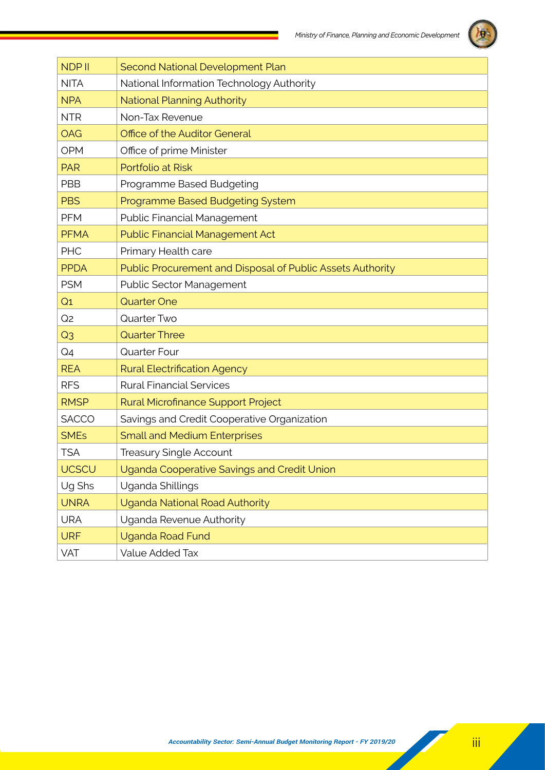

| <b>NDPII</b>   | Second National Development Plan                           |
|----------------|------------------------------------------------------------|
| <b>NITA</b>    | National Information Technology Authority                  |
| <b>NPA</b>     | National Planning Authority                                |
| <b>NTR</b>     | Non-Tax Revenue                                            |
| <b>OAG</b>     | <b>Office of the Auditor General</b>                       |
| <b>OPM</b>     | Office of prime Minister                                   |
| <b>PAR</b>     | Portfolio at Risk                                          |
| PBB            | Programme Based Budgeting                                  |
| <b>PBS</b>     | Programme Based Budgeting System                           |
| <b>PFM</b>     | <b>Public Financial Management</b>                         |
| <b>PFMA</b>    | <b>Public Financial Management Act</b>                     |
| PHC            | Primary Health care                                        |
| <b>PPDA</b>    | Public Procurement and Disposal of Public Assets Authority |
| <b>PSM</b>     | <b>Public Sector Management</b>                            |
| Q <sub>1</sub> | <b>Quarter One</b>                                         |
| Q <sub>2</sub> | Quarter Two                                                |
| $Q_3$          | <b>Quarter Three</b>                                       |
| Q <sub>4</sub> | Quarter Four                                               |
| <b>REA</b>     | <b>Rural Electrification Agency</b>                        |
| <b>RFS</b>     | <b>Rural Financial Services</b>                            |
| <b>RMSP</b>    | Rural Microfinance Support Project                         |
| <b>SACCO</b>   | Savings and Credit Cooperative Organization                |
| <b>SMEs</b>    | <b>Small and Medium Enterprises</b>                        |
| <b>TSA</b>     | <b>Treasury Single Account</b>                             |
| <b>UCSCU</b>   | Uganda Cooperative Savings and Credit Union                |
| Ug Shs         | Uganda Shillings                                           |
| <b>UNRA</b>    | <b>Uganda National Road Authority</b>                      |
| <b>URA</b>     | Uganda Revenue Authority                                   |
| <b>URF</b>     | <b>Uganda Road Fund</b>                                    |
| VAT            | Value Added Tax                                            |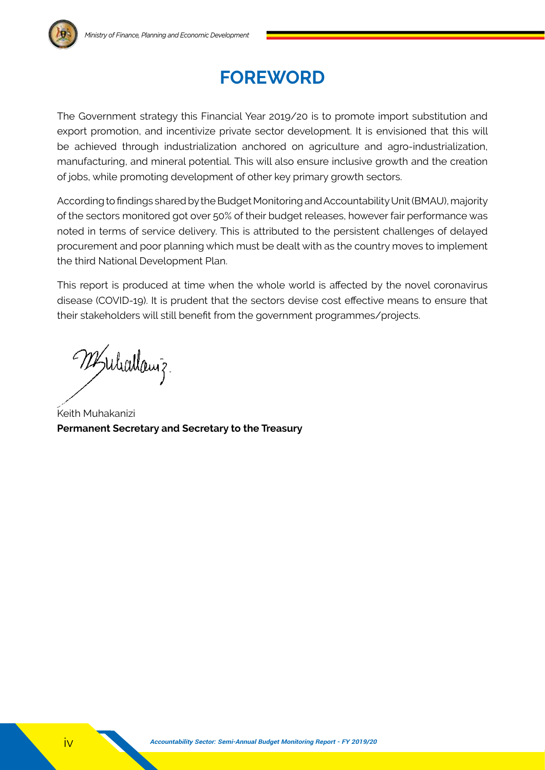

The Government strategy this Financial Year 2019/20 is to promote import substitution and export promotion, and incentivize private sector development. It is envisioned that this will be achieved through industrialization anchored on agriculture and agro-industrialization, manufacturing, and mineral potential. This will also ensure inclusive growth and the creation of jobs, while promoting development of other key primary growth sectors.

According to findings shared by the Budget Monitoring and Accountability Unit (BMAU), majority of the sectors monitored got over 50% of their budget releases, however fair performance was noted in terms of service delivery. This is attributed to the persistent challenges of delayed procurement and poor planning which must be dealt with as the country moves to implement the third National Development Plan.

This report is produced at time when the whole world is affected by the novel coronavirus disease (COVID-19). It is prudent that the sectors devise cost effective means to ensure that their stakeholders will still benefit from the government programmes/projects.

Mulallaniz.

Keith Muhakanizi **Permanent Secretary and Secretary to the Treasury**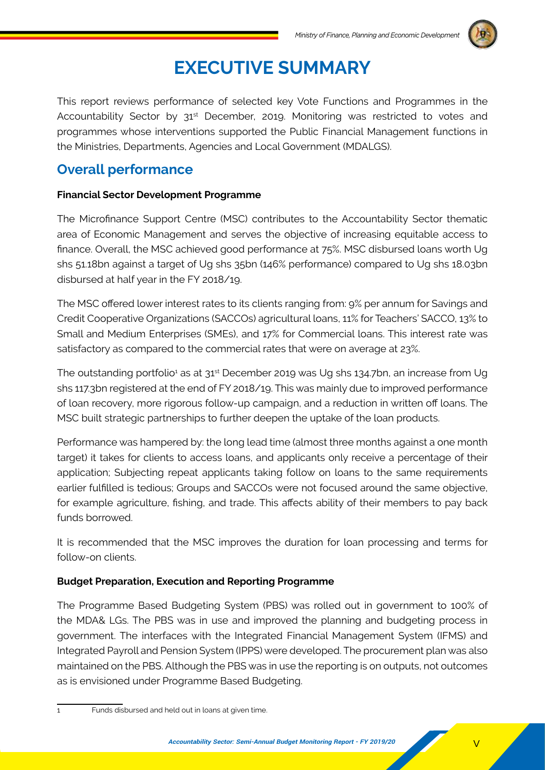

## **Executive Summary**

This report reviews performance of selected key Vote Functions and Programmes in the Accountability Sector by  $31^{st}$  December, 2019. Monitoring was restricted to votes and programmes whose interventions supported the Public Financial Management functions in the Ministries, Departments, Agencies and Local Government (MDALGS).

## **Overall performance**

#### **Financial Sector Development Programme**

The Microfinance Support Centre (MSC) contributes to the Accountability Sector thematic area of Economic Management and serves the objective of increasing equitable access to finance. Overall, the MSC achieved good performance at 75%. MSC disbursed loans worth Ug shs 51.18bn against a target of Ug shs 35bn (146% performance) compared to Ug shs 18.03bn disbursed at half year in the FY 2018/19.

The MSC offered lower interest rates to its clients ranging from: 9% per annum for Savings and Credit Cooperative Organizations (SACCOs) agricultural loans, 11% for Teachers' SACCO, 13% to Small and Medium Enterprises (SMEs), and 17% for Commercial loans. This interest rate was satisfactory as compared to the commercial rates that were on average at 23%.

The outstanding portfolio<sup>1</sup> as at 31<sup>st</sup> December 2019 was Ug shs 134.7bn, an increase from Ug shs 117.3bn registered at the end of FY 2018/19. This was mainly due to improved performance of loan recovery, more rigorous follow-up campaign, and a reduction in written off loans. The MSC built strategic partnerships to further deepen the uptake of the loan products.

Performance was hampered by: the long lead time (almost three months against a one month target) it takes for clients to access loans, and applicants only receive a percentage of their application; Subjecting repeat applicants taking follow on loans to the same requirements earlier fulfilled is tedious; Groups and SACCOs were not focused around the same objective, for example agriculture, fishing, and trade. This affects ability of their members to pay back funds borrowed.

It is recommended that the MSC improves the duration for loan processing and terms for follow-on clients.

#### **Budget Preparation, Execution and Reporting Programme**

The Programme Based Budgeting System (PBS) was rolled out in government to 100% of the MDA& LGs. The PBS was in use and improved the planning and budgeting process in government. The interfaces with the Integrated Financial Management System (IFMS) and Integrated Payroll and Pension System (IPPS) were developed. The procurement plan was also maintained on the PBS. Although the PBS was in use the reporting is on outputs, not outcomes as is envisioned under Programme Based Budgeting.

<sup>1</sup> Funds disbursed and held out in loans at given time.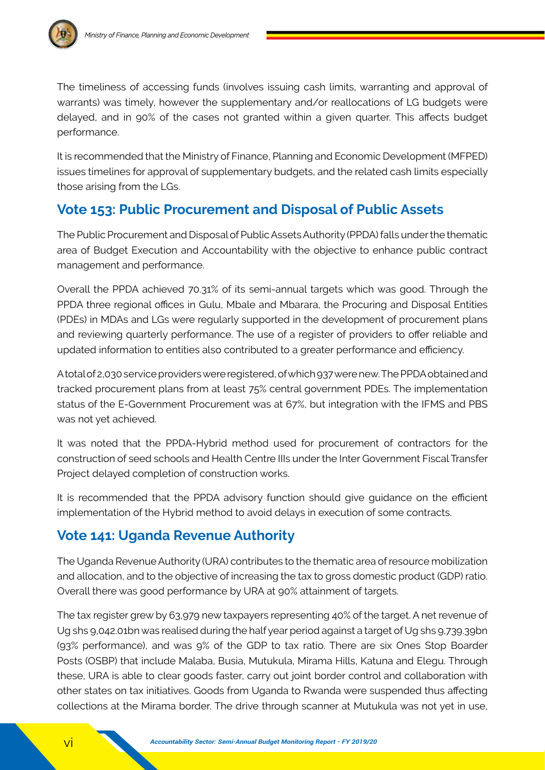The timeliness of accessing funds (involves issuing cash limits, warranting and approval of warrants) was timely, however the supplementary and/or reallocations of LG budgets were delayed, and in 90% of the cases not granted within a given quarter. This affects budget performance.

It is recommended that the Ministry of Finance, Planning and Economic Development (MFPED) issues timelines for approval of supplementary budgets, and the related cash limits especially those arising from the LGs.

### **Vote 153: Public Procurement and Disposal of Public Assets**

The Public Procurement and Disposal of Public Assets Authority (PPDA) falls under the thematic area of Budget Execution and Accountability with the objective to enhance public contract management and performance.

Overall the PPDA achieved 70.31% of its semi-annual targets which was good. Through the PPDA three regional offices in Gulu, Mbale and Mbarara, the Procuring and Disposal Entities (PDEs) in MDAs and LGs were regularly supported in the development of procurement plans and reviewing quarterly performance. The use of a register of providers to offer reliable and updated information to entities also contributed to a greater performance and efficiency.

A total of 2,030 service providers were registered, of which 937 were new. The PPDA obtained and tracked procurement plans from at least 75% central government PDEs. The implementation status of the E-Government Procurement was at 67%, but integration with the IFMS and PBS was not yet achieved.

It was noted that the PPDA-Hybrid method used for procurement of contractors for the construction of seed schools and Health Centre IIIs under the Inter Government Fiscal Transfer Project delayed completion of construction works.

It is recommended that the PPDA advisory function should give guidance on the efficient implementation of the Hybrid method to avoid delays in execution of some contracts.

### **Vote 141: Uganda Revenue Authority**

The Uganda Revenue Authority (URA) contributes to the thematic area of resource mobilization and allocation, and to the objective of increasing the tax to gross domestic product (GDP) ratio. Overall there was good performance by URA at 90% attainment of targets.

The tax register grew by 63,979 new taxpayers representing 40% of the target. A net revenue of Ug shs 9,042.01bn was realised during the half year period against a target of Ug shs 9,739.39bn (93% performance), and was 9% of the GDP to tax ratio. There are six Ones Stop Boarder Posts (OSBP) that include Malaba, Busia, Mutukula, Mirama Hills, Katuna and Elegu. Through these, URA is able to clear goods faster, carry out joint border control and collaboration with other states on tax initiatives. Goods from Uganda to Rwanda were suspended thus affecting collections at the Mirama border. The drive through scanner at Mutukula was not yet in use,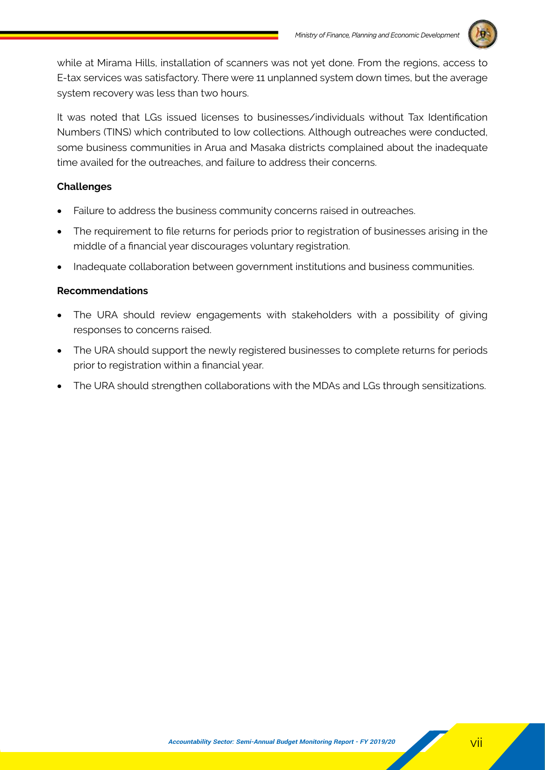

while at Mirama Hills, installation of scanners was not yet done. From the regions, access to E-tax services was satisfactory. There were 11 unplanned system down times, but the average system recovery was less than two hours.

It was noted that LGs issued licenses to businesses/individuals without Tax Identification Numbers (TINS) which contributed to low collections. Although outreaches were conducted, some business communities in Arua and Masaka districts complained about the inadequate time availed for the outreaches, and failure to address their concerns.

#### **Challenges**

- Failure to address the business community concerns raised in outreaches.
- The requirement to file returns for periods prior to registration of businesses arising in the middle of a financial year discourages voluntary registration.
- Inadequate collaboration between government institutions and business communities.

#### **Recommendations**

- The URA should review engagements with stakeholders with a possibility of giving responses to concerns raised.
- The URA should support the newly registered businesses to complete returns for periods prior to registration within a financial year.
- The URA should strengthen collaborations with the MDAs and LGs through sensitizations.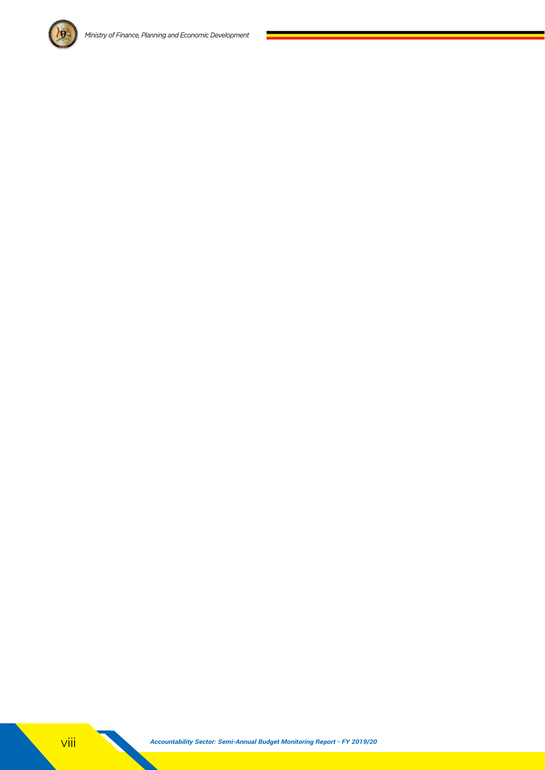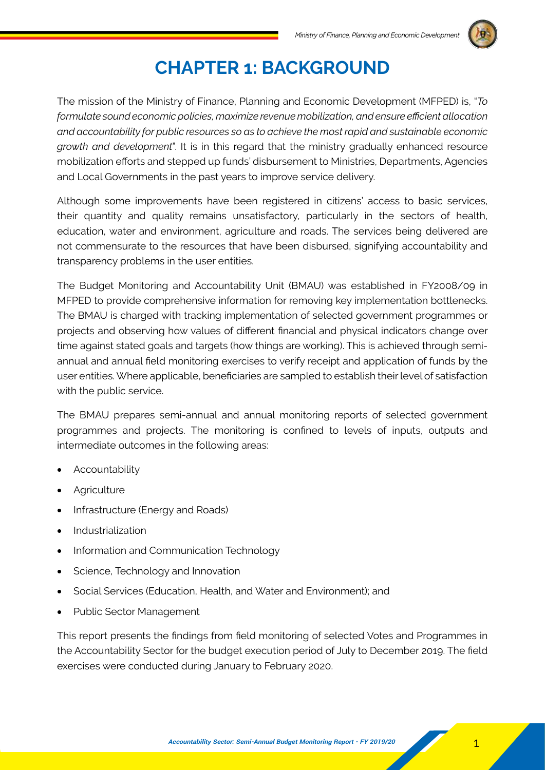

## **Chapter 1: Background**

The mission of the Ministry of Finance, Planning and Economic Development (MFPED) is, "*To formulate sound economic policies, maximize revenue mobilization, and ensure efficient allocation and accountability for public resources so as to achieve the most rapid and sustainable economic growth and development*". It is in this regard that the ministry gradually enhanced resource mobilization efforts and stepped up funds' disbursement to Ministries, Departments, Agencies and Local Governments in the past years to improve service delivery.

Although some improvements have been registered in citizens' access to basic services, their quantity and quality remains unsatisfactory, particularly in the sectors of health, education, water and environment, agriculture and roads. The services being delivered are not commensurate to the resources that have been disbursed, signifying accountability and transparency problems in the user entities.

The Budget Monitoring and Accountability Unit (BMAU) was established in FY2008/09 in MFPED to provide comprehensive information for removing key implementation bottlenecks. The BMAU is charged with tracking implementation of selected government programmes or projects and observing how values of different financial and physical indicators change over time against stated goals and targets (how things are working). This is achieved through semiannual and annual field monitoring exercises to verify receipt and application of funds by the user entities. Where applicable, beneficiaries are sampled to establish their level of satisfaction with the public service.

The BMAU prepares semi-annual and annual monitoring reports of selected government programmes and projects. The monitoring is confined to levels of inputs, outputs and intermediate outcomes in the following areas:

- **Accountability**
- Agriculture
- Infrastructure (Energy and Roads)
- **Industrialization**
- Information and Communication Technology
- Science, Technology and Innovation
- Social Services (Education, Health, and Water and Environment); and
- Public Sector Management

This report presents the findings from field monitoring of selected Votes and Programmes in the Accountability Sector for the budget execution period of July to December 2019. The field exercises were conducted during January to February 2020.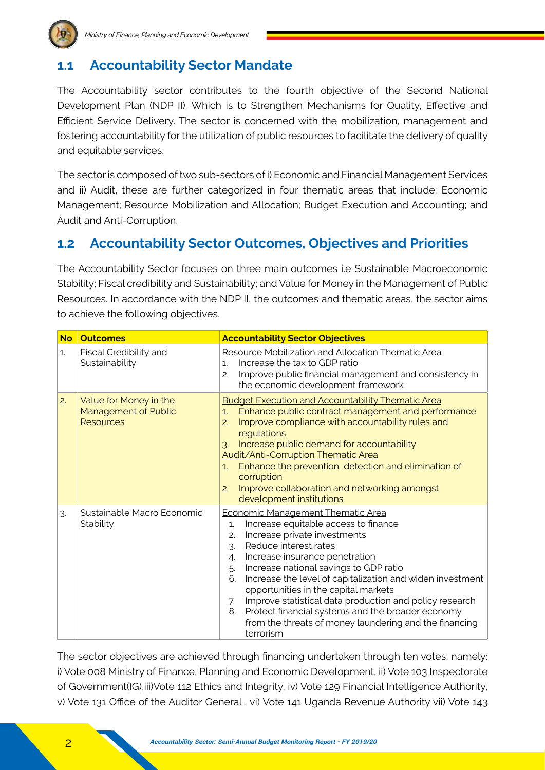

### **1.1 Accountability Sector Mandate**

The Accountability sector contributes to the fourth objective of the Second National Development Plan (NDP II). Which is to Strengthen Mechanisms for Quality, Effective and Efficient Service Delivery. The sector is concerned with the mobilization, management and fostering accountability for the utilization of public resources to facilitate the delivery of quality and equitable services.

The sector is composed of two sub-sectors of i) Economic and Financial Management Services and ii) Audit, these are further categorized in four thematic areas that include: Economic Management; Resource Mobilization and Allocation; Budget Execution and Accounting; and Audit and Anti-Corruption.

### **1.2 Accountability Sector Outcomes, Objectives and Priorities**

The Accountability Sector focuses on three main outcomes i.e Sustainable Macroeconomic Stability; Fiscal credibility and Sustainability; and Value for Money in the Management of Public Resources. In accordance with the NDP II, the outcomes and thematic areas, the sector aims to achieve the following objectives.

| <b>No</b> | <b>Outcomes</b>                                                    | <b>Accountability Sector Objectives</b>                                                                                                                                                                                                                                                                                                                                                                                                                                                                                                                                     |
|-----------|--------------------------------------------------------------------|-----------------------------------------------------------------------------------------------------------------------------------------------------------------------------------------------------------------------------------------------------------------------------------------------------------------------------------------------------------------------------------------------------------------------------------------------------------------------------------------------------------------------------------------------------------------------------|
| 1.        | Fiscal Credibility and<br>Sustainability                           | Resource Mobilization and Allocation Thematic Area<br>Increase the tax to GDP ratio<br>1 <sub>1</sub><br>Improve public financial management and consistency in<br>2.<br>the economic development framework                                                                                                                                                                                                                                                                                                                                                                 |
| 2.        | Value for Money in the<br>Management of Public<br><b>Resources</b> | <b>Budget Execution and Accountability Thematic Area</b><br>Enhance public contract management and performance<br>1.<br>Improve compliance with accountability rules and<br>2.<br>regulations<br>Increase public demand for accountability<br>3.<br>Audit/Anti-Corruption Thematic Area<br>Enhance the prevention detection and elimination of<br>1.<br>corruption<br>Improve collaboration and networking amongst<br>2.<br>development institutions                                                                                                                        |
| 3.        | Sustainable Macro Economic<br>Stability                            | <b>Economic Management Thematic Area</b><br>Increase equitable access to finance<br>$\mathbf{1}$<br>Increase private investments<br>2.<br>Reduce interest rates<br>3.<br>Increase insurance penetration<br>4.<br>Increase national savings to GDP ratio<br>5.<br>Increase the level of capitalization and widen investment<br>6.<br>opportunities in the capital markets<br>Improve statistical data production and policy research<br>7.<br>Protect financial systems and the broader economy<br>8.<br>from the threats of money laundering and the financing<br>terrorism |

The sector objectives are achieved through financing undertaken through ten votes, namely: i) Vote 008 Ministry of Finance, Planning and Economic Development, ii) Vote 103 Inspectorate of Government(IG),iii)Vote 112 Ethics and Integrity, iv) Vote 129 Financial Intelligence Authority, v) Vote 131 Office of the Auditor General , vi) Vote 141 Uganda Revenue Authority vii) Vote 143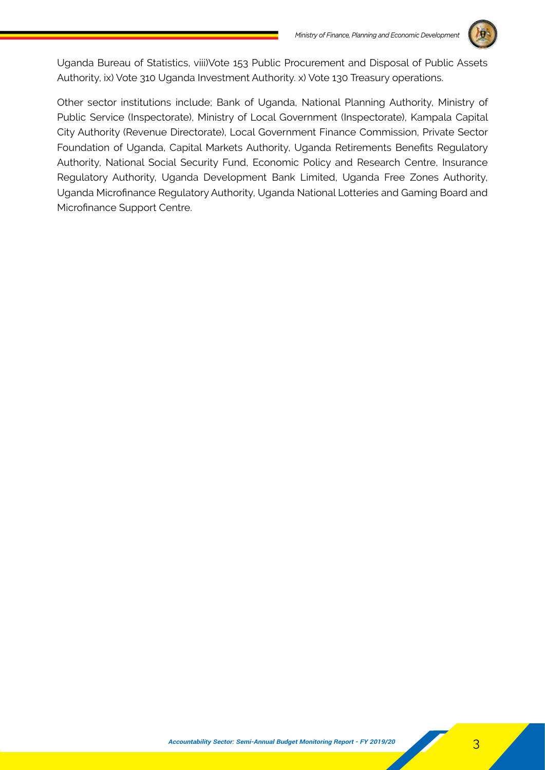

Uganda Bureau of Statistics, viii)Vote 153 Public Procurement and Disposal of Public Assets Authority, ix) Vote 310 Uganda Investment Authority. x) Vote 130 Treasury operations.

Other sector institutions include; Bank of Uganda, National Planning Authority, Ministry of Public Service (Inspectorate), Ministry of Local Government (Inspectorate), Kampala Capital City Authority (Revenue Directorate), Local Government Finance Commission, Private Sector Foundation of Uganda, Capital Markets Authority, Uganda Retirements Benefits Regulatory Authority, National Social Security Fund, Economic Policy and Research Centre, Insurance Regulatory Authority, Uganda Development Bank Limited, Uganda Free Zones Authority, Uganda Microfinance Regulatory Authority, Uganda National Lotteries and Gaming Board and Microfinance Support Centre.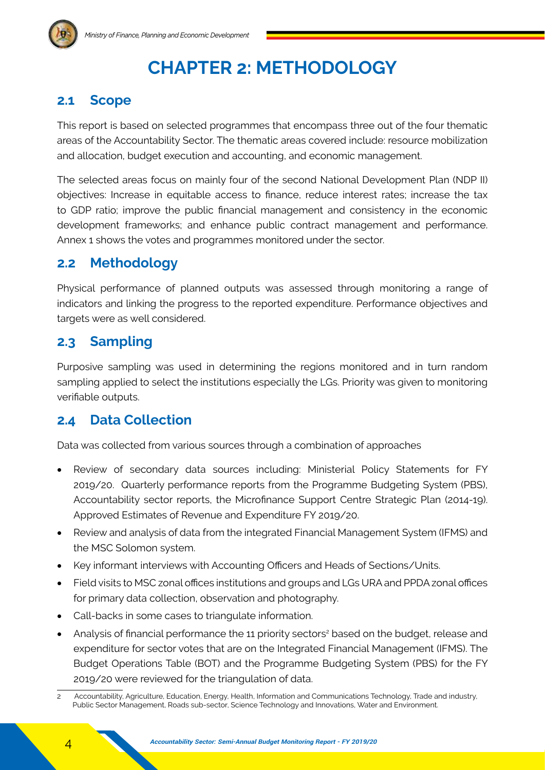## **CHAPTER 2: METHODOLOGY**

## **2.1 Scope**

This report is based on selected programmes that encompass three out of the four thematic areas of the Accountability Sector. The thematic areas covered include: resource mobilization and allocation, budget execution and accounting, and economic management.

The selected areas focus on mainly four of the second National Development Plan (NDP II) objectives: Increase in equitable access to finance, reduce interest rates; increase the tax to GDP ratio; improve the public financial management and consistency in the economic development frameworks; and enhance public contract management and performance. Annex 1 shows the votes and programmes monitored under the sector.

## **2.2 Methodology**

Physical performance of planned outputs was assessed through monitoring a range of indicators and linking the progress to the reported expenditure. Performance objectives and targets were as well considered.

## **2.3 Sampling**

Purposive sampling was used in determining the regions monitored and in turn random sampling applied to select the institutions especially the LGs. Priority was given to monitoring verifiable outputs.

## **2.4 Data Collection**

Data was collected from various sources through a combination of approaches

- Review of secondary data sources including: Ministerial Policy Statements for FY 2019/20. Quarterly performance reports from the Programme Budgeting System (PBS), Accountability sector reports, the Microfinance Support Centre Strategic Plan (2014-19). Approved Estimates of Revenue and Expenditure FY 2019/20.
- Review and analysis of data from the integrated Financial Management System (IFMS) and the MSC Solomon system.
- Key informant interviews with Accounting Officers and Heads of Sections/Units.
- Field visits to MSC zonal offices institutions and groups and LGs URA and PPDA zonal offices for primary data collection, observation and photography.
- Call-backs in some cases to triangulate information.
- Analysis of financial performance the 11 priority sectors<sup>2</sup> based on the budget, release and expenditure for sector votes that are on the Integrated Financial Management (IFMS). The Budget Operations Table (BOT) and the Programme Budgeting System (PBS) for the FY 2019/20 were reviewed for the triangulation of data.

<sup>2</sup> Accountability, Agriculture, Education, Energy, Health, Information and Communications Technology, Trade and industry, Public Sector Management, Roads sub-sector, Science Technology and Innovations, Water and Environment.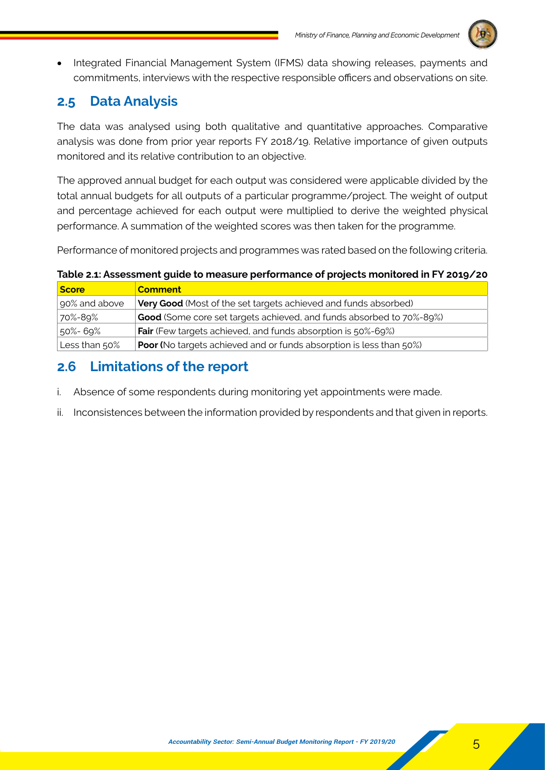

Integrated Financial Management System (IFMS) data showing releases, payments and commitments, interviews with the respective responsible officers and observations on site.

## **2.5 Data Analysis**

The data was analysed using both qualitative and quantitative approaches. Comparative analysis was done from prior year reports FY 2018/19. Relative importance of given outputs monitored and its relative contribution to an objective.

The approved annual budget for each output was considered were applicable divided by the total annual budgets for all outputs of a particular programme/project. The weight of output and percentage achieved for each output were multiplied to derive the weighted physical performance. A summation of the weighted scores was then taken for the programme.

Performance of monitored projects and programmes was rated based on the following criteria.

#### **Table 2.1: Assessment guide to measure performance of projects monitored in FY 2019/20**

| <b>Score</b>  | <b>Comment</b>                                                             |
|---------------|----------------------------------------------------------------------------|
| 90% and above | Very Good (Most of the set targets achieved and funds absorbed)            |
| 70%-89%       | Good (Some core set targets achieved, and funds absorbed to 70%-89%)       |
| 50%- 69%      | <b>Fair</b> (Few targets achieved, and funds absorption is 50%-69%)        |
| Less than 50% | <b>Poor (No</b> targets achieved and or funds absorption is less than 50%) |

## **2.6 Limitations of the report**

- i. Absence of some respondents during monitoring yet appointments were made.
- ii. Inconsistences between the information provided by respondents and that given in reports.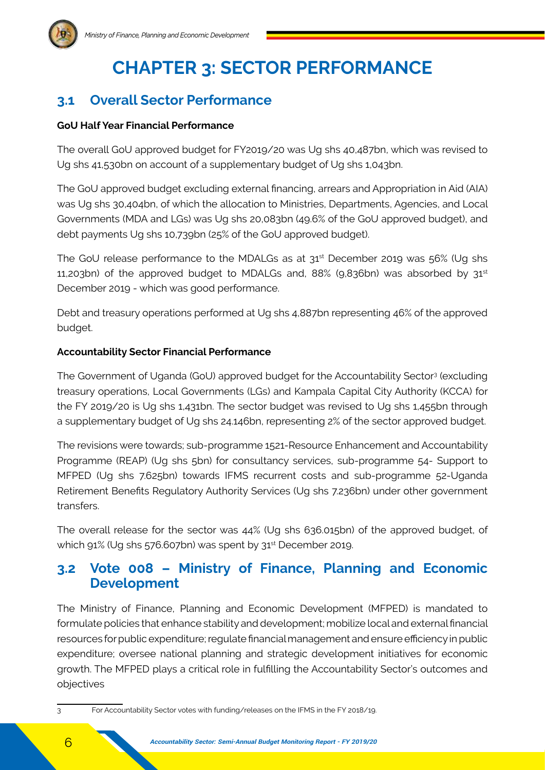

## **CHAPTER 3: SECTOR PERFORMANCE**

## **3.1 Overall Sector Performance**

#### **GoU Half Year Financial Performance**

The overall GoU approved budget for FY2019/20 was Ug shs 40,487bn, which was revised to Ug shs 41,530bn on account of a supplementary budget of Ug shs 1,043bn.

The GoU approved budget excluding external financing, arrears and Appropriation in Aid (AIA) was Ug shs 30,404bn, of which the allocation to Ministries, Departments, Agencies, and Local Governments (MDA and LGs) was Ug shs 20,083bn (49.6% of the GoU approved budget), and debt payments Ug shs 10,739bn (25% of the GoU approved budget).

The GoU release performance to the MDALGs as at  $31<sup>st</sup>$  December 2019 was 56% (Ug shs 11,203bn) of the approved budget to MDALGs and,  $88\%$  (9,836bn) was absorbed by  $31<sup>st</sup>$ December 2019 - which was good performance.

Debt and treasury operations performed at Ug shs 4,887bn representing 46% of the approved budget.

#### **Accountability Sector Financial Performance**

The Government of Uganda (GoU) approved budget for the Accountability Sector<sup>3</sup> (excluding treasury operations, Local Governments (LGs) and Kampala Capital City Authority (KCCA) for the FY 2019/20 is Ug shs 1,431bn. The sector budget was revised to Ug shs 1,455bn through a supplementary budget of Ug shs 24.146bn, representing 2% of the sector approved budget.

The revisions were towards; sub-programme 1521-Resource Enhancement and Accountability Programme (REAP) (Ug shs 5bn) for consultancy services, sub-programme 54- Support to MFPED (Ug shs 7.625bn) towards IFMS recurrent costs and sub-programme 52-Uganda Retirement Benefits Regulatory Authority Services (Ug shs 7.236bn) under other government transfers.

The overall release for the sector was 44% (Ug shs 636.015bn) of the approved budget, of which 91% (Uq shs 576.607bn) was spent by 31<sup>st</sup> December 2019.

### **3.2 Vote 008 – Ministry of Finance, Planning and Economic Development**

The Ministry of Finance, Planning and Economic Development (MFPED) is mandated to formulate policies that enhance stability and development; mobilize local and external financial resources for public expenditure; regulate financial management and ensure efficiency in public expenditure; oversee national planning and strategic development initiatives for economic growth. The MFPED plays a critical role in fulfilling the Accountability Sector's outcomes and objectives

<sup>3</sup> For Accountability Sector votes with funding/releases on the IFMS in the FY 2018/19.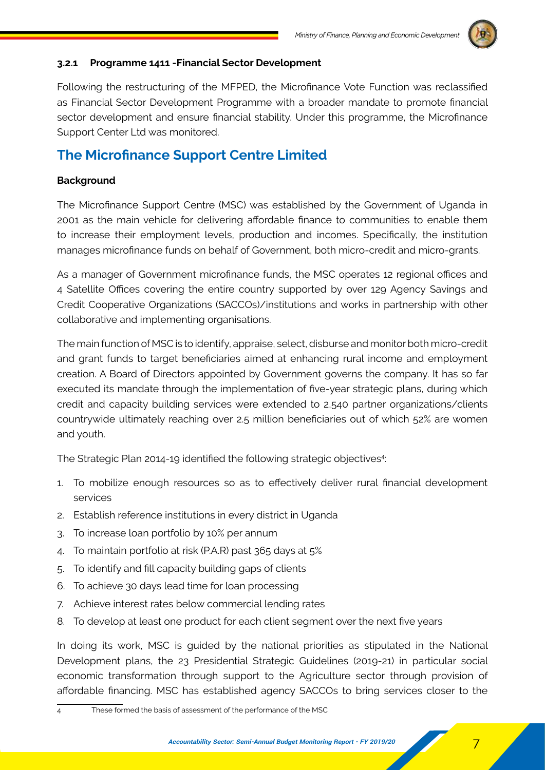

#### **3.2.1 Programme 1411 -Financial Sector Development**

Following the restructuring of the MFPED, the Microfinance Vote Function was reclassified as Financial Sector Development Programme with a broader mandate to promote financial sector development and ensure financial stability. Under this programme, the Microfinance Support Center Ltd was monitored.

## **The Microfinance Support Centre Limited**

#### **Background**

The Microfinance Support Centre (MSC) was established by the Government of Uganda in 2001 as the main vehicle for delivering affordable finance to communities to enable them to increase their employment levels, production and incomes. Specifically, the institution manages microfinance funds on behalf of Government, both micro-credit and micro-grants.

As a manager of Government microfinance funds, the MSC operates 12 regional offices and 4 Satellite Offices covering the entire country supported by over 129 Agency Savings and Credit Cooperative Organizations (SACCOs)/institutions and works in partnership with other collaborative and implementing organisations.

The main function of MSC is to identify, appraise, select, disburse and monitor both micro-credit and grant funds to target beneficiaries aimed at enhancing rural income and employment creation. A Board of Directors appointed by Government governs the company. It has so far executed its mandate through the implementation of five-year strategic plans, during which credit and capacity building services were extended to 2,540 partner organizations/clients countrywide ultimately reaching over 2.5 million beneficiaries out of which 52% are women and youth.

The Strategic Plan 2014-19 identified the following strategic objectives<sup>4</sup>: :

- 1. To mobilize enough resources so as to effectively deliver rural financial development services
- 2. Establish reference institutions in every district in Uganda
- 3. To increase loan portfolio by 10% per annum
- 4. To maintain portfolio at risk (P.A.R) past 365 days at 5%
- 5. To identify and fill capacity building gaps of clients
- 6. To achieve 30 days lead time for loan processing
- 7. Achieve interest rates below commercial lending rates
- 8. To develop at least one product for each client segment over the next five years

In doing its work, MSC is guided by the national priorities as stipulated in the National Development plans, the 23 Presidential Strategic Guidelines (2019-21) in particular social economic transformation through support to the Agriculture sector through provision of affordable financing. MSC has established agency SACCOs to bring services closer to the

4 These formed the basis of assessment of the performance of the MSC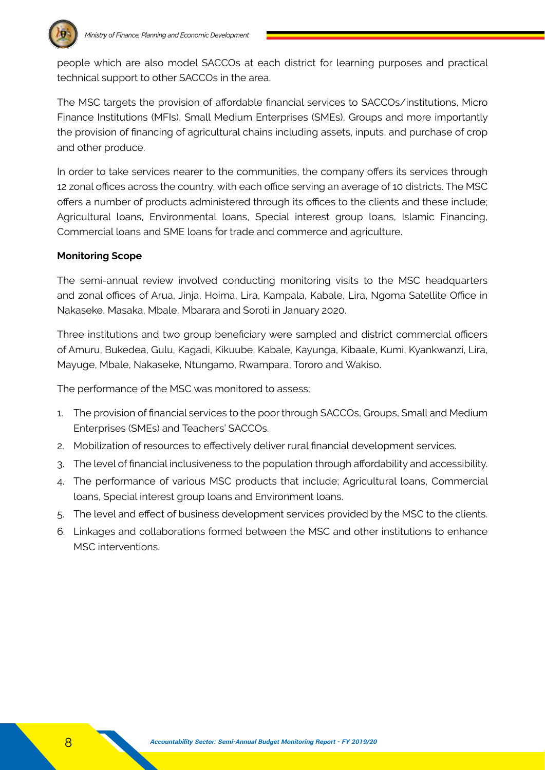

people which are also model SACCOs at each district for learning purposes and practical technical support to other SACCOs in the area.

The MSC targets the provision of affordable financial services to SACCOs/institutions, Micro Finance Institutions (MFIs), Small Medium Enterprises (SMEs), Groups and more importantly the provision of financing of agricultural chains including assets, inputs, and purchase of crop and other produce.

In order to take services nearer to the communities, the company offers its services through 12 zonal offices across the country, with each office serving an average of 10 districts. The MSC offers a number of products administered through its offices to the clients and these include; Agricultural loans, Environmental loans, Special interest group loans, Islamic Financing, Commercial loans and SME loans for trade and commerce and agriculture.

#### **Monitoring Scope**

The semi-annual review involved conducting monitoring visits to the MSC headquarters and zonal offices of Arua, Jinja, Hoima, Lira, Kampala, Kabale, Lira, Ngoma Satellite Office in Nakaseke, Masaka, Mbale, Mbarara and Soroti in January 2020.

Three institutions and two group beneficiary were sampled and district commercial officers of Amuru, Bukedea, Gulu, Kagadi, Kikuube, Kabale, Kayunga, Kibaale, Kumi, Kyankwanzi, Lira, Mayuge, Mbale, Nakaseke, Ntungamo, Rwampara, Tororo and Wakiso.

The performance of the MSC was monitored to assess;

- 1. The provision of financial services to the poor through SACCOs, Groups, Small and Medium Enterprises (SMEs) and Teachers' SACCOs.
- 2. Mobilization of resources to effectively deliver rural financial development services.
- 3. The level of financial inclusiveness to the population through affordability and accessibility.
- 4. The performance of various MSC products that include; Agricultural loans, Commercial loans, Special interest group loans and Environment loans.
- 5. The level and effect of business development services provided by the MSC to the clients.
- 6. Linkages and collaborations formed between the MSC and other institutions to enhance MSC interventions.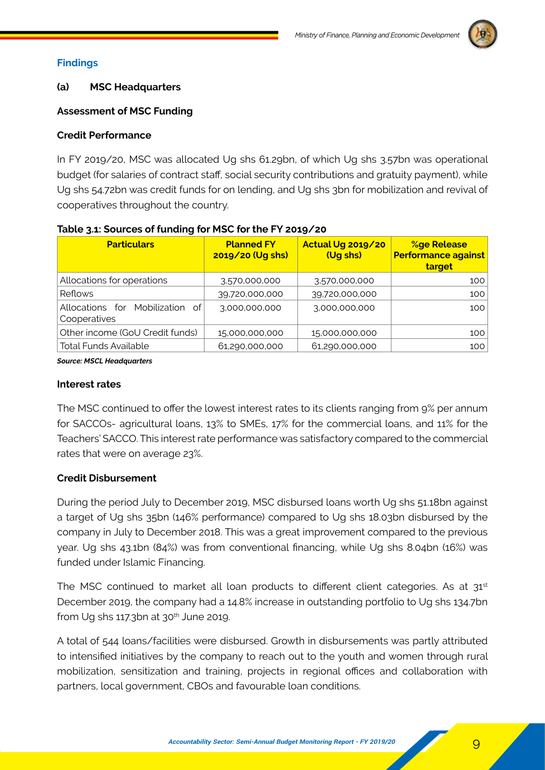

#### **Findings**

#### **(a) MSC Headquarters**

#### **Assessment of MSC Funding**

#### **Credit Performance**

In FY 2019/20, MSC was allocated Ug shs 61.29bn, of which Ug shs 3.57bn was operational budget (for salaries of contract staff, social security contributions and gratuity payment), while Ug shs 54.72bn was credit funds for on lending, and Ug shs 3bn for mobilization and revival of cooperatives throughout the country.

| <b>Particulars</b>                              | <b>Planned FY</b><br>2019/20 (Ug shs) | <b>Actual Ug 2019/20</b><br>(Ug shs) | %ge Release<br><b>Performance against</b><br>target |
|-------------------------------------------------|---------------------------------------|--------------------------------------|-----------------------------------------------------|
| Allocations for operations                      | 3,570,000,000                         | 3,570,000,000                        | 100                                                 |
| Reflows                                         | 39,720,000,000                        | 39,720,000,000                       | 100                                                 |
| Allocations for Mobilization of<br>Cooperatives | 3,000,000,000                         | 3,000,000,000                        | 100                                                 |
| Other income (GoU Credit funds)                 | 15,000,000,000                        | 15,000,000,000                       | 100                                                 |
| <b>Total Funds Available</b>                    | 61,290,000,000                        | 61,290,000,000                       | 100                                                 |

#### **Table 3.1: Sources of funding for MSC for the FY 2019/20**

*Source: MSCL Headquarters*

#### **Interest rates**

The MSC continued to offer the lowest interest rates to its clients ranging from 9% per annum for SACCOs- agricultural loans, 13% to SMEs, 17% for the commercial loans, and 11% for the Teachers' SACCO. This interest rate performance was satisfactory compared to the commercial rates that were on average 23%.

#### **Credit Disbursement**

During the period July to December 2019, MSC disbursed loans worth Ug shs 51.18bn against a target of Ug shs 35bn (146% performance) compared to Ug shs 18.03bn disbursed by the company in July to December 2018. This was a great improvement compared to the previous year. Ug shs 43.1bn (84%) was from conventional financing, while Ug shs 8.04bn (16%) was funded under Islamic Financing.

The MSC continued to market all loan products to different client categories. As at  $31<sup>st</sup>$ December 2019, the company had a 14.8% increase in outstanding portfolio to Ug shs 134.7bn from Ug shs  $117.3$ bn at  $30<sup>th</sup>$  June 2019.

A total of 544 loans/facilities were disbursed. Growth in disbursements was partly attributed to intensified initiatives by the company to reach out to the youth and women through rural mobilization, sensitization and training, projects in regional offices and collaboration with partners, local government, CBOs and favourable loan conditions.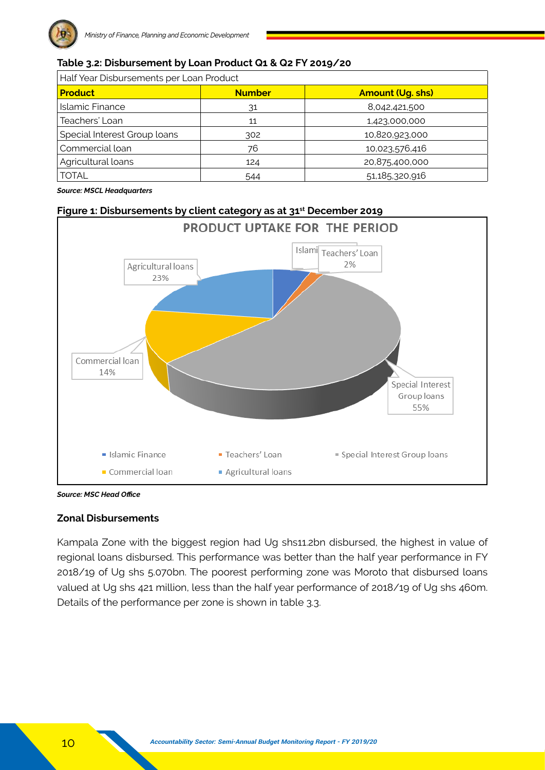

#### **Table 3.2: Disbursement by Loan Product Q1 & Q2 FY 2019/20**

Half Year Disbursements per Loan Product

| iau Tear Dispuiserrierius per Loan Frouuct |               |                         |  |  |
|--------------------------------------------|---------------|-------------------------|--|--|
| <b>Product</b>                             | <b>Number</b> | <b>Amount (Ug. shs)</b> |  |  |
| <b>Islamic Finance</b>                     | 31            | 8,042,421,500           |  |  |
| Teachers' Loan                             | 11            | 1,423,000,000           |  |  |
| Special Interest Group loans               | 302           | 10,820,923,000          |  |  |
| Commercial loan                            | 76            | 10,023,576,416          |  |  |
| Agricultural loans                         | 124           | 20,875,400,000          |  |  |
| <b>TOTAL</b>                               | 544           | 51,185,320,916          |  |  |

*Source: MSCL Headquarters*



*Source: MSC Head Office* 

#### **Zonal Disbursements**

Kampala Zone with the biggest region had Ug shs11.2bn disbursed, the highest in value of regional loans disbursed. This performance was better than the half year performance in FY 2018/19 of Ug shs 5.070bn. The poorest performing zone was Moroto that disbursed loans valued at Ug shs 421 million, less than the half year performance of 2018/19 of Ug shs 460m. Details of the performance per zone is shown in table 3.3.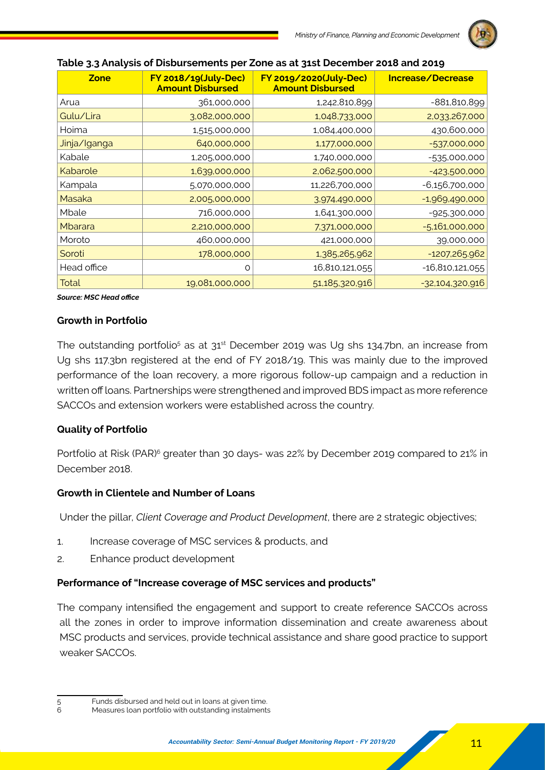

| <b>Zone</b>  | FY 2018/19(July-Dec)<br><b>Amount Disbursed</b> | FY 2019/2020(July-Dec)<br><b>Amount Disbursed</b> | Increase/Decrease |
|--------------|-------------------------------------------------|---------------------------------------------------|-------------------|
| Arua         | 361,000,000                                     | 1,242,810,899                                     | $-881,810,899$    |
| Gulu/Lira    | 3,082,000,000                                   | 1,048,733,000                                     | 2,033,267,000     |
| Hoima        | 1,515,000,000                                   | 1,084,400,000                                     | 430,600,000       |
| Jinja/Iganga | 640,000,000                                     | 1,177,000,000                                     | $-537,000,000$    |
| Kabale       | 1,205,000,000                                   | 1,740,000,000                                     | $-535,000,000$    |
| Kabarole     | 1,639,000,000                                   | 2,062,500,000                                     | $-423,500,000$    |
| Kampala      | 5,070,000,000                                   | 11,226,700,000                                    | $-6,156,700,000$  |
| Masaka       | 2,005,000,000                                   | 3,974,490,000                                     | $-1,969,490,000$  |
| Mbale        | 716,000,000                                     | 1,641,300,000                                     | $-925,300,000$    |
| Mbarara      | 2,210,000,000                                   | 7,371,000,000                                     | $-5,161,000,000$  |
| Moroto       | 460,000,000                                     | 421,000,000                                       | 39,000,000        |
| Soroti       | 178,000,000                                     | 1,385,265,962                                     | $-1207,265.962$   |
| Head office  | O                                               | 16,810,121,055                                    | $-16,810,121,055$ |
| <b>Total</b> | 19,081,000,000                                  | 51,185,320,916                                    | $-32,104,320,916$ |

#### **Table 3.3 Analysis of Disbursements per Zone as at 31st December 2018 and 2019**

*Source: MSC Head office* 

#### **Growth in Portfolio**

The outstanding portfolio<sup>5</sup> as at 31<sup>st</sup> December 2019 was Ug shs 134.7bn, an increase from Ug shs 117.3bn registered at the end of FY 2018/19. This was mainly due to the improved performance of the loan recovery, a more rigorous follow-up campaign and a reduction in written off loans. Partnerships were strengthened and improved BDS impact as more reference SACCOs and extension workers were established across the country.

#### **Quality of Portfolio**

Portfolio at Risk (PAR)<sup>6</sup> greater than 30 days- was 22% by December 2019 compared to 21% in December 2018.

#### **Growth in Clientele and Number of Loans**

Under the pillar, *Client Coverage and Product Development*, there are 2 strategic objectives;

- 1. Increase coverage of MSC services & products, and
- 2. Enhance product development

#### **Performance of "Increase coverage of MSC services and products"**

The company intensified the engagement and support to create reference SACCOs across all the zones in order to improve information dissemination and create awareness about MSC products and services, provide technical assistance and share good practice to support weaker SACCOs.

<sup>5</sup> Funds disbursed and held out in loans at given time.

Measures loan portfolio with outstanding instalments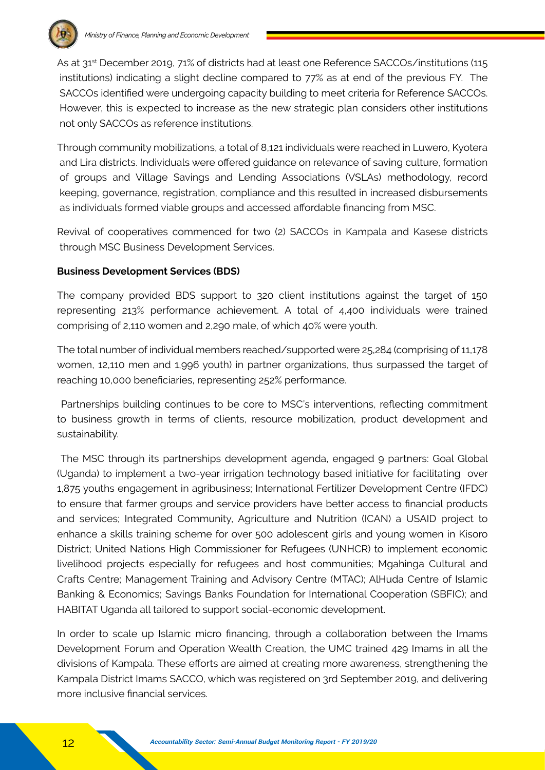

As at 31<sup>st</sup> December 2019, 71% of districts had at least one Reference SACCOs/institutions (115 institutions) indicating a slight decline compared to 77% as at end of the previous FY. The SACCOs identified were undergoing capacity building to meet criteria for Reference SACCOs. However, this is expected to increase as the new strategic plan considers other institutions not only SACCOs as reference institutions.

Through community mobilizations, a total of 8,121 individuals were reached in Luwero, Kyotera and Lira districts. Individuals were offered guidance on relevance of saving culture, formation of groups and Village Savings and Lending Associations (VSLAs) methodology, record keeping, governance, registration, compliance and this resulted in increased disbursements as individuals formed viable groups and accessed affordable financing from MSC.

Revival of cooperatives commenced for two (2) SACCOs in Kampala and Kasese districts through MSC Business Development Services.

#### **Business Development Services (BDS)**

The company provided BDS support to 320 client institutions against the target of 150 representing 213% performance achievement. A total of 4,400 individuals were trained comprising of 2,110 women and 2,290 male, of which 40% were youth.

The total number of individual members reached/supported were 25,284 (comprising of 11,178 women, 12,110 men and 1,996 youth) in partner organizations, thus surpassed the target of reaching 10,000 beneficiaries, representing 252% performance.

 Partnerships building continues to be core to MSC's interventions, reflecting commitment to business growth in terms of clients, resource mobilization, product development and sustainability.

 The MSC through its partnerships development agenda, engaged 9 partners: Goal Global (Uganda) to implement a two-year irrigation technology based initiative for facilitating over 1,875 youths engagement in agribusiness; International Fertilizer Development Centre (IFDC) to ensure that farmer groups and service providers have better access to financial products and services; Integrated Community, Agriculture and Nutrition (ICAN) a USAID project to enhance a skills training scheme for over 500 adolescent girls and young women in Kisoro District; United Nations High Commissioner for Refugees (UNHCR) to implement economic livelihood projects especially for refugees and host communities; Mgahinga Cultural and Crafts Centre; Management Training and Advisory Centre (MTAC); AlHuda Centre of Islamic Banking & Economics; Savings Banks Foundation for International Cooperation (SBFIC); and HABITAT Uganda all tailored to support social-economic development.

In order to scale up Islamic micro financing, through a collaboration between the Imams Development Forum and Operation Wealth Creation, the UMC trained 429 Imams in all the divisions of Kampala. These efforts are aimed at creating more awareness, strengthening the Kampala District Imams SACCO, which was registered on 3rd September 2019, and delivering more inclusive financial services.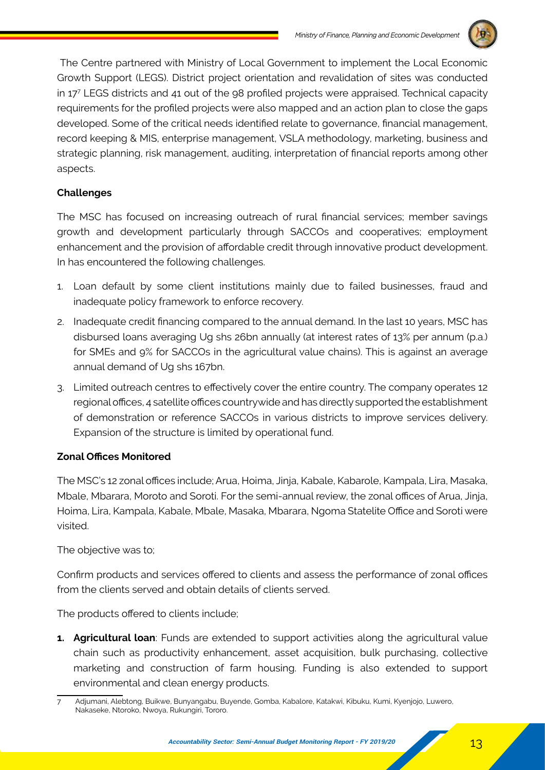

 The Centre partnered with Ministry of Local Government to implement the Local Economic Growth Support (LEGS). District project orientation and revalidation of sites was conducted in 177 LEGS districts and 41 out of the 98 profiled projects were appraised. Technical capacity requirements for the profiled projects were also mapped and an action plan to close the gaps developed. Some of the critical needs identified relate to governance, financial management, record keeping & MIS, enterprise management, VSLA methodology, marketing, business and strategic planning, risk management, auditing, interpretation of financial reports among other aspects.

#### **Challenges**

The MSC has focused on increasing outreach of rural financial services; member savings growth and development particularly through SACCOs and cooperatives; employment enhancement and the provision of affordable credit through innovative product development. In has encountered the following challenges.

- 1. Loan default by some client institutions mainly due to failed businesses, fraud and inadequate policy framework to enforce recovery.
- 2. Inadequate credit financing compared to the annual demand. In the last 10 years, MSC has disbursed loans averaging Ug shs 26bn annually (at interest rates of 13% per annum (p.a.) for SMEs and 9% for SACCOs in the agricultural value chains). This is against an average annual demand of Ug shs 167bn.
- 3. Limited outreach centres to effectively cover the entire country. The company operates 12 regional offices, 4 satellite offices countrywide and has directly supported the establishment of demonstration or reference SACCOs in various districts to improve services delivery. Expansion of the structure is limited by operational fund.

#### **Zonal Offices Monitored**

The MSC's 12 zonal offices include; Arua, Hoima, Jinja, Kabale, Kabarole, Kampala, Lira, Masaka, Mbale, Mbarara, Moroto and Soroti. For the semi-annual review, the zonal offices of Arua, Jinja, Hoima, Lira, Kampala, Kabale, Mbale, Masaka, Mbarara, Ngoma Statelite Office and Soroti were visited.

The objective was to;

Confirm products and services offered to clients and assess the performance of zonal offices from the clients served and obtain details of clients served.

The products offered to clients include;

**1. Agricultural loan**: Funds are extended to support activities along the agricultural value chain such as productivity enhancement, asset acquisition, bulk purchasing, collective marketing and construction of farm housing. Funding is also extended to support environmental and clean energy products.

<sup>7</sup> Adjumani, Alebtong, Buikwe, Bunyangabu, Buyende, Gomba, Kabalore, Katakwi, Kibuku, Kumi, Kyenjojo, Luwero, Nakaseke, Ntoroko, Nwoya, Rukungiri, Tororo.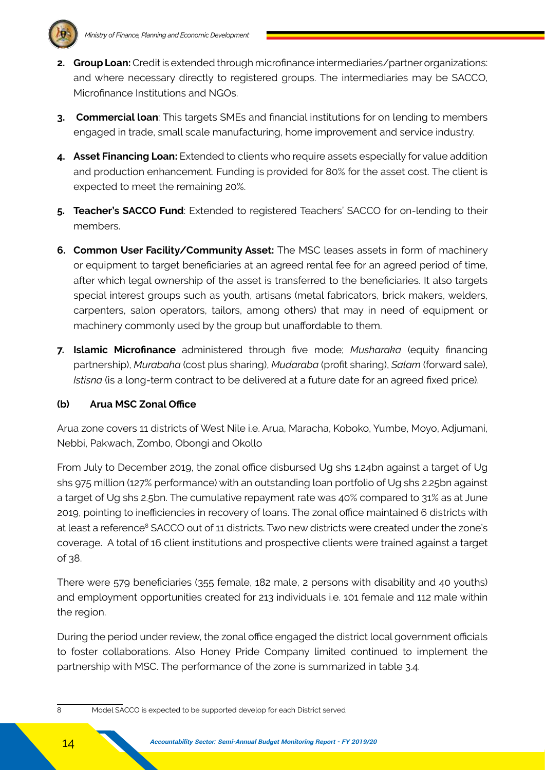

- **2. Group Loan:** Credit is extended through microfinance intermediaries/partner organizations: and where necessary directly to registered groups. The intermediaries may be SACCO, Microfinance Institutions and NGOs.
- **3. Commercial loan**: This targets SMEs and financial institutions for on lending to members engaged in trade, small scale manufacturing, home improvement and service industry.
- **4. Asset Financing Loan:** Extended to clients who require assets especially for value addition and production enhancement. Funding is provided for 80% for the asset cost. The client is expected to meet the remaining 20%.
- **5. Teacher's SACCO Fund**: Extended to registered Teachers' SACCO for on-lending to their members.
- **6. Common User Facility/Community Asset:** The MSC leases assets in form of machinery or equipment to target beneficiaries at an agreed rental fee for an agreed period of time, after which legal ownership of the asset is transferred to the beneficiaries. It also targets special interest groups such as youth, artisans (metal fabricators, brick makers, welders, carpenters, salon operators, tailors, among others) that may in need of equipment or machinery commonly used by the group but unaffordable to them.
- **7. Islamic Microfinance** administered through five mode; *Musharaka* (equity financing partnership), *Murabaha* (cost plus sharing), *Mudaraba* (profit sharing), *Salam* (forward sale), *Istisna* (is a long-term contract to be delivered at a future date for an agreed fixed price).

#### **(b) Arua MSC Zonal Office**

Arua zone covers 11 districts of West Nile i.e. Arua, Maracha, Koboko, Yumbe, Moyo, Adjumani, Nebbi, Pakwach, Zombo, Obongi and Okollo

From July to December 2019, the zonal office disbursed Ug shs 1.24bn against a target of Ug shs 975 million (127% performance) with an outstanding loan portfolio of Ug shs 2.25bn against a target of Ug shs 2.5bn. The cumulative repayment rate was 40% compared to 31% as at June 2019, pointing to inefficiencies in recovery of loans. The zonal office maintained 6 districts with at least a reference<sup>8</sup> SACCO out of 11 districts. Two new districts were created under the zone's coverage. A total of 16 client institutions and prospective clients were trained against a target of 38.

There were 579 beneficiaries (355 female, 182 male, 2 persons with disability and 40 youths) and employment opportunities created for 213 individuals i.e. 101 female and 112 male within the region.

During the period under review, the zonal office engaged the district local government officials to foster collaborations. Also Honey Pride Company limited continued to implement the partnership with MSC. The performance of the zone is summarized in table 3.4.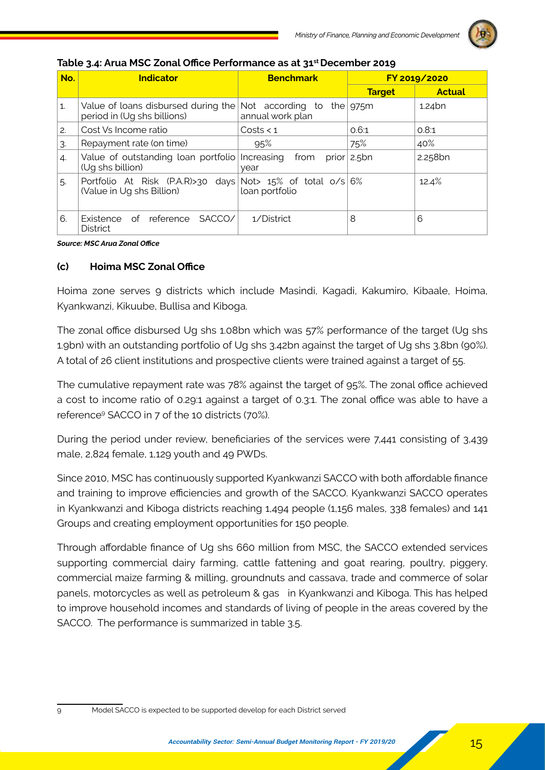

| No.            | <b>Indicator</b>                                                                        | <b>Benchmark</b>                                | FY 2019/2020    |                    |
|----------------|-----------------------------------------------------------------------------------------|-------------------------------------------------|-----------------|--------------------|
|                |                                                                                         |                                                 | <b>Target</b>   | <b>Actual</b>      |
| $\mathbf{1}$ . | Value of loans disbursed during the<br>period in (Ug shs billions)                      | Not according to the $975m$<br>annual work plan |                 | 1.24 <sub>bn</sub> |
| 2.             | Cost Vs Income ratio                                                                    | Costs < 1                                       | 0.6:1           | 0.8:1              |
| 3.             | Repayment rate (on time)                                                                | 95%                                             | 75%             | 40%                |
| 4.             | Value of outstanding loan portfolio Increasing from<br>(Uq shs billion)                 | year                                            | prior $ 2.5$ bn | 2.258bn            |
| 5.             | Portfolio At Risk (P.A.R)>30 days Not> 15% of total o/s 6%<br>(Value in Ug shs Billion) | loan portfolio                                  |                 | 12.4%              |
| 6.             | Existence of reference SACCO/<br><b>District</b>                                        | 1/District                                      | 8               | 6                  |

#### **Table 3.4: Arua MSC Zonal Office Performance as at 31st December 2019**

*Source: MSC Arua Zonal Office*

#### **(c) Hoima MSC Zonal Office**

Hoima zone serves 9 districts which include Masindi, Kagadi, Kakumiro, Kibaale, Hoima, Kyankwanzi, Kikuube, Bullisa and Kiboga.

The zonal office disbursed Ug shs 1.08bn which was 57% performance of the target (Ug shs 1.9bn) with an outstanding portfolio of Ug shs 3.42bn against the target of Ug shs 3.8bn (90%). A total of 26 client institutions and prospective clients were trained against a target of 55.

The cumulative repayment rate was 78% against the target of 95%. The zonal office achieved a cost to income ratio of 0.29:1 against a target of 0.3:1. The zonal office was able to have a reference9 SACCO in 7 of the 10 districts (70%).

During the period under review, beneficiaries of the services were 7,441 consisting of 3,439 male, 2,824 female, 1,129 youth and 49 PWDs.

Since 2010, MSC has continuously supported Kyankwanzi SACCO with both affordable finance and training to improve efficiencies and growth of the SACCO. Kyankwanzi SACCO operates in Kyankwanzi and Kiboga districts reaching 1,494 people (1,156 males, 338 females) and 141 Groups and creating employment opportunities for 150 people.

Through affordable finance of Ug shs 660 million from MSC, the SACCO extended services supporting commercial dairy farming, cattle fattening and goat rearing, poultry, piggery, commercial maize farming & milling, groundnuts and cassava, trade and commerce of solar panels, motorcycles as well as petroleum & gas in Kyankwanzi and Kiboga. This has helped to improve household incomes and standards of living of people in the areas covered by the SACCO. The performance is summarized in table 3.5.

9 Model SACCO is expected to be supported develop for each District served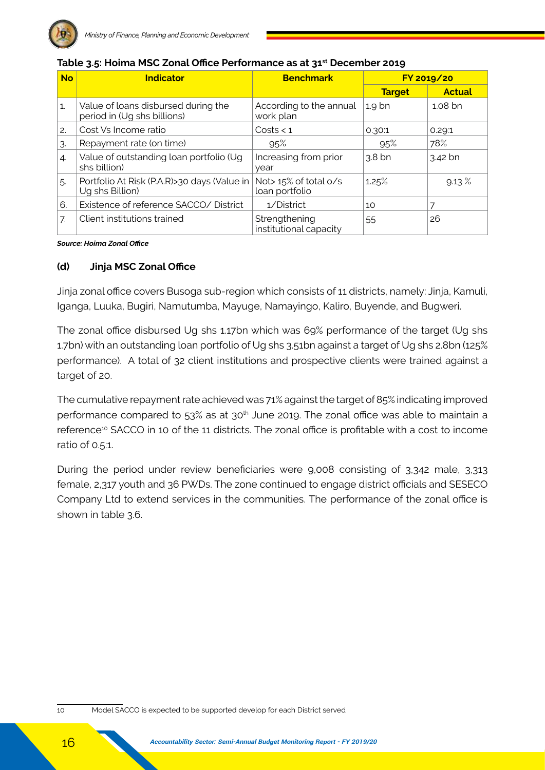

| <b>No</b> | <b>Indicator</b>                                                   | <b>Benchmark</b>                        | FY 2019/20        |                    |
|-----------|--------------------------------------------------------------------|-----------------------------------------|-------------------|--------------------|
|           |                                                                    |                                         | <b>Target</b>     | <b>Actual</b>      |
| 1.        | Value of loans disbursed during the<br>period in (Ug shs billions) | According to the annual<br>work plan    | 1.9 <sub>bn</sub> | 1.08 <sub>bn</sub> |
| 2.        | Cost Vs Income ratio                                               | Costs < 1                               | 0.30:1            | 0.29:1             |
| 3.        | Repayment rate (on time)                                           | 95%                                     | 95%               | 78%                |
| 4.        | Value of outstanding loan portfolio (Ug<br>shs billion)            | Increasing from prior<br>year           | 3.8 <sub>bn</sub> | 3.42 bn            |
| 5.        | Portfolio At Risk (P.A.R)>30 days (Value in<br>Ug shs Billion)     | Not> 15% of total o/s<br>loan portfolio | 1.25%             | 9.13%              |
| 6.        | Existence of reference SACCO/ District                             | 1/District                              | 10                |                    |
| 7.        | Client institutions trained                                        | Strengthening<br>institutional capacity | 55                | 26                 |

#### **Table 3.5: Hoima MSC Zonal Office Performance as at 31st December 2019**

#### *Source: Hoima Zonal Office*

#### **(d) Jinja MSC Zonal Office**

Jinja zonal office covers Busoga sub-region which consists of 11 districts, namely: Jinja, Kamuli, Iganga, Luuka, Bugiri, Namutumba, Mayuge, Namayingo, Kaliro, Buyende, and Bugweri.

The zonal office disbursed Ug shs 1.17bn which was 69% performance of the target (Ug shs 1.7bn) with an outstanding loan portfolio of Ug shs 3.51bn against a target of Ug shs 2.8bn (125% performance). A total of 32 client institutions and prospective clients were trained against a target of 20.

The cumulative repayment rate achieved was 71% against the target of 85% indicating improved performance compared to 53% as at 30<sup>th</sup> June 2019. The zonal office was able to maintain a reference<sup>10</sup> SACCO in 10 of the 11 districts. The zonal office is profitable with a cost to income ratio of 0.5:1.

During the period under review beneficiaries were 9,008 consisting of 3,342 male, 3,313 female, 2,317 youth and 36 PWDs. The zone continued to engage district officials and SESECO Company Ltd to extend services in the communities. The performance of the zonal office is shown in table 3.6.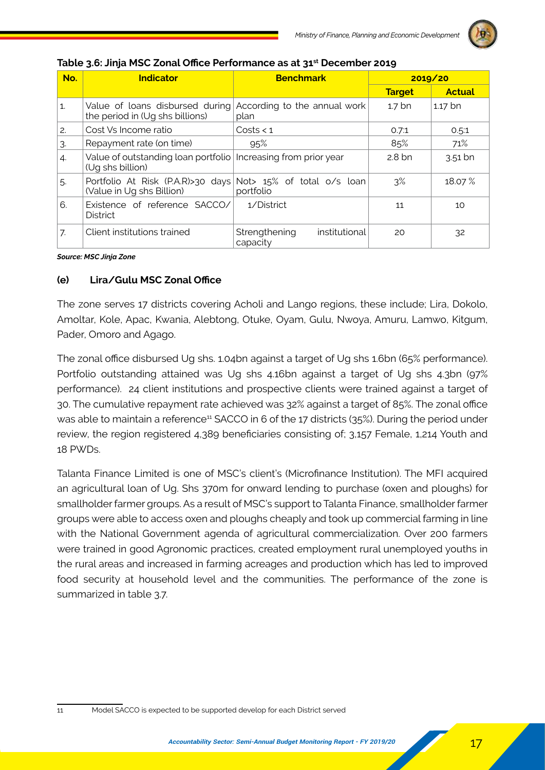

| No.          | <b>Indicator</b>                                                                          | <b>Benchmark</b>                           | 2019/20           |               |
|--------------|-------------------------------------------------------------------------------------------|--------------------------------------------|-------------------|---------------|
|              |                                                                                           |                                            | <b>Target</b>     | <b>Actual</b> |
| $\mathbf{1}$ | Value of loans disbursed during<br>the period in (Ug shs billions)                        | According to the annual work<br>plan       | 1.7 <sub>bn</sub> | $1.17$ bn     |
| 2.           | Cost Vs Income ratio                                                                      | Costs < 1                                  | 0.7:1             | 0.5:1         |
| 3.           | Repayment rate (on time)                                                                  | 95%                                        | 85%               | 71%           |
| 4.           | Value of outstanding loan portfolio   Increasing from prior year<br>(Uq shs billion)      |                                            | 2.8 <sub>bn</sub> | $3.51$ bn     |
| 5.           | Portfolio At Risk (P.A.R)>30 days Not> 15% of total o/s loan<br>(Value in Ug shs Billion) | portfolio                                  | 3%                | 18.07%        |
| 6.           | Existence of reference SACCO/<br><b>District</b>                                          | 1/District                                 | 11                | 10            |
| 7.           | Client institutions trained                                                               | institutional<br>Strengthening<br>capacity | 20                | 32            |

#### **Table 3.6: Jinja MSC Zonal Office Performance as at 31st December 2019**

*Source: MSC Jinja Zone*

#### **(e) Lira/Gulu MSC Zonal Office**

The zone serves 17 districts covering Acholi and Lango regions, these include; Lira, Dokolo, Amoltar, Kole, Apac, Kwania, Alebtong, Otuke, Oyam, Gulu, Nwoya, Amuru, Lamwo, Kitgum, Pader, Omoro and Agago.

The zonal office disbursed Ug shs. 1.04bn against a target of Ug shs 1.6bn (65% performance). Portfolio outstanding attained was Ug shs 4.16bn against a target of Ug shs 4.3bn (97% performance). 24 client institutions and prospective clients were trained against a target of 30. The cumulative repayment rate achieved was 32% against a target of 85%. The zonal office was able to maintain a reference<sup>11</sup> SACCO in 6 of the 17 districts (35%). During the period under review, the region registered 4,389 beneficiaries consisting of; 3,157 Female, 1,214 Youth and 18 PWDs.

Talanta Finance Limited is one of MSC's client's (Microfinance Institution). The MFI acquired an agricultural loan of Ug. Shs 370m for onward lending to purchase (oxen and ploughs) for smallholder farmer groups. As a result of MSC's support to Talanta Finance, smallholder farmer groups were able to access oxen and ploughs cheaply and took up commercial farming in line with the National Government agenda of agricultural commercialization. Over 200 farmers were trained in good Agronomic practices, created employment rural unemployed youths in the rural areas and increased in farming acreages and production which has led to improved food security at household level and the communities. The performance of the zone is summarized in table 3.7.

11 Model SACCO is expected to be supported develop for each District served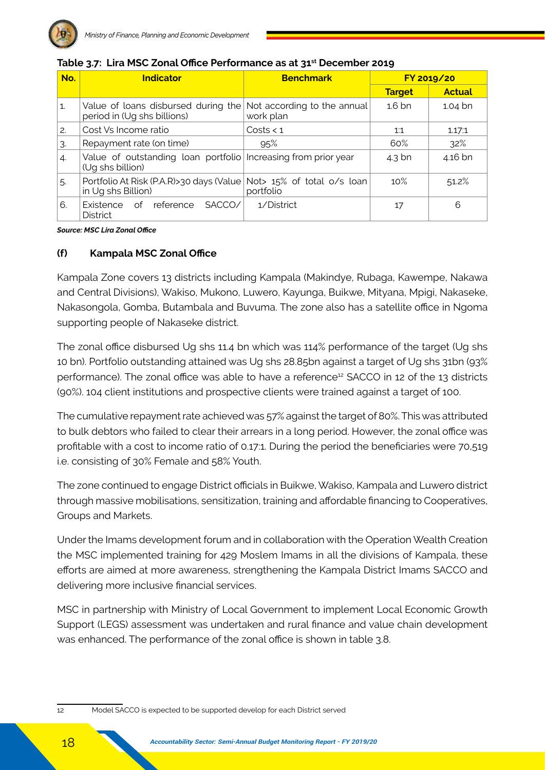

| No.          | <b>Indicator</b>                                                                   | <b>Benchmark</b>                         | FY 2019/20        |               |
|--------------|------------------------------------------------------------------------------------|------------------------------------------|-------------------|---------------|
|              |                                                                                    |                                          | <b>Target</b>     | <b>Actual</b> |
| $\mathbf{1}$ | Value of loans disbursed during the<br>period in (Ug shs billions)                 | Not according to the annual<br>work plan | 1.6 <sub>bn</sub> | $1.04$ bn     |
| 2.           | Cost Vs Income ratio                                                               | Costs $<$ 1                              | 1:1               | 1.17.1        |
| 3.           | Repayment rate (on time)                                                           | 95%                                      | 60%               | 32%           |
| 4.           | Value of outstanding loan portfolio Increasing from prior year<br>(Uq shs billion) |                                          | $4.3 \text{ bn}$  | 4.16 bn       |
| 5.           | Portfolio At Risk (P.A.R) > 30 days (Value)<br>in Ug shs Billion)                  | Not> 15% of total o/s loan<br>portfolio  | 10%               | 51.2%         |
| 6.           | reference<br>SACCO/<br>Existence of<br><b>District</b>                             | 1/District                               | 17                | 6             |

#### **Table 3.7: Lira MSC Zonal Office Performance as at 31st December 2019**

*Source: MSC Lira Zonal Office*

#### **(f) Kampala MSC Zonal Office**

Kampala Zone covers 13 districts including Kampala (Makindye, Rubaga, Kawempe, Nakawa and Central Divisions), Wakiso, Mukono, Luwero, Kayunga, Buikwe, Mityana, Mpigi, Nakaseke, Nakasongola, Gomba, Butambala and Buvuma. The zone also has a satellite office in Ngoma supporting people of Nakaseke district.

The zonal office disbursed Ug shs 11.4 bn which was 114% performance of the target (Ug shs 10 bn). Portfolio outstanding attained was Ug shs 28.85bn against a target of Ug shs 31bn (93% performance). The zonal office was able to have a reference<sup>12</sup> SACCO in 12 of the 13 districts (90%). 104 client institutions and prospective clients were trained against a target of 100.

The cumulative repayment rate achieved was 57% against the target of 80%. This was attributed to bulk debtors who failed to clear their arrears in a long period. However, the zonal office was profitable with a cost to income ratio of 0.17:1. During the period the beneficiaries were 70,519 i.e. consisting of 30% Female and 58% Youth.

The zone continued to engage District officials in Buikwe, Wakiso, Kampala and Luwero district through massive mobilisations, sensitization, training and affordable financing to Cooperatives, Groups and Markets.

Under the Imams development forum and in collaboration with the Operation Wealth Creation the MSC implemented training for 429 Moslem Imams in all the divisions of Kampala, these efforts are aimed at more awareness, strengthening the Kampala District Imams SACCO and delivering more inclusive financial services.

MSC in partnership with Ministry of Local Government to implement Local Economic Growth Support (LEGS) assessment was undertaken and rural finance and value chain development was enhanced. The performance of the zonal office is shown in table 3.8.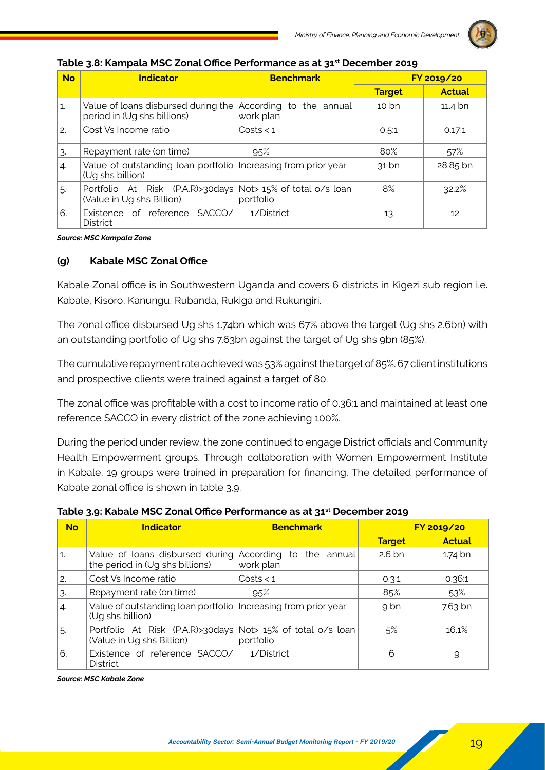

| <b>No</b>    | <b>Indicator</b>                                                                   | <b>Benchmark</b>                          | FY 2019/20       |               |
|--------------|------------------------------------------------------------------------------------|-------------------------------------------|------------------|---------------|
|              |                                                                                    |                                           | <b>Target</b>    | <b>Actual</b> |
| $\mathbf{1}$ | Value of loans disbursed during the<br>period in (Ug shs billions)                 | According to the annual<br>work plan      | 10 <sub>bn</sub> | 11.4 bn       |
| 2.           | Cost Vs Income ratio                                                               | Costs $<$ 1                               | 0.5:1            | 0.17:1        |
| 3.           | Repayment rate (on time)                                                           | 95%                                       | 80%              | 57%           |
| 4.           | Value of outstanding loan portfolio Increasing from prior year<br>(Ug shs billion) |                                           | $31$ bn          | 28.85 bn      |
| 5.           | Portfolio At Risk (P.A.R)>30days<br>(Value in Ug shs Billion)                      | Not $15\%$ of total o/s loan<br>portfolio | 8%               | 32.2%         |
| 6.           | Existence of reference SACCO/<br><b>District</b>                                   | 1/District                                | 13               | 12            |

#### **Table 3.8: Kampala MSC Zonal Office Performance as at 31st December 2019**

*Source: MSC Kampala Zone*

#### **(g) Kabale MSC Zonal Office**

Kabale Zonal office is in Southwestern Uganda and covers 6 districts in Kigezi sub region i.e. Kabale, Kisoro, Kanungu, Rubanda, Rukiga and Rukungiri.

The zonal office disbursed Ug shs 1.74bn which was 67% above the target (Ug shs 2.6bn) with an outstanding portfolio of Ug shs 7.63bn against the target of Ug shs 9bn (85%).

The cumulative repayment rate achieved was 53% against the target of 85%. 67 client institutions and prospective clients were trained against a target of 80.

The zonal office was profitable with a cost to income ratio of 0.36:1 and maintained at least one reference SACCO in every district of the zone achieving 100%.

During the period under review, the zone continued to engage District officials and Community Health Empowerment groups. Through collaboration with Women Empowerment Institute in Kabale, 19 groups were trained in preparation for financing. The detailed performance of Kabale zonal office is shown in table 3.9.

|  | Table 3.9: Kabale MSC Zonal Office Performance as at 31 <sup>st</sup> December 2019 |  |
|--|-------------------------------------------------------------------------------------|--|
|--|-------------------------------------------------------------------------------------|--|

| <b>No</b>    | <b>Indicator</b>                                                                         | <b>Benchmark</b>                     | FY 2019/20       |               |
|--------------|------------------------------------------------------------------------------------------|--------------------------------------|------------------|---------------|
|              |                                                                                          |                                      | <b>Target</b>    | <b>Actual</b> |
| $\mathbf{1}$ | Value of loans disbursed during<br>the period in (Ug shs billions)                       | According to the annual<br>work plan | $2.6 \text{ bn}$ | 1.74 bn       |
| 2.           | Cost Vs Income ratio                                                                     | Costs $<$ 1                          | 0.3:1            | 0.36:1        |
| 3.           | Repayment rate (on time)                                                                 | 95%                                  | 85%              | 53%           |
| 4.           | Value of outstanding loan portfolio   Increasing from prior year<br>(Ug shs billion)     |                                      | 9 <sub>bn</sub>  | 7.63 bn       |
| 5.           | Portfolio At Risk (P.A.R)>30days Not> 15% of total o/s loan<br>(Value in Ug shs Billion) | portfolio                            | 5%               | 16.1%         |
| 6.           | Existence of reference SACCO/<br><b>District</b>                                         | 1/District                           | 6                | 9             |

*Source: MSC Kabale Zone*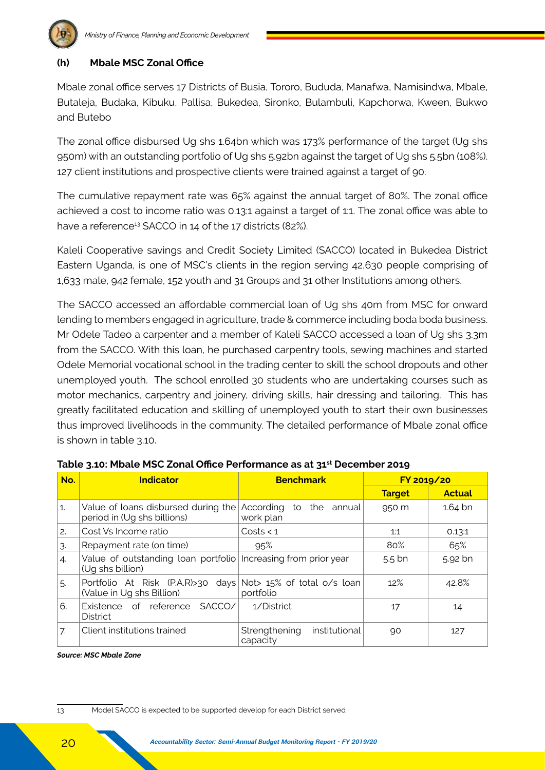

#### **(h) Mbale MSC Zonal Office**

Mbale zonal office serves 17 Districts of Busia, Tororo, Bududa, Manafwa, Namisindwa, Mbale, Butaleja, Budaka, Kibuku, Pallisa, Bukedea, Sironko, Bulambuli, Kapchorwa, Kween, Bukwo and Butebo

The zonal office disbursed Ug shs 1.64bn which was 173% performance of the target (Ug shs 950m) with an outstanding portfolio of Ug shs 5.92bn against the target of Ug shs 5.5bn (108%). 127 client institutions and prospective clients were trained against a target of 90.

The cumulative repayment rate was 65% against the annual target of 80%. The zonal office achieved a cost to income ratio was 0.13:1 against a target of 1:1. The zonal office was able to have a reference<sup>13</sup> SACCO in 14 of the 17 districts (82%).

Kaleli Cooperative savings and Credit Society Limited (SACCO) located in Bukedea District Eastern Uganda, is one of MSC's clients in the region serving 42,630 people comprising of 1,633 male, 942 female, 152 youth and 31 Groups and 31 other Institutions among others.

The SACCO accessed an affordable commercial loan of Ug shs 40m from MSC for onward lending to members engaged in agriculture, trade & commerce including boda boda business. Mr Odele Tadeo a carpenter and a member of Kaleli SACCO accessed a loan of Ug shs 3.3m from the SACCO. With this loan, he purchased carpentry tools, sewing machines and started Odele Memorial vocational school in the trading center to skill the school dropouts and other unemployed youth. The school enrolled 30 students who are undertaking courses such as motor mechanics, carpentry and joinery, driving skills, hair dressing and tailoring. This has greatly facilitated education and skilling of unemployed youth to start their own businesses thus improved livelihoods in the community. The detailed performance of Mbale zonal office is shown in table 3.10.

| No. | <b>Indicator</b>                                                                          | <b>Benchmark</b>                           | FY 2019/20        |               |
|-----|-------------------------------------------------------------------------------------------|--------------------------------------------|-------------------|---------------|
|     |                                                                                           |                                            | <b>Target</b>     | <b>Actual</b> |
| 1.  | Value of loans disbursed during the<br>period in (Ug shs billions)                        | to the annual<br>According<br>work plan    | 950 m             | $1.64$ bn     |
| 2.  | Cost Vs Income ratio                                                                      | Costs $<$ 1                                | 1:1               | 0.13:1        |
| 3.  | Repayment rate (on time)                                                                  | 95%                                        | 80%               | 65%           |
| 4.  | Value of outstanding loan portfolio Increasing from prior year<br>(Ug shs billion)        |                                            | 5.5 <sub>bn</sub> | 5.92 bn       |
| 5.  | Portfolio At Risk (P.A.R)>30 days Not> 15% of total o/s loan<br>(Value in Ug shs Billion) | portfolio                                  | 12%               | 42.8%         |
| 6.  | Existence of reference SACCO/<br><b>District</b>                                          | 1/District                                 | 17                | 14            |
| 7.  | Client institutions trained                                                               | institutional<br>Strengthening<br>capacity | 90                | 127           |

#### **Table 3.10: Mbale MSC Zonal Office Performance as at 31st December 2019**

*Source: MSC Mbale Zone*

13 Model SACCO is expected to be supported develop for each District served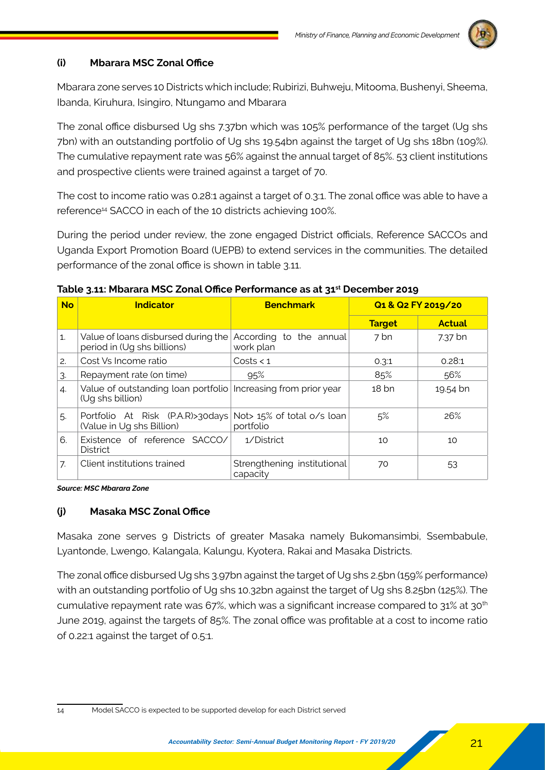#### **(i) Mbarara MSC Zonal Office**

Mbarara zone serves 10 Districts which include; Rubirizi, Buhweju, Mitooma, Bushenyi, Sheema, Ibanda, Kiruhura, Isingiro, Ntungamo and Mbarara

The zonal office disbursed Ug shs 7.37bn which was 105% performance of the target (Ug shs 7bn) with an outstanding portfolio of Ug shs 19.54bn against the target of Ug shs 18bn (109%). The cumulative repayment rate was 56% against the annual target of 85%. 53 client institutions and prospective clients were trained against a target of 70.

The cost to income ratio was 0.28:1 against a target of 0.3:1. The zonal office was able to have a reference<sup>14</sup> SACCO in each of the 10 districts achieving 100%.

During the period under review, the zone engaged District officials, Reference SACCOs and Uganda Export Promotion Board (UEPB) to extend services in the communities. The detailed performance of the zonal office is shown in table 3.11.

| <b>No</b> | <b>Indicator</b>                                                                   | <b>Benchmark</b>                        | Q1 & Q2 FY 2019/20 |               |  |
|-----------|------------------------------------------------------------------------------------|-----------------------------------------|--------------------|---------------|--|
|           |                                                                                    |                                         | <b>Target</b>      | <b>Actual</b> |  |
| 1.        | Value of loans disbursed during the<br>period in (Ug shs billions)                 | According to the annual<br>work plan    | 7 bn               | 7.37 bn       |  |
| 2.        | Cost Vs Income ratio                                                               | Costs < 1                               | 0.31               | 0.28:1        |  |
| З.        | Repayment rate (on time)                                                           | 95%                                     | 85%                | 56%           |  |
| 4.        | Value of outstanding loan portfolio Increasing from prior year<br>(Uq shs billion) |                                         | 18 <sub>bn</sub>   | 19.54 bn      |  |
| 5.        | Portfolio At Risk (P.A.R)>30days<br>(Value in Ug shs Billion)                      | Not> 15% of total o/s loan<br>portfolio | 5%                 | 26%           |  |
| 6.        | Existence of reference SACCO/<br><b>District</b>                                   | 1/District                              | 10                 | 10            |  |
| 7.        | Client institutions trained                                                        | Strengthening institutional<br>capacity | 70                 | 53            |  |

#### **Table 3.11: Mbarara MSC Zonal Office Performance as at 31st December 2019**

*Source: MSC Mbarara Zone*

#### **(j) Masaka MSC Zonal Office**

Masaka zone serves 9 Districts of greater Masaka namely Bukomansimbi, Ssembabule, Lyantonde, Lwengo, Kalangala, Kalungu, Kyotera, Rakai and Masaka Districts.

The zonal office disbursed Ug shs 3.97bn against the target of Ug shs 2.5bn (159% performance) with an outstanding portfolio of Ug shs 10.32bn against the target of Ug shs 8.25bn (125%). The cumulative repayment rate was 67%, which was a significant increase compared to 31% at 30th June 2019, against the targets of 85%. The zonal office was profitable at a cost to income ratio of 0.22:1 against the target of 0.5:1.

14 Model SACCO is expected to be supported develop for each District served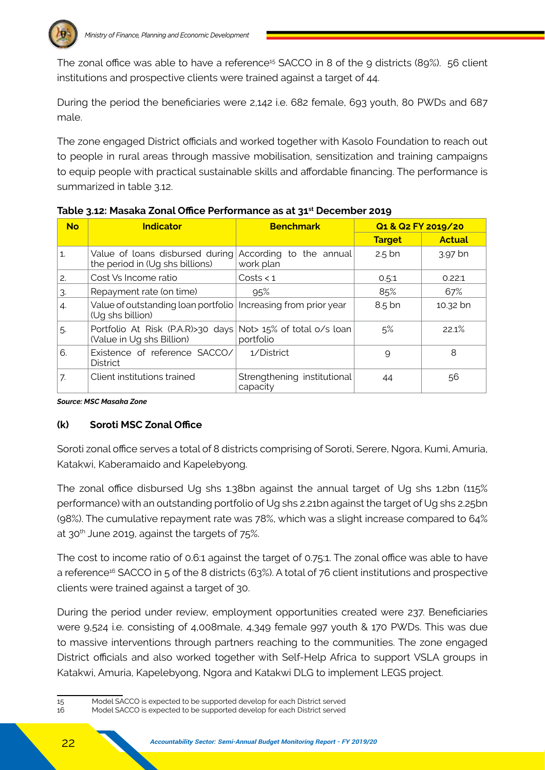

The zonal office was able to have a reference<sup>15</sup> SACCO in 8 of the 9 districts (89%). 56 client institutions and prospective clients were trained against a target of 44.

During the period the beneficiaries were 2,142 i.e. 682 female, 693 youth, 80 PWDs and 687 male.

The zone engaged District officials and worked together with Kasolo Foundation to reach out to people in rural areas through massive mobilisation, sensitization and training campaigns to equip people with practical sustainable skills and affordable financing. The performance is summarized in table 3.12.

| <b>No</b>    | <b>Indicator</b>                                                                          | <b>Benchmark</b>                        | Q1 & Q2 FY 2019/20 |          |
|--------------|-------------------------------------------------------------------------------------------|-----------------------------------------|--------------------|----------|
|              |                                                                                           |                                         | <b>Target</b>      | Actual   |
| $\mathbf{1}$ | Value of loans disbursed during<br>the period in (Ug shs billions)                        | According to the annual<br>work plan    | $2.5 \text{ bn}$   | 3.97 bn  |
| 2.           | Cost Vs Income ratio                                                                      | Costs $<$ 1                             | 0.5:1              | 0.22:1   |
| 3.           | Repayment rate (on time)                                                                  | 95%                                     | 85%                | 67%      |
| 4.           | Value of outstanding loan portfolio   Increasing from prior year<br>(Ug shs billion)      |                                         | $8.5 \text{ bn}$   | 10.32 bn |
| 5.           | Portfolio At Risk (P.A.R)>30 days Not> 15% of total o/s loan<br>(Value in Ug shs Billion) | portfolio                               | 5%                 | 22.1%    |
| 6.           | Existence of reference SACCO/<br><b>District</b>                                          | 1/District                              | 9                  | 8        |
| 7.           | Client institutions trained                                                               | Strengthening institutional<br>capacity | 44                 | 56       |

| Table 3.12: Masaka Zonal Office Performance as at 31 <sup>st</sup> December 2019 |  |
|----------------------------------------------------------------------------------|--|
|----------------------------------------------------------------------------------|--|

*Source: MSC Masaka Zone*

#### **(k) Soroti MSC Zonal Office**

Soroti zonal office serves a total of 8 districts comprising of Soroti, Serere, Ngora, Kumi, Amuria, Katakwi, Kaberamaido and Kapelebyong.

The zonal office disbursed Ug shs 1.38bn against the annual target of Ug shs 1.2bn (115% performance) with an outstanding portfolio of Ug shs 2.21bn against the target of Ug shs 2.25bn (98%). The cumulative repayment rate was 78%, which was a slight increase compared to 64% at  $30<sup>th</sup>$  June 2019, against the targets of  $75%$ .

The cost to income ratio of 0.6:1 against the target of 0.75:1. The zonal office was able to have a reference<sup>16</sup> SACCO in 5 of the 8 districts (63%). A total of 76 client institutions and prospective clients were trained against a target of 30.

During the period under review, employment opportunities created were 237. Beneficiaries were 9,524 i.e. consisting of 4,008male, 4,349 female 997 youth & 170 PWDs. This was due to massive interventions through partners reaching to the communities. The zone engaged District officials and also worked together with Self-Help Africa to support VSLA groups in Katakwi, Amuria, Kapelebyong, Ngora and Katakwi DLG to implement LEGS project.

<sup>15</sup> Model SACCO is expected to be supported develop for each District served

<sup>16</sup> Model SACCO is expected to be supported develop for each District served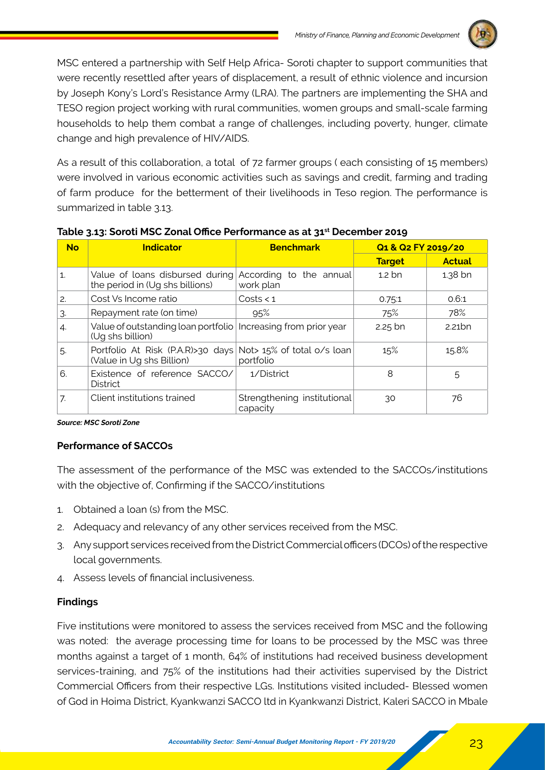

MSC entered a partnership with Self Help Africa- Soroti chapter to support communities that were recently resettled after years of displacement, a result of ethnic violence and incursion by Joseph Kony's Lord's Resistance Army (LRA). The partners are implementing the SHA and TESO region project working with rural communities, women groups and small-scale farming households to help them combat a range of challenges, including poverty, hunger, climate change and high prevalence of HIV/AIDS.

As a result of this collaboration, a total of 72 farmer groups ( each consisting of 15 members) were involved in various economic activities such as savings and credit, farming and trading of farm produce for the betterment of their livelihoods in Teso region. The performance is summarized in table 3.13.

| <b>No</b>     | <b>Indicator</b>                                                                          | <b>Benchmark</b>                        | Q1 & Q2 FY 2019/20 |               |
|---------------|-------------------------------------------------------------------------------------------|-----------------------------------------|--------------------|---------------|
|               |                                                                                           |                                         | <b>Target</b>      | <b>Actual</b> |
| $\mathbf{1}$  | Value of loans disbursed during<br>the period in (Ug shs billions)                        | According to the annual<br>work plan    | $1.2 \text{ bn}$   | $1.38$ bn     |
| <sup>2.</sup> | Cost Vs Income ratio                                                                      | Costs $<$ 1                             | 0.75.1             | 0.6:1         |
| 3.            | Repayment rate (on time)                                                                  | 95%                                     | 75%                | 78%           |
| 4.            | Value of outstanding loan portfolio   Increasing from prior year<br>(Uq shs billion)      |                                         | $2.25$ bn          | $2.21$ bn     |
| 5.            | Portfolio At Risk (P.A.R)>30 days Not> 15% of total o/s loan<br>(Value in Uq shs Billion) | portfolio                               | 15%                | 15.8%         |
| 6.            | Existence of reference SACCO/<br><b>District</b>                                          | 1/District                              | 8                  | 5             |
| 7.            | Client institutions trained                                                               | Strengthening institutional<br>capacity | 30                 | 76            |

#### **Table 3.13: Soroti MSC Zonal Office Performance as at 31st December 2019**

*Source: MSC Soroti Zone*

#### **Performance of SACCOs**

The assessment of the performance of the MSC was extended to the SACCOs/institutions with the objective of, Confirming if the SACCO/institutions

- 1. Obtained a loan (s) from the MSC.
- 2. Adequacy and relevancy of any other services received from the MSC.
- 3. Any support services received from the District Commercial officers (DCOs) of the respective local governments.
- 4. Assess levels of financial inclusiveness.

#### **Findings**

Five institutions were monitored to assess the services received from MSC and the following was noted: the average processing time for loans to be processed by the MSC was three months against a target of 1 month, 64% of institutions had received business development services-training, and 75% of the institutions had their activities supervised by the District Commercial Officers from their respective LGs. Institutions visited included- Blessed women of God in Hoima District, Kyankwanzi SACCO ltd in Kyankwanzi District, Kaleri SACCO in Mbale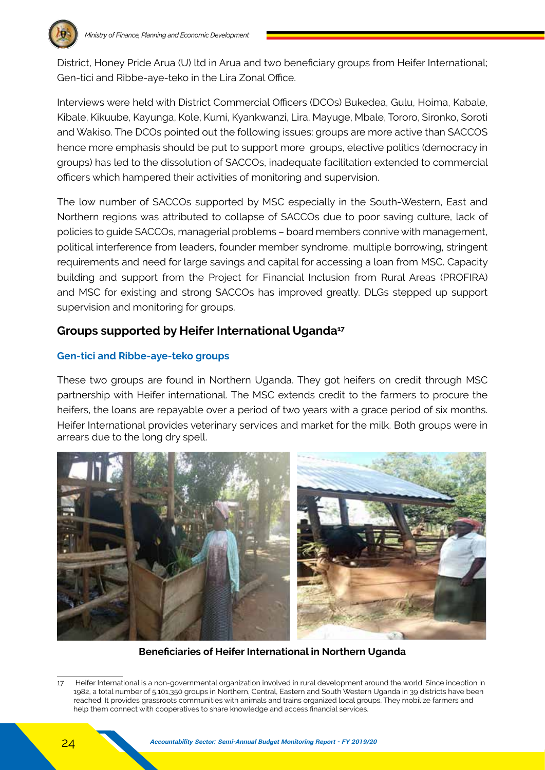District, Honey Pride Arua (U) ltd in Arua and two beneficiary groups from Heifer International; Gen-tici and Ribbe-aye-teko in the Lira Zonal Office.

Interviews were held with District Commercial Officers (DCOs) Bukedea, Gulu, Hoima, Kabale, Kibale, Kikuube, Kayunga, Kole, Kumi, Kyankwanzi, Lira, Mayuge, Mbale, Tororo, Sironko, Soroti and Wakiso. The DCOs pointed out the following issues: groups are more active than SACCOS hence more emphasis should be put to support more groups, elective politics (democracy in groups) has led to the dissolution of SACCOs, inadequate facilitation extended to commercial officers which hampered their activities of monitoring and supervision.

The low number of SACCOs supported by MSC especially in the South-Western, East and Northern regions was attributed to collapse of SACCOs due to poor saving culture, lack of policies to guide SACCOs, managerial problems – board members connive with management, political interference from leaders, founder member syndrome, multiple borrowing, stringent requirements and need for large savings and capital for accessing a loan from MSC. Capacity building and support from the Project for Financial Inclusion from Rural Areas (PROFIRA) and MSC for existing and strong SACCOs has improved greatly. DLGs stepped up support supervision and monitoring for groups.

#### **Groups supported by Heifer International Uganda17**

#### **Gen-tici and Ribbe-aye-teko groups**

These two groups are found in Northern Uganda. They got heifers on credit through MSC partnership with Heifer international. The MSC extends credit to the farmers to procure the heifers, the loans are repayable over a period of two years with a grace period of six months. Heifer International provides veterinary services and market for the milk. Both groups were in arrears due to the long dry spell.



**Beneficiaries of Heifer International in Northern Uganda**

Heifer International is a non-governmental organization involved in rural development around the world. Since inception in 1982, a total number of 5,101,350 groups in Northern, Central, Eastern and South Western Uganda in 39 districts have been reached. It provides grassroots communities with animals and trains organized local groups. They mobilize farmers and help them connect with cooperatives to share knowledge and access financial services.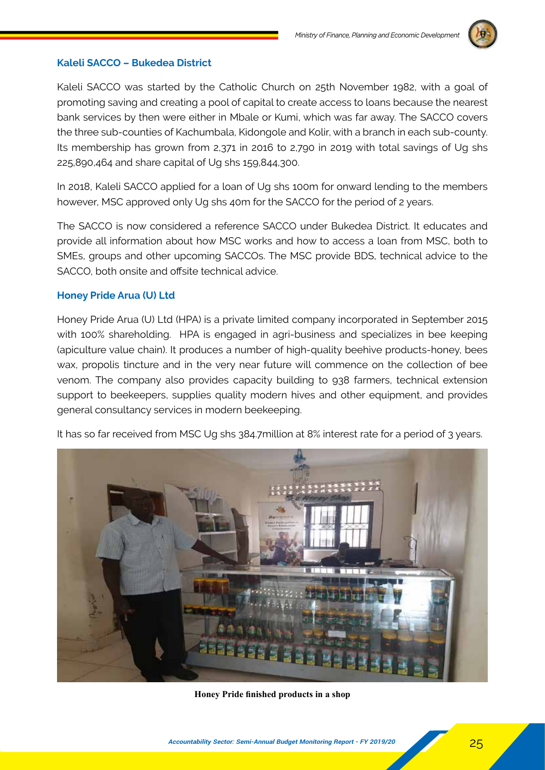

#### **Kaleli SACCO – Bukedea District**

Kaleli SACCO was started by the Catholic Church on 25th November 1982, with a goal of promoting saving and creating a pool of capital to create access to loans because the nearest bank services by then were either in Mbale or Kumi, which was far away. The SACCO covers the three sub-counties of Kachumbala, Kidongole and Kolir, with a branch in each sub-county. Its membership has grown from 2,371 in 2016 to 2,790 in 2019 with total savings of Ug shs 225,890,464 and share capital of Ug shs 159,844,300.

In 2018, Kaleli SACCO applied for a loan of Ug shs 100m for onward lending to the members however, MSC approved only Ug shs 40m for the SACCO for the period of 2 years.

The SACCO is now considered a reference SACCO under Bukedea District. It educates and provide all information about how MSC works and how to access a loan from MSC, both to SMEs, groups and other upcoming SACCOs. The MSC provide BDS, technical advice to the SACCO, both onsite and offsite technical advice.

#### **Honey Pride Arua (U) Ltd**

Honey Pride Arua (U) Ltd (HPA) is a private limited company incorporated in September 2015 with 100% shareholding. HPA is engaged in agri-business and specializes in bee keeping (apiculture value chain). It produces a number of high-quality beehive products-honey, bees wax, propolis tincture and in the very near future will commence on the collection of bee venom. The company also provides capacity building to 938 farmers, technical extension support to beekeepers, supplies quality modern hives and other equipment, and provides general consultancy services in modern beekeeping.

It has so far received from MSC Ug shs 384.7million at 8% interest rate for a period of 3 years.



**Honey Pride finished products in a shop**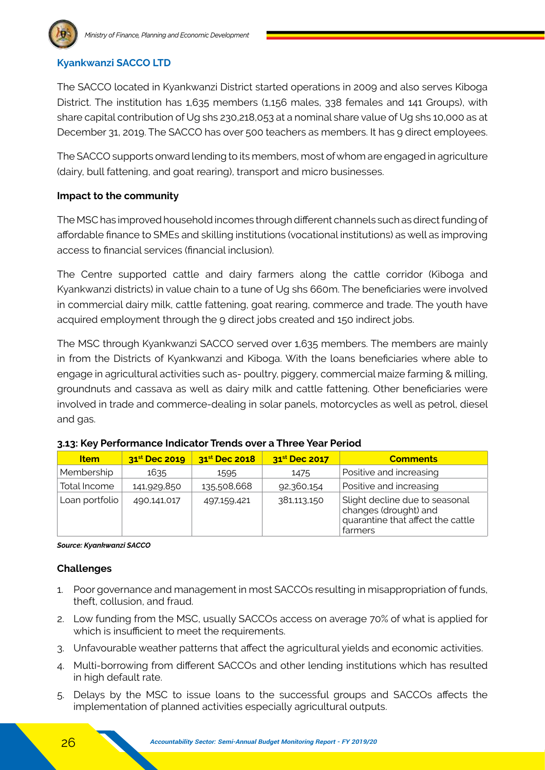

#### **Kyankwanzi SACCO LTD**

The SACCO located in Kyankwanzi District started operations in 2009 and also serves Kiboga District. The institution has 1,635 members (1,156 males, 338 females and 141 Groups), with share capital contribution of Ug shs 230,218,053 at a nominal share value of Ug shs 10,000 as at December 31, 2019. The SACCO has over 500 teachers as members. It has 9 direct employees.

The SACCO supports onward lending to its members, most of whom are engaged in agriculture (dairy, bull fattening, and goat rearing), transport and micro businesses.

#### **Impact to the community**

The MSC has improved household incomes through different channels such as direct funding of affordable finance to SMEs and skilling institutions (vocational institutions) as well as improving access to financial services (financial inclusion).

The Centre supported cattle and dairy farmers along the cattle corridor (Kiboga and Kyankwanzi districts) in value chain to a tune of Ug shs 660m. The beneficiaries were involved in commercial dairy milk, cattle fattening, goat rearing, commerce and trade. The youth have acquired employment through the 9 direct jobs created and 150 indirect jobs.

The MSC through Kyankwanzi SACCO served over 1,635 members. The members are mainly in from the Districts of Kyankwanzi and Kiboga. With the loans beneficiaries where able to engage in agricultural activities such as- poultry, piggery, commercial maize farming & milling, groundnuts and cassava as well as dairy milk and cattle fattening. Other beneficiaries were involved in trade and commerce-dealing in solar panels, motorcycles as well as petrol, diesel and gas.

| <b>Item</b>    | 31st Dec 2019 | 31st Dec 2018 | 31st Dec 2017 | <b>Comments</b>                                                                                         |
|----------------|---------------|---------------|---------------|---------------------------------------------------------------------------------------------------------|
| Membership     | 1635          | 1595          | 1475          | Positive and increasing                                                                                 |
| Total Income   | 141,929,850   | 135,508,668   | 92,360,154    | Positive and increasing                                                                                 |
| Loan portfolio | 490,141,017   | 497,159,421   | 381,113,150   | Slight decline due to seasonal<br>changes (drought) and<br>quarantine that affect the cattle<br>farmers |

| 3.13: Key Performance Indicator Trends over a Three Year Period |  |  |  |  |
|-----------------------------------------------------------------|--|--|--|--|
|-----------------------------------------------------------------|--|--|--|--|

*Source: Kyankwanzi SACCO*

#### **Challenges**

- 1. Poor governance and management in most SACCOs resulting in misappropriation of funds, theft, collusion, and fraud.
- 2. Low funding from the MSC, usually SACCOs access on average 70% of what is applied for which is insufficient to meet the requirements.
- 3. Unfavourable weather patterns that affect the agricultural yields and economic activities.
- 4. Multi-borrowing from different SACCOs and other lending institutions which has resulted in high default rate.
- 5. Delays by the MSC to issue loans to the successful groups and SACCOs affects the implementation of planned activities especially agricultural outputs.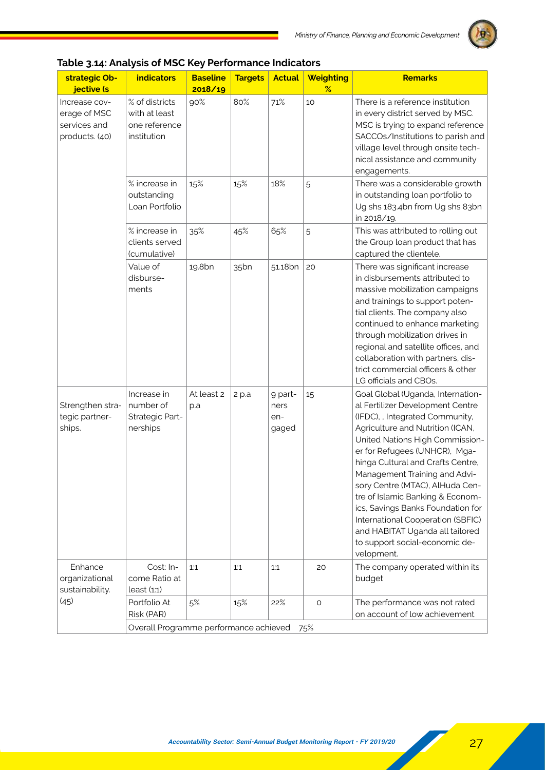

| iable 3.14. Analysis of moc Key Ferformance indicators                        |                                                                 |                   |                |                                 |                  |                                                                                                                                                                                                                                                                                                                                                                                                                                                                                                                            |
|-------------------------------------------------------------------------------|-----------------------------------------------------------------|-------------------|----------------|---------------------------------|------------------|----------------------------------------------------------------------------------------------------------------------------------------------------------------------------------------------------------------------------------------------------------------------------------------------------------------------------------------------------------------------------------------------------------------------------------------------------------------------------------------------------------------------------|
| strategic Ob-                                                                 | <b>indicators</b>                                               | <b>Baseline</b>   | <b>Targets</b> | <b>Actual</b>                   | <b>Weighting</b> | <b>Remarks</b>                                                                                                                                                                                                                                                                                                                                                                                                                                                                                                             |
| jective (s<br>Increase cov-<br>erage of MSC<br>services and<br>products. (40) | % of districts<br>with at least<br>one reference<br>institution | 2018/19<br>90%    | 80%            | 71%                             | %<br>10          | There is a reference institution<br>in every district served by MSC.<br>MSC is trying to expand reference<br>SACCOs/Institutions to parish and<br>village level through onsite tech-<br>nical assistance and community<br>engagements.                                                                                                                                                                                                                                                                                     |
|                                                                               | % increase in<br>outstanding<br>Loan Portfolio                  | 15%               | 15%            | 18%                             | 5                | There was a considerable growth<br>in outstanding loan portfolio to<br>Ug shs 183.4bn from Ug shs 83bn<br>in 2018/19.                                                                                                                                                                                                                                                                                                                                                                                                      |
|                                                                               | % increase in<br>clients served<br>(cumulative)                 | 35%               | 45%            | 65%                             | 5                | This was attributed to rolling out<br>the Group loan product that has<br>captured the clientele.                                                                                                                                                                                                                                                                                                                                                                                                                           |
|                                                                               | Value of<br>disburse-<br>ments                                  | 19.8bn            | 35bn           | 51.18bn                         | 20               | There was significant increase<br>in disbursements attributed to<br>massive mobilization campaigns<br>and trainings to support poten-<br>tial clients. The company also<br>continued to enhance marketing<br>through mobilization drives in<br>regional and satellite offices, and<br>collaboration with partners, dis-<br>trict commercial officers & other<br>LG officials and CBOs.                                                                                                                                     |
| Strengthen stra-<br>tegic partner-<br>ships.                                  | Increase in<br>number of<br>Strategic Part-<br>nerships         | At least 2<br>p.a | 2 p.a          | 9 part-<br>ners<br>en-<br>gaged | 15               | Goal Global (Uganda, Internation-<br>al Fertilizer Development Centre<br>(IFDC), , Integrated Community,<br>Agriculture and Nutrition (ICAN,<br>United Nations High Commission-<br>er for Refugees (UNHCR), Mga-<br>hinga Cultural and Crafts Centre,<br>Management Training and Advi-<br>sory Centre (MTAC), AlHuda Cen-<br>tre of Islamic Banking & Econom-<br>ics, Savings Banks Foundation for<br>International Cooperation (SBFIC)<br>and HABITAT Uganda all tailored<br>to support social-economic de-<br>velopment. |
| Enhance<br>organizational<br>sustainability.                                  | Cost: In-<br>come Ratio at<br>least(1:1)                        | 1:1               | 1:1            | 1:1                             | 20               | The company operated within its<br>budget                                                                                                                                                                                                                                                                                                                                                                                                                                                                                  |
| (45)                                                                          | Portfolio At<br>Risk (PAR)                                      | 5%                | 15%            | 22%                             | O                | The performance was not rated<br>on account of low achievement                                                                                                                                                                                                                                                                                                                                                                                                                                                             |
|                                                                               | Overall Programme performance achieved                          |                   |                |                                 | 75%              |                                                                                                                                                                                                                                                                                                                                                                                                                                                                                                                            |

#### **Table 3.14: Analysis of MSC Key Performance Indicators**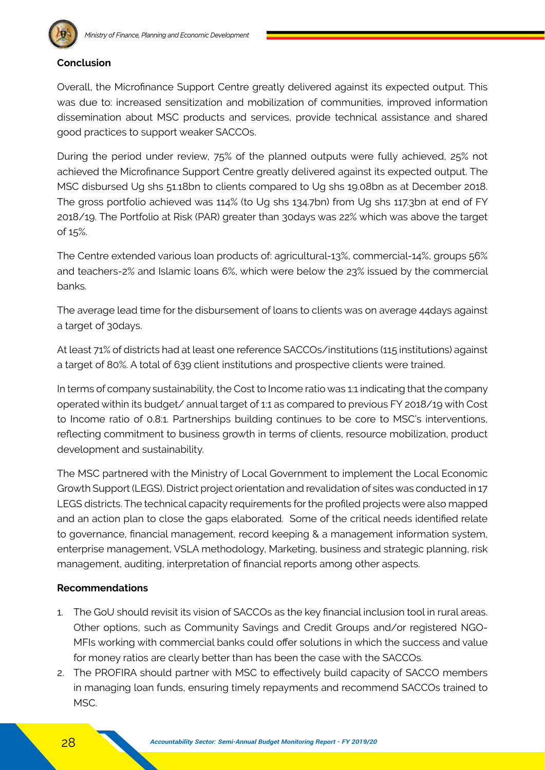

#### **Conclusion**

Overall, the Microfinance Support Centre greatly delivered against its expected output. This was due to: increased sensitization and mobilization of communities, improved information dissemination about MSC products and services, provide technical assistance and shared good practices to support weaker SACCOs.

During the period under review, 75% of the planned outputs were fully achieved, 25% not achieved the Microfinance Support Centre greatly delivered against its expected output. The MSC disbursed Ug shs 51.18bn to clients compared to Ug shs 19.08bn as at December 2018. The gross portfolio achieved was 114% (to Ug shs 134.7bn) from Ug shs 117.3bn at end of FY 2018/19. The Portfolio at Risk (PAR) greater than 30days was 22% which was above the target of 15%.

The Centre extended various loan products of: agricultural-13%, commercial-14%, groups 56% and teachers-2% and Islamic loans 6%, which were below the 23% issued by the commercial banks.

The average lead time for the disbursement of loans to clients was on average 44days against a target of 30days.

At least 71% of districts had at least one reference SACCOs/institutions (115 institutions) against a target of 80%. A total of 639 client institutions and prospective clients were trained.

In terms of company sustainability, the Cost to Income ratio was 1:1 indicating that the company operated within its budget/ annual target of 1:1 as compared to previous FY 2018/19 with Cost to Income ratio of 0.8:1. Partnerships building continues to be core to MSC's interventions, reflecting commitment to business growth in terms of clients, resource mobilization, product development and sustainability.

The MSC partnered with the Ministry of Local Government to implement the Local Economic Growth Support (LEGS). District project orientation and revalidation of sites was conducted in 17 LEGS districts. The technical capacity requirements for the profiled projects were also mapped and an action plan to close the gaps elaborated. Some of the critical needs identified relate to governance, financial management, record keeping & a management information system, enterprise management, VSLA methodology, Marketing, business and strategic planning, risk management, auditing, interpretation of financial reports among other aspects.

#### **Recommendations**

- 1. The GoU should revisit its vision of SACCOs as the key financial inclusion tool in rural areas. Other options, such as Community Savings and Credit Groups and/or registered NGO-MFIs working with commercial banks could offer solutions in which the success and value for money ratios are clearly better than has been the case with the SACCOs.
- 2. The PROFIRA should partner with MSC to effectively build capacity of SACCO members in managing loan funds, ensuring timely repayments and recommend SACCOs trained to MSC.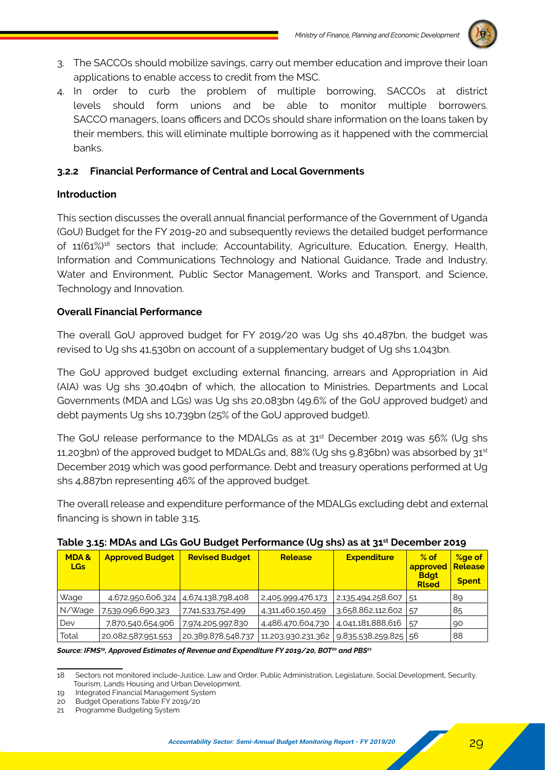

- 3. The SACCOs should mobilize savings, carry out member education and improve their loan applications to enable access to credit from the MSC.
- 4. In order to curb the problem of multiple borrowing, SACCOs at district levels should form unions and be able to monitor multiple borrowers. SACCO managers, loans officers and DCOs should share information on the loans taken by their members, this will eliminate multiple borrowing as it happened with the commercial banks.

#### **3.2.2 Financial Performance of Central and Local Governments**

#### **Introduction**

This section discusses the overall annual financial performance of the Government of Uganda (GoU) Budget for the FY 2019-20 and subsequently reviews the detailed budget performance of 11(61%)18 sectors that include; Accountability, Agriculture, Education, Energy, Health, Information and Communications Technology and National Guidance, Trade and Industry, Water and Environment, Public Sector Management, Works and Transport, and Science, Technology and Innovation.

#### **Overall Financial Performance**

The overall GoU approved budget for FY 2019/20 was Ug shs 40,487bn, the budget was revised to Ug shs 41,530bn on account of a supplementary budget of Ug shs 1,043bn.

The GoU approved budget excluding external financing, arrears and Appropriation in Aid (AIA) was Ug shs 30,404bn of which, the allocation to Ministries, Departments and Local Governments (MDA and LGs) was Ug shs 20,083bn (49.6% of the GoU approved budget) and debt payments Ug shs 10,739bn (25% of the GoU approved budget).

The GoU release performance to the MDALGs as at 31<sup>st</sup> December 2019 was 56% (Ug shs 11,203bn) of the approved budget to MDALGs and,  $88\%$  (Ug shs  $9,836$ bn) was absorbed by  $31<sup>st</sup>$ December 2019 which was good performance. Debt and treasury operations performed at Ug shs 4,887bn representing 46% of the approved budget.

The overall release and expenditure performance of the MDALGs excluding debt and external financing is shown in table 3.15.

| <b>MDA&amp;</b><br>LGs | <b>Approved Budget</b>              | <b>Revised Budget</b> | <b>Release</b>     | <b>Expenditure</b>     | $%$ of<br>approved<br><b>Bdgt</b><br><b>Rlsed</b> | %ge of<br>Release<br><b>Spent</b> |
|------------------------|-------------------------------------|-----------------------|--------------------|------------------------|---------------------------------------------------|-----------------------------------|
| Wage                   | 4,672,950,606,324 4,674,138,798,408 |                       | 2,405,999,476,173  | 2,135,494,258,607      | 151                                               | 89                                |
| N/Waqe                 | 7,539,096,690,323                   | 7,741,533,752,499     | 4,311,460,150,459  | 3.658.862,112,602 57   |                                                   | 85                                |
| Dev                    | 7,870,540,654,906                   | 7,974,205,997,830     | 4,486,470,604,730  | 4,041,181,888,616      | . 57                                              | 90                                |
| Total                  | 20,082,587,951,553                  | 20,389,878,548,737    | 11,203,930,231,362 | 9,835,538,259,825   56 |                                                   | 88                                |

#### **Table 3.15: MDAs and LGs GoU Budget Performance (Ug shs) as at 31st December 2019**

*Source: IFMS19, Approved Estimates of Revenue and Expenditure FY 2019/20, BOT20 and PBS21*

<sup>18</sup> Sectors not monitored include-Justice, Law and Order, Public Administration, Legislature, Social Development, Security, Tourism, Lands Housing and Urban Development.

<sup>19</sup> Integrated Financial Management System

<sup>20</sup> Budget Operations Table FY 2019/20

<sup>21</sup> Programme Budgeting System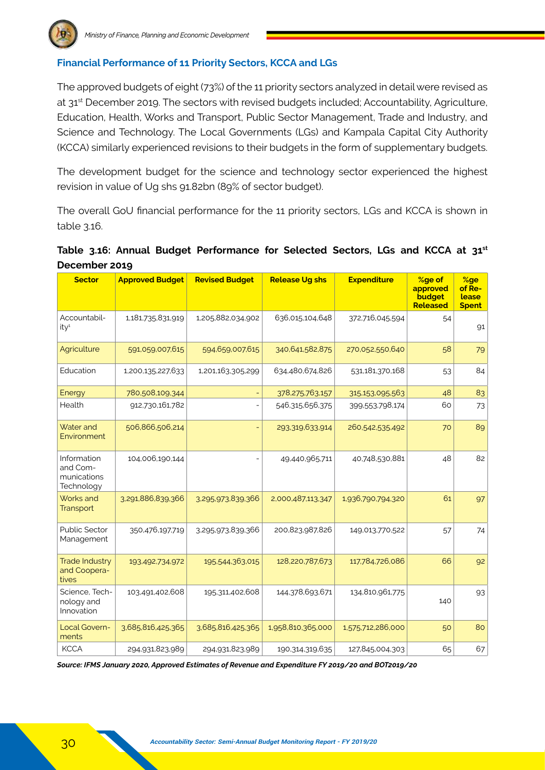

#### **Financial Performance of 11 Priority Sectors, KCCA and LGs**

The approved budgets of eight (73%) of the 11 priority sectors analyzed in detail were revised as at 31<sup>st</sup> December 2019. The sectors with revised budgets included; Accountability, Agriculture, Education, Health, Works and Transport, Public Sector Management, Trade and Industry, and Science and Technology. The Local Governments (LGs) and Kampala Capital City Authority (KCCA) similarly experienced revisions to their budgets in the form of supplementary budgets.

The development budget for the science and technology sector experienced the highest revision in value of Ug shs 91.82bn (89% of sector budget).

The overall GoU financial performance for the 11 priority sectors, LGs and KCCA is shown in table 3.16.

#### **Table 3.16: Annual Budget Performance for Selected Sectors, LGs and KCCA at 31st December 2019**

| <b>Sector</b>                                        | <b>Approved Budget</b> | <b>Revised Budget</b> | <b>Release Ug shs</b> | <b>Expenditure</b> | %ge of<br>approved<br>budget<br><b>Released</b> | %ge<br>of Re-<br>lease<br><b>Spent</b> |
|------------------------------------------------------|------------------------|-----------------------|-----------------------|--------------------|-------------------------------------------------|----------------------------------------|
| Accountabil-<br>itv <sup>1</sup>                     | 1,181,735,831,919      | 1,205,882,034,902     | 636,015,104,648       | 372,716,045,594    | 54                                              | 91                                     |
| Agriculture                                          | 591,059,007,615        | 594,659,007,615       | 340,641,582,875       | 270,052,550,640    | 58                                              | 79                                     |
| Education                                            | 1,200,135,227,633      | 1,201,163,305,299     | 634,480,674,826       | 531,181,370,168    | 53                                              | 84                                     |
| Energy                                               | 780,508,109,344        |                       | 378,275,763,157       | 315,153,095,563    | 48                                              | 83                                     |
| Health                                               | 912,730,161,782        |                       | 546,315,656,375       | 399,553,798,174    | 60                                              | 73                                     |
| <b>Water and</b><br>Environment                      | 506,866,506,214        |                       | 293,319,633,914       | 260,542,535,492    | 70                                              | 89                                     |
| Information<br>and Com-<br>munications<br>Technology | 104,006,190,144        |                       | 49,440,965,711        | 40,748,530,881     | 48                                              | 82                                     |
| <b>Works and</b><br><b>Transport</b>                 | 3,291,886,839,366      | 3,295,973,839,366     | 2,000,487,113,347     | 1,936,790,794,320  | 61                                              | 97                                     |
| <b>Public Sector</b><br>Management                   | 350,476,197,719        | 3,295,973,839,366     | 200,823,987,826       | 149,013,770,522    | 57                                              | 74                                     |
| <b>Trade Industry</b><br>and Coopera-<br>tives       | 193,492,734,972        | 195,544,363,015       | 128,220,787,673       | 117,784,726,086    | 66                                              | 92                                     |
| Science, Tech-<br>nology and<br>Innovation           | 103,491,402,608        | 195,311,402,608       | 144,378,693,671       | 134,810,961,775    | 140                                             | 93                                     |
| Local Govern-<br>ments                               | 3,685,816,425,365      | 3,685,816,425,365     | 1,958,810,365,000     | 1,575,712,286,000  | 50                                              | 80                                     |
| <b>KCCA</b>                                          | 294,931,823,989        | 294,931,823,989       | 190,314,319,635       | 127,845,004,303    | 65                                              | 67                                     |

*Source: IFMS January 2020, Approved Estimates of Revenue and Expenditure FY 2019/20 and BOT2019/20*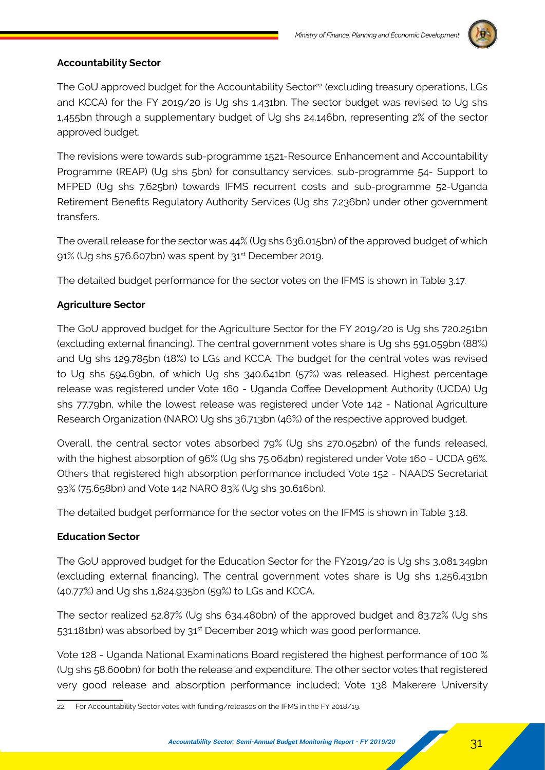

#### **Accountability Sector**

The GoU approved budget for the Accountability Sector<sup>22</sup> (excluding treasury operations, LGs and KCCA) for the FY 2019/20 is Ug shs 1,431bn. The sector budget was revised to Ug shs 1,455bn through a supplementary budget of Ug shs 24.146bn, representing 2% of the sector approved budget.

The revisions were towards sub-programme 1521-Resource Enhancement and Accountability Programme (REAP) (Ug shs 5bn) for consultancy services, sub-programme 54- Support to MFPED (Ug shs 7.625bn) towards IFMS recurrent costs and sub-programme 52-Uganda Retirement Benefits Regulatory Authority Services (Ug shs 7.236bn) under other government transfers.

The overall release for the sector was 44% (Ug shs 636.015bn) of the approved budget of which 91% (Uq shs 576.607bn) was spent by 31<sup>st</sup> December 2019.

The detailed budget performance for the sector votes on the IFMS is shown in Table 3.17.

#### **Agriculture Sector**

The GoU approved budget for the Agriculture Sector for the FY 2019/20 is Ug shs 720.251bn (excluding external financing). The central government votes share is Ug shs 591.059bn (88%) and Ug shs 129.785bn (18%) to LGs and KCCA. The budget for the central votes was revised to Ug shs 594.69bn, of which Ug shs 340.641bn (57%) was released. Highest percentage release was registered under Vote 160 - Uganda Coffee Development Authority (UCDA) Ug shs 77.79bn, while the lowest release was registered under Vote 142 - National Agriculture Research Organization (NARO) Ug shs 36.713bn (46%) of the respective approved budget.

Overall, the central sector votes absorbed 79% (Ug shs 270.052bn) of the funds released, with the highest absorption of 96% (Ug shs 75.064bn) registered under Vote 160 - UCDA 96%. Others that registered high absorption performance included Vote 152 - NAADS Secretariat 93% (75.658bn) and Vote 142 NARO 83% (Ug shs 30.616bn).

The detailed budget performance for the sector votes on the IFMS is shown in Table 3.18.

#### **Education Sector**

The GoU approved budget for the Education Sector for the FY2019/20 is Ug shs 3,081.349bn (excluding external financing). The central government votes share is Ug shs 1,256.431bn (40.77%) and Ug shs 1,824.935bn (59%) to LGs and KCCA.

The sector realized 52.87% (Ug shs 634.480bn) of the approved budget and 83.72% (Ug shs  $531.181$ bn) was absorbed by  $31<sup>st</sup>$  December 2019 which was good performance.

Vote 128 - Uganda National Examinations Board registered the highest performance of 100 % (Ug shs 58.600bn) for both the release and expenditure. The other sector votes that registered very good release and absorption performance included; Vote 138 Makerere University

<sup>22</sup> For Accountability Sector votes with funding/releases on the IFMS in the FY 2018/19.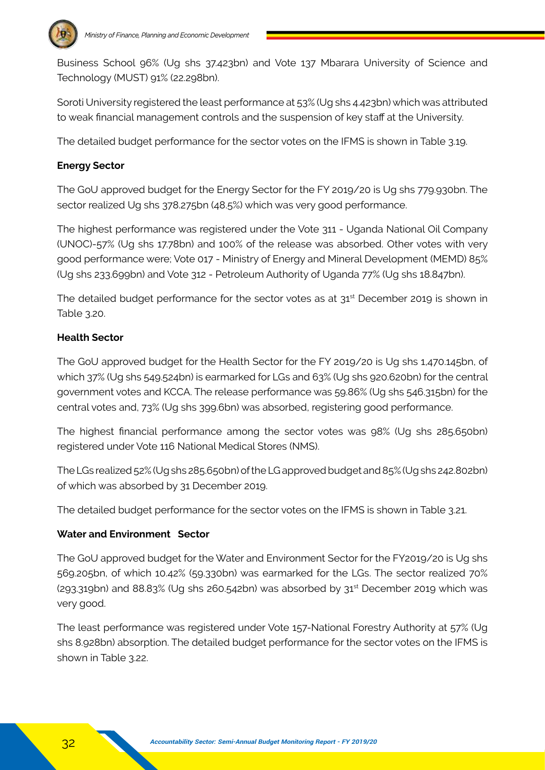

Business School 96% (Ug shs 37.423bn) and Vote 137 Mbarara University of Science and Technology (MUST) 91% (22.298bn).

Soroti University registered the least performance at 53% (Ug shs 4.423bn) which was attributed to weak financial management controls and the suspension of key staff at the University.

The detailed budget performance for the sector votes on the IFMS is shown in Table 3.19.

#### **Energy Sector**

The GoU approved budget for the Energy Sector for the FY 2019/20 is Ug shs 779.930bn. The sector realized Ug shs 378.275bn (48.5%) which was very good performance.

The highest performance was registered under the Vote 311 - Uganda National Oil Company (UNOC)-57% (Ug shs 17.78bn) and 100% of the release was absorbed. Other votes with very good performance were; Vote 017 - Ministry of Energy and Mineral Development (MEMD) 85% (Ug shs 233.699bn) and Vote 312 - Petroleum Authority of Uganda 77% (Ug shs 18.847bn).

The detailed budget performance for the sector votes as at  $31<sup>st</sup>$  December 2019 is shown in Table 3.20.

#### **Health Sector**

The GoU approved budget for the Health Sector for the FY 2019/20 is Ug shs 1,470.145bn, of which 37% (Ug shs 549.524bn) is earmarked for LGs and 63% (Ug shs 920.620bn) for the central government votes and KCCA. The release performance was 59.86% (Ug shs 546.315bn) for the central votes and, 73% (Ug shs 399.6bn) was absorbed, registering good performance.

The highest financial performance among the sector votes was 98% (Ug shs 285.650bn) registered under Vote 116 National Medical Stores (NMS).

The LGs realized 52% (Ug shs 285.650bn) of the LG approved budget and 85% (Ug shs 242.802bn) of which was absorbed by 31 December 2019.

The detailed budget performance for the sector votes on the IFMS is shown in Table 3.21.

#### **Water and Environment Sector**

The GoU approved budget for the Water and Environment Sector for the FY2019/20 is Ug shs 569.205bn, of which 10.42% (59.330bn) was earmarked for the LGs. The sector realized 70%  $(293.319$ bn) and 88.83% (Ug shs 260.542bn) was absorbed by  $31<sup>st</sup>$  December 2019 which was very good.

The least performance was registered under Vote 157-National Forestry Authority at 57% (Ug shs 8.928bn) absorption. The detailed budget performance for the sector votes on the IFMS is shown in Table 3.22.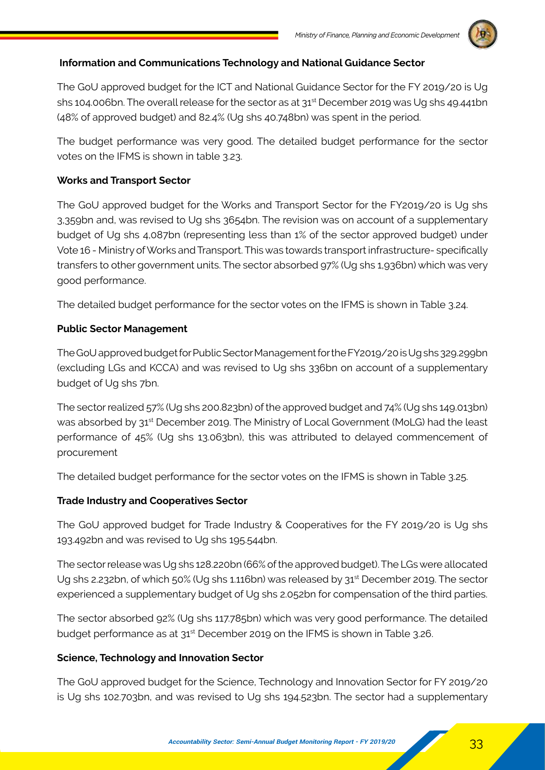#### **Information and Communications Technology and National Guidance Sector**

The GoU approved budget for the ICT and National Guidance Sector for the FY 2019/20 is Ug shs 104.006bn. The overall release for the sector as at 31<sup>st</sup> December 2019 was Ug shs 49.441bn (48% of approved budget) and 82.4% (Ug shs 40.748bn) was spent in the period.

The budget performance was very good. The detailed budget performance for the sector votes on the IFMS is shown in table 3.23.

#### **Works and Transport Sector**

The GoU approved budget for the Works and Transport Sector for the FY2019/20 is Ug shs 3,359bn and, was revised to Ug shs 3654bn. The revision was on account of a supplementary budget of Ug shs 4,087bn (representing less than 1% of the sector approved budget) under Vote 16 - Ministry of Works and Transport. This was towards transport infrastructure- specifically transfers to other government units. The sector absorbed 97% (Ug shs 1,936bn) which was very good performance.

The detailed budget performance for the sector votes on the IFMS is shown in Table 3.24.

#### **Public Sector Management**

The GoU approved budget for Public Sector Management for the FY2019/20 is Ug shs 329.299bn (excluding LGs and KCCA) and was revised to Ug shs 336bn on account of a supplementary budget of Ug shs 7bn.

The sector realized 57% (Ug shs 200.823bn) of the approved budget and 74% (Ug shs 149.013bn) was absorbed by 31<sup>st</sup> December 2019. The Ministry of Local Government (MoLG) had the least performance of 45% (Ug shs 13.063bn), this was attributed to delayed commencement of procurement

The detailed budget performance for the sector votes on the IFMS is shown in Table 3.25.

#### **Trade Industry and Cooperatives Sector**

The GoU approved budget for Trade Industry & Cooperatives for the FY 2019/20 is Ug shs 193.492bn and was revised to Ug shs 195.544bn.

The sector release was Ug shs 128.220bn (66% of the approved budget). The LGs were allocated Ug shs 2.232bn, of which 50% (Ug shs 1.116bn) was released by 31<sup>st</sup> December 2019. The sector experienced a supplementary budget of Ug shs 2.052bn for compensation of the third parties.

The sector absorbed 92% (Ug shs 117.785bn) which was very good performance. The detailed budget performance as at 31<sup>st</sup> December 2019 on the IFMS is shown in Table 3.26.

#### **Science, Technology and Innovation Sector**

The GoU approved budget for the Science, Technology and Innovation Sector for FY 2019/20 is Ug shs 102.703bn, and was revised to Ug shs 194.523bn. The sector had a supplementary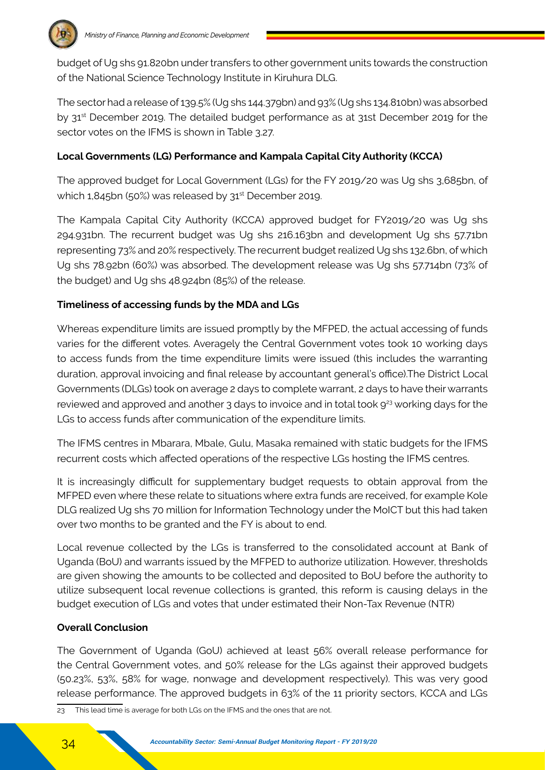

budget of Ug shs 91.820bn under transfers to other government units towards the construction of the National Science Technology Institute in Kiruhura DLG.

The sector had a release of 139.5% (Ug shs 144.379bn) and 93% (Ug shs 134.810bn) was absorbed by 31st December 2019. The detailed budget performance as at 31st December 2019 for the sector votes on the IFMS is shown in Table 3.27.

#### **Local Governments (LG) Performance and Kampala Capital City Authority (KCCA)**

The approved budget for Local Government (LGs) for the FY 2019/20 was Ug shs 3,685bn, of which 1,845bn (50%) was released by 31<sup>st</sup> December 2019.

The Kampala Capital City Authority (KCCA) approved budget for FY2019/20 was Ug shs 294.931bn. The recurrent budget was Ug shs 216.163bn and development Ug shs 57.71bn representing 73% and 20% respectively. The recurrent budget realized Ug shs 132.6bn, of which Ug shs 78.92bn (60%) was absorbed. The development release was Ug shs 57.714bn (73% of the budget) and Ug shs 48.924bn (85%) of the release.

#### **Timeliness of accessing funds by the MDA and LGs**

Whereas expenditure limits are issued promptly by the MFPED, the actual accessing of funds varies for the different votes. Averagely the Central Government votes took 10 working days to access funds from the time expenditure limits were issued (this includes the warranting duration, approval invoicing and final release by accountant general's office).The District Local Governments (DLGs) took on average 2 days to complete warrant, 2 days to have their warrants reviewed and approved and another 3 days to invoice and in total took 9<sup>23</sup> working days for the LGs to access funds after communication of the expenditure limits.

The IFMS centres in Mbarara, Mbale, Gulu, Masaka remained with static budgets for the IFMS recurrent costs which affected operations of the respective LGs hosting the IFMS centres.

It is increasingly difficult for supplementary budget requests to obtain approval from the MFPED even where these relate to situations where extra funds are received, for example Kole DLG realized Ug shs 70 million for Information Technology under the MoICT but this had taken over two months to be granted and the FY is about to end.

Local revenue collected by the LGs is transferred to the consolidated account at Bank of Uganda (BoU) and warrants issued by the MFPED to authorize utilization. However, thresholds are given showing the amounts to be collected and deposited to BoU before the authority to utilize subsequent local revenue collections is granted, this reform is causing delays in the budget execution of LGs and votes that under estimated their Non-Tax Revenue (NTR)

#### **Overall Conclusion**

The Government of Uganda (GoU) achieved at least 56% overall release performance for the Central Government votes, and 50% release for the LGs against their approved budgets (50.23%, 53%, 58% for wage, nonwage and development respectively). This was very good release performance. The approved budgets in 63% of the 11 priority sectors, KCCA and LGs

<sup>23</sup> This lead time is average for both LGs on the IFMS and the ones that are not.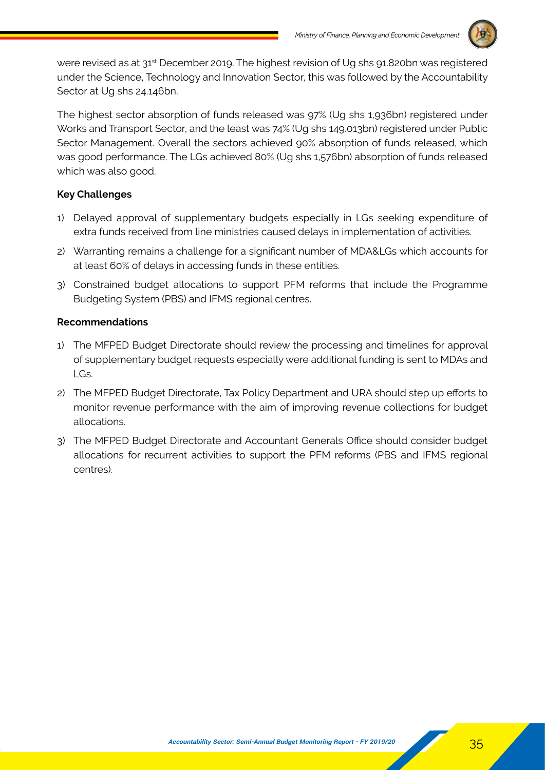

were revised as at 31<sup>st</sup> December 2019. The highest revision of Ug shs 91.820bn was registered under the Science, Technology and Innovation Sector, this was followed by the Accountability Sector at Ug shs 24.146bn.

The highest sector absorption of funds released was 97% (Ug shs 1,936bn) registered under Works and Transport Sector, and the least was 74% (Ug shs 149.013bn) registered under Public Sector Management. Overall the sectors achieved 90% absorption of funds released, which was good performance. The LGs achieved 80% (Ug shs 1,576bn) absorption of funds released which was also good.

#### **Key Challenges**

- 1) Delayed approval of supplementary budgets especially in LGs seeking expenditure of extra funds received from line ministries caused delays in implementation of activities.
- 2) Warranting remains a challenge for a significant number of MDA&LGs which accounts for at least 60% of delays in accessing funds in these entities.
- 3) Constrained budget allocations to support PFM reforms that include the Programme Budgeting System (PBS) and IFMS regional centres.

#### **Recommendations**

- 1) The MFPED Budget Directorate should review the processing and timelines for approval of supplementary budget requests especially were additional funding is sent to MDAs and LGs.
- 2) The MFPED Budget Directorate, Tax Policy Department and URA should step up efforts to monitor revenue performance with the aim of improving revenue collections for budget allocations.
- 3) The MFPED Budget Directorate and Accountant Generals Office should consider budget allocations for recurrent activities to support the PFM reforms (PBS and IFMS regional centres).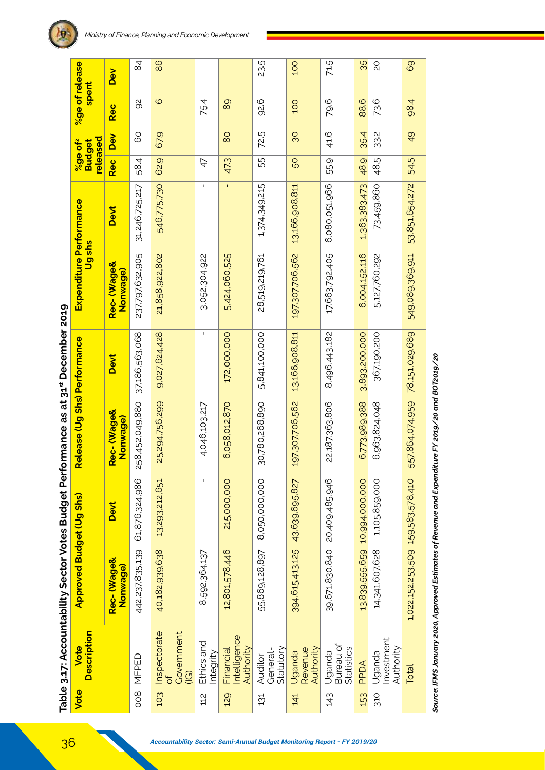| i<br> <br>                        |  |
|-----------------------------------|--|
| .<br>.<br><b>Calculation</b>      |  |
| י<br>בית היה ביר<br>$\frac{1}{2}$ |  |
| ،<br>٥                            |  |
| י<br>י                            |  |
| $\ddot{\phantom{a}}$<br>׆֧֛       |  |
|                                   |  |
|                                   |  |
|                                   |  |
| j<br>ĺ                            |  |

|                             | <b>Description</b><br>Vote             | <b>Approved Budget (Ug Shs)</b> |                 | Release (Ug Shs) Performance |                | Expenditure Performance<br>Ug shs |                | released<br>%ge of <sup>2</sup><br><b>Budget</b> |                | %ge of release<br>spent |      |
|-----------------------------|----------------------------------------|---------------------------------|-----------------|------------------------------|----------------|-----------------------------------|----------------|--------------------------------------------------|----------------|-------------------------|------|
|                             |                                        | Rec-Wage&<br>Nonwage)           | Devt            | Rec-Wage&<br>Nonwage)        | Devt           | Rec-Wage&<br>Nonwage)             | Devt           | <b>Rec</b>                                       | Dev            | <b>Rec</b>              | Dev  |
|                             | <b>MFPED</b>                           | 442,237,835,139                 | 61,876,324,986  | 258,452,049,880              | 37,186,563,068 | 237.797.632.905                   | 31,246,725,217 | 58.4                                             | $\infty$       | $\frac{2}{9}$           | 84   |
| $\widehat{\mathbb{G}}$<br>ð | Inspectorate<br>Government             | 40,182,939,638                  | 13,293,212,651  | 25,294,756,299               | 9,027,624,428  | 21,858,922,802                    | 546,775,730    | 62.9                                             | 67.9           | $\circ$                 | 86   |
|                             | Ethics and<br>Integrity                | 8,592,364,137                   | $\mathsf I$     | 4.046.103.217                | $\mathbf I$    | 3.052.304.922                     | $\mathsf I$    | 47                                               |                | 75.4                    |      |
|                             | Intelligence<br>Authority<br>Financial | 12,801,578,446                  | 215,000,000     | 6,058,012,870                | 172,000,000    | 5.424.060.525                     | $\mathbf I$    | 47.3                                             | $80$           | 89                      |      |
|                             | Statutory<br>General-<br>Auditor       | 55.869.128.897                  | 8,050,000,000   | 30,780,268,890               | 5.841.100,000  | 28,519,219,761                    | 1,374,349,215  | 55                                               | 72.5           | 92.6                    | 23.5 |
|                             | Authority<br>Revenue<br>Uganda         | 394, 615, 413, 125              | 43.639.695.827  | 197,307,706,562              | 13.166,908,811 | 197.307.706.562                   | 13.166,908,811 | 50                                               | $\infty$       | 100                     | 100  |
|                             | Bureau of<br>Statistics<br>Uganda      | 39,671,830,840                  | 20,409,485,946  | 22,187,363,806               | 8,496,443,182  | 17,663,792,405                    | 6,080,051,966  | 55.9                                             | 41.6           | 79.6                    | 71.5 |
|                             | PPDA                                   | 13,839,555,659                  | 10.994,000,000  | 6,773,989,388                | 3,893,200,000  | 6,004,152,116                     | 1,363,383,473  | 48.9                                             | 35.4           | 88.6                    | 35   |
|                             | Investment<br>Authority<br>Uganda      | 14,341,607,628                  | 1,105,859,000   | 6,963,824,048                | 367.190.200    | 5,127,760,292                     | 73.459.860     | 48.5                                             | 33.2           | 73.6                    | Q2   |
|                             | <b>Total</b>                           | 1,022,152,253,509               | 159,583,578,410 | 557,864,074,959              | 78,151,029,689 | 549,089,369,911                   | 53.851.654.272 | 54.5                                             | $\overline{6}$ | 98.4                    | 69   |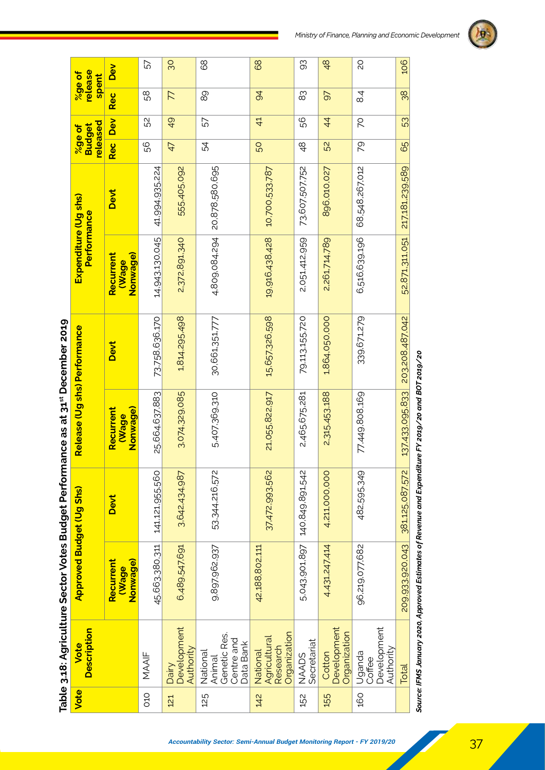|            |                                                               |                                                                                                     |                 | T-7 T-8 CB D-7 I-10 II-              | Deceilinei 2019 |                                      |                 |                                     |                |                 |                            |
|------------|---------------------------------------------------------------|-----------------------------------------------------------------------------------------------------|-----------------|--------------------------------------|-----------------|--------------------------------------|-----------------|-------------------------------------|----------------|-----------------|----------------------------|
| Vote       | <b>Description</b><br>Vote                                    | Approved Budget (Ug Shs)                                                                            |                 | Release (Ug shs) Performance         |                 | Expenditure (Ug shs)<br>Performance  |                 | released<br><b>Budget</b><br>%ge of |                |                 | release<br>%ge of<br>spent |
|            |                                                               | Recurrent<br>Nonwage)<br><b>Wage</b>                                                                | Devt            | Recurrent<br>Nonwage)<br><b>Wage</b> | Devt            | Recurrent<br>Nonwage)<br><b>Wage</b> | Devt            | Rec <sup> </sup>                    | <b>Dev</b>     | Rec             | Dev                        |
| <b>O10</b> | MAAIF                                                         | 45,663,380,311                                                                                      | 141,121,955,560 | 25,664,637,883                       | 73,758,636,170  | 14,943,130,045                       | 41,994,935,224  | 56                                  | 52             | 58              | 52                         |
| 121        | Development<br>Authority<br>Dairy                             | 6,489,547,691                                                                                       | 3,642,434,987   | 3.074.329.085                        | 1,814,295,498   | 2,372,891,340                        | 555,405,092     | $\overline{4}$                      | 49             | $\mathcal{L}$   | ႙                          |
| 125        | Genetic Res.<br>Centre and<br>Data Bank<br>National<br>Animal | 9.897.962.937                                                                                       | 53.344.216.572  | 5.407.369.310                        | 30,661,351,777  | 4,809,084,294                        | 20,878,580,695  | 54                                  | 57             | 89              | 8                          |
| 142        | Organization<br>Agricultural<br>Research<br>National          | 42,188,802,111                                                                                      | 37.472.993.562  | 21,055,822,917                       | 15,657,326,598  | 19,916,438,428                       | 10,700,533,787  | 50                                  | 4              | 94              | 89                         |
| 152        | Secretariat<br>NAADS                                          | 5.043.901.897                                                                                       | 140.849.891.542 | 2,465,675,281                        | 79.113.155.720  | 2,051,412,959                        | 73.607.507.752  | $\frac{8}{5}$                       | 56             | 83              | ဌ                          |
| 155        | Development<br>Organization<br>Cotton                         | 4.431.247.414                                                                                       | 4,211,000,000   | 2,315,453,188                        | 1,864,050,000   | 2,261,714,789                        | 896,010,027     | 52                                  | $\overline{4}$ | 67              | $\frac{8}{4}$              |
| 160        | Development<br>Authority<br>Uganda<br>Coffee                  | 96,219,077,682                                                                                      | 482,595,349     | 77.449.808.169                       | 339,671,279     | 6,516,639,196                        | 68,548,267,012  | 79                                  | P.             | $\overline{84}$ | 20                         |
|            | <b>Total</b>                                                  | 209,933,920,043                                                                                     | 381,125,087,572 | 137,433,095,833                      | 203,208,487,042 | 52,871,311,051                       | 217,181,239,589 | 65                                  | 53             | 38              | 106                        |
|            |                                                               | Source: IFMS January 2020, Approved Estimates of Revenue and Expenditure FY 2019/20 and BOT 2019/20 |                 |                                      |                 |                                      |                 |                                     |                |                 |                            |

Table 2.18: Agriculture Sector Votes Budget Performance as at 21st December 2010 **Table 3.18: Agriculture Sector Votes Budget Performance as at 31st December 2019**



*Ministry of Finance, Planning and Economic Development*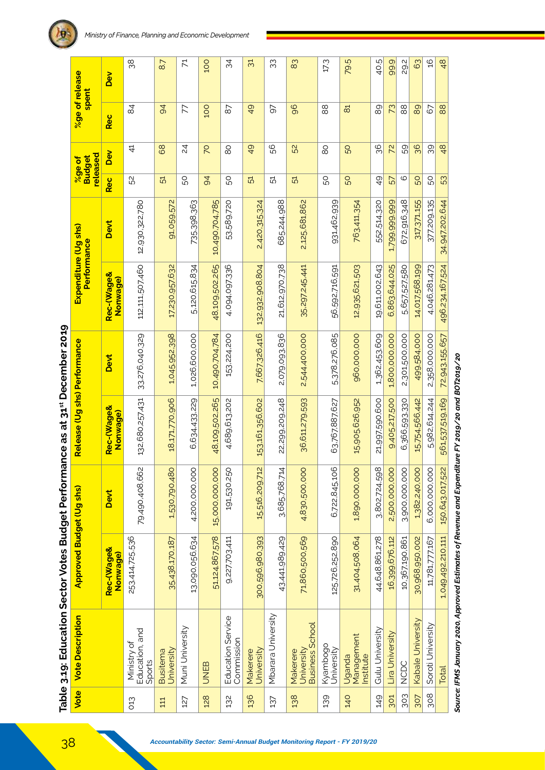| is a finally of the control of the control of the control of the control of the control of the control of the control of the control of the control of the control of the control of the control of the control of the control |  |
|--------------------------------------------------------------------------------------------------------------------------------------------------------------------------------------------------------------------------------|--|
|                                                                                                                                                                                                                                |  |
|                                                                                                                                                                                                                                |  |
|                                                                                                                                                                                                                                |  |
|                                                                                                                                                                                                                                |  |
|                                                                                                                                                                                                                                |  |
| )                                                                                                                                                                                                                              |  |
| ;                                                                                                                                                                                                                              |  |
| Į                                                                                                                                                                                                                              |  |
| こころ ちょう しょうこうきょう                                                                                                                                                                                                               |  |
|                                                                                                                                                                                                                                |  |
|                                                                                                                                                                                                                                |  |
|                                                                                                                                                                                                                                |  |
|                                                                                                                                                                                                                                |  |
|                                                                                                                                                                                                                                |  |
|                                                                                                                                                                                                                                |  |
|                                                                                                                                                                                                                                |  |
| $\overline{\phantom{a}}$                                                                                                                                                                                                       |  |
|                                                                                                                                                                                                                                |  |
|                                                                                                                                                                                                                                |  |
| י<br>השלונו                                                                                                                                                                                                                    |  |
|                                                                                                                                                                                                                                |  |
|                                                                                                                                                                                                                                |  |
| $\frac{1}{2}$                                                                                                                                                                                                                  |  |
| $\vdots$                                                                                                                                                                                                                       |  |
|                                                                                                                                                                                                                                |  |
|                                                                                                                                                                                                                                |  |
|                                                                                                                                                                                                                                |  |
|                                                                                                                                                                                                                                |  |
|                                                                                                                                                                                                                                |  |
|                                                                                                                                                                                                                                |  |
| <br> <br> <br>l                                                                                                                                                                                                                |  |
|                                                                                                                                                                                                                                |  |
|                                                                                                                                                                                                                                |  |
|                                                                                                                                                                                                                                |  |
|                                                                                                                                                                                                                                |  |
|                                                                                                                                                                                                                                |  |
|                                                                                                                                                                                                                                |  |
|                                                                                                                                                                                                                                |  |
|                                                                                                                                                                                                                                |  |
| えいこく                                                                                                                                                                                                                           |  |

| <b>Vote</b> | <b>Vote Description</b>                          | <b>Approved Budget (Ug shs)</b> |                 | Release (Ug shs) Performance |                | Expenditure (Ug shs)<br>Performance |                |                | released<br><b>Budget</b><br>%ge of |                | %ge of release<br>spent |
|-------------|--------------------------------------------------|---------------------------------|-----------------|------------------------------|----------------|-------------------------------------|----------------|----------------|-------------------------------------|----------------|-------------------------|
|             |                                                  | Rec-Wage&<br>Nonwage)           | <b>Devt</b>     | Rec-Wage&<br>Nonwage)        | Devt           | Rec-Wage&<br>Nonwage)               | Devt           | Rec            | Dev                                 | <b>Rec</b>     | <b>Dev</b>              |
| <b>O13</b>  | Education, and<br>Ministry of<br>Sports          | 253,414,725,536                 | 79,490,408,662  | 132,680,257,431              | 33,276,040,329 | 112,111,507,460                     | 12,930,322,780 | 52             | $\ddot{4}$                          | 84             | 38                      |
| 111         | University<br><b>Busitema</b>                    | 35,438,170,187                  | 1,530,790,480   | 18,171,770,906               | 1,045,952,398  | 17,230,957,632                      | 91,059,572     | 51             | 89                                  | $\overline{6}$ | 87                      |
| 127         | Muni University                                  | 13.090.056.634                  | 4,200,000,000   | 6,634,433,229                | 1,026,600,000  | 5,120,615,834                       | 735.398.363    | 50             | 24                                  | 77             | $\mathcal{L}$           |
| 128         | UNEB                                             | 51,124,867,578                  | 15,000,000,000  | 48,109,502,265               | 10,490,704,784 | 48,109,502,265                      | 10,490,704,785 | $\overline{9}$ | <b>P</b>                            | 001            | <b>OOT</b>              |
| 132         | Education Service<br>Commission                  | 9.227.703.411                   | 191.530.250     | 4,689,613,202                | 153,224,200    | 4.094.097.336                       | 53.589.720     | 50             | $\overline{8}$                      | 67             | 34                      |
| 136         | University<br>Makerere                           | 300,596,980,393                 | 15,516,209,712  | 153.161.356.602              | 7,667,326,416  | 132.932.908.804                     | 2,420,315,324  | 51             | $\overline{9}$                      | $\overline{9}$ | $\overline{3}$          |
| 137         | Mbarara University                               | 43,441,989,429                  | 3,685,768,714   | 22,299,209,248               | 2,079,093,836  | 21,612,970,738                      | 685,244,988    | 51             | 99                                  | 6              | 33                      |
| 138         | <b>Business School</b><br>University<br>Makerere | 71,860,500,569                  | 4,830,500,000   | 36,611,279,593               | 2.544.400.000  | 35,297,245,441                      | 2,125,681,862  | 51             | 52                                  | 96             | 83                      |
| 139         | Kyambogo<br>University                           | 125,726,252,890                 | 6,722,845,106   | 63,767,887,627               | 5,378,276,085  | 56,592,716,591                      | 931.462,939    | 50             | $\overline{8}$                      | 88             | 17.3                    |
| <b>DHI</b>  | Management<br>nstitute<br>Uganda                 | 31,404,508,064                  | 1,890,000,000   | 15,905,626,952               | 960,000,000    | 12,935,621,503                      | 763,411,354    | 50             | 50                                  | $\overline{8}$ | 79.5                    |
| 149         | Gulu University                                  | 44,648,861,278                  | 3,802,724,598   | 21,997,590,600               | 1,362,453,609  | 19,611,002,643                      | 552.514.320    | $\overline{6}$ | 36                                  | 89             | 40.5                    |
| 301         | Lira University                                  | 16,399,676,112                  | 2,500,000,000   | 9,405,217,500                | 1,800,000,000  | 6,863,644,025                       | 1,799,999,999  | 57             | 72                                  | 73             | 99.9                    |
| 303         | NCDC                                             | 10,367,190,861                  | 3.900,000,000   | 6,366,593,330                | 2,301,500,000  | 5,657,527,580                       | 672,916,348    | ဖ              | 59                                  | 88             | 29.2                    |
| 307         | Kabale University                                | 30,968,950,002                  | 1,382,240,000   | 15,754,566,442               | 499,584,000    | 14,017,568,199                      | 317,371,155    | 50             | 36                                  | 89             | 63                      |
| 308         | Soroti University                                | 11,781,777,167                  | 6,000,000,000   | 5,982,614,244                | 2,358,000,000  | 4,046,281,473                       | 377,209,135    | 50             | 39                                  | 67             | $\frac{1}{2}$           |
|             | <b>Total</b>                                     | 1,049,492,210,111               | 150,643,017,522 | 561,537,519,169              | 72,943,155,657 | 496,234,167,524                     | 34,947,202,644 | 53             | $\frac{8}{3}$                       | 88             | $\frac{8}{4}$           |

*Ministry of Finance, Planning and Economic Development*

Source: IFMS January 2020, Approved Estimates of Revenue and Expenditure FY 2019/20 and BOT2019/20 *Source: IFMS January 2020, Approved Estimates of Revenue and Expenditure FY 2019/20 and BOT2019/20*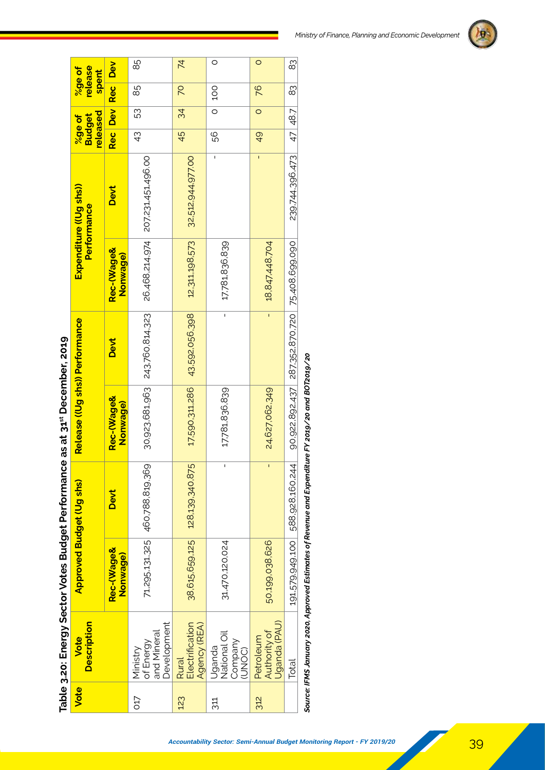| .<br>ון        |
|----------------|
|                |
|                |
|                |
|                |
|                |
|                |
| ,              |
|                |
|                |
|                |
|                |
|                |
|                |
|                |
| ・・・ 1つ・10 のろ ~ |
| ļ              |
|                |
|                |
|                |
|                |
|                |
|                |
|                |
|                |
|                |
|                |
|                |
|                |
|                |
|                |
|                |
| ١              |
|                |
|                |
|                |
| :              |
|                |
|                |
|                |
|                |
| $\frac{1}{2}$  |
|                |
|                |
|                |
|                |
|                |
|                |
| $\frac{1}{2}$  |
| ֚֚֚֚֡֕         |
| i              |
|                |
|                |
|                |
|                |
|                |
|                |
|                |
|                |
|                |
|                |
|                |
| $\frac{1}{2}$  |

|             |                                                     |                       | Table 3.20: Energy Sector Votes Budget Performance as at 31st December, 2019 |                                |                                |                       |                                       |                                     |            |                            |                |
|-------------|-----------------------------------------------------|-----------------------|------------------------------------------------------------------------------|--------------------------------|--------------------------------|-----------------------|---------------------------------------|-------------------------------------|------------|----------------------------|----------------|
| <b>Vote</b> | <b>Description</b><br><b>Vote</b>                   |                       | Approved Budget (Ug shs)                                                     | Release ((Ug shs)) Performance |                                |                       | Expenditure ((Ug shs))<br>Performance | released<br><b>Budget</b><br>%ge of |            | release<br>%ge of<br>spent |                |
|             |                                                     | Rec-Wage&<br>Nonwage) | Devt                                                                         | Rec-Wage&<br>Nonwage)          | Devt                           | Rec-Wage&<br>Nonwage) | Devt                                  | <b>Rec</b>                          | <b>Dev</b> | Rec Dev                    |                |
| QTO         | Development<br>and Mineral<br>of Energy<br>Ministry | 71,295,131,325        | 460,788,819,369                                                              | 30,923,681,963                 | 243,760,814,323                | 26,468,214,974        | 207.231.451.496.00                    | $\overline{3}$                      | 53         | 85                         | 85             |
| 123         | Electrification<br>Agency (REA)<br><b>Rural</b>     | 38,615,659,125        | 128,139,340,875                                                              | 17.590,311.286                 | 43.592.056.398                 | 12,311,198,573        | 32,512,944,977.00                     | 45                                  | 34         | <b>P</b>                   | $\overline{z}$ |
| 311         | Uganda<br>National Oil<br>Company<br>(UNOC)         | 31,470,120,024        |                                                                              | 17,781,836,839                 | ı                              | 17,781,836,839        | ı                                     | 56                                  | $\circ$    | 100                        | $\circ$        |
| 312         | Uganda (PAU)<br>Authority of<br>Petroleum           | 50,199,038,626        |                                                                              | 24,627,062,349                 | Ï,                             | 18,847,448,704        | ı                                     | 49                                  | $\circ$    | 76                         | $\circ$        |
|             | Total                                               | 191.579.949.100       | 588,928,160,244                                                              |                                | 90.922.892.437 287.352.870.720 | 75,408,699,090        | 239.744.396.473                       |                                     | 47 48.7    | 83                         | 83             |
|             | :<br>:                                              |                       |                                                                              | $\sum_{i=1}^{n}$               |                                |                       |                                       |                                     |            |                            |                |

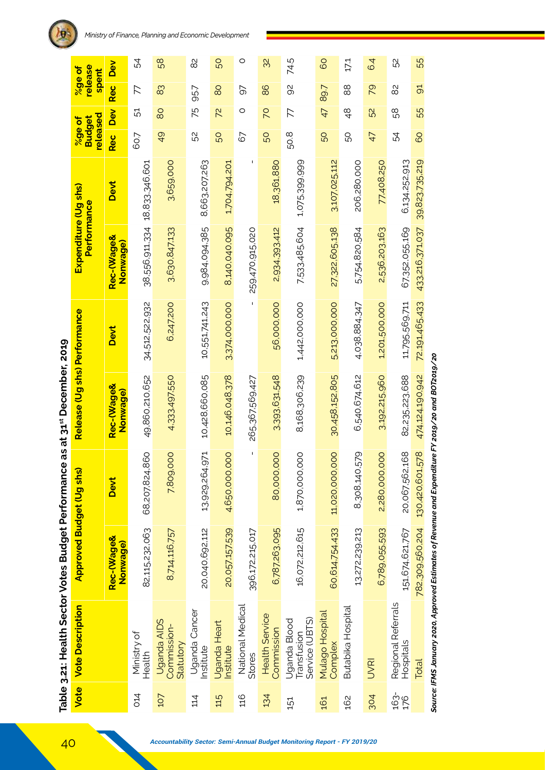| 40                                                                       | <b>Vote</b> | <b>Vote Description</b>                                                                            | Approved Budget (Ug shs) |                               | Release (Ug shs) Performance |                | Expenditure (Ug shs)  |                | %ge of                    |                |                | %ge of           |
|--------------------------------------------------------------------------|-------------|----------------------------------------------------------------------------------------------------|--------------------------|-------------------------------|------------------------------|----------------|-----------------------|----------------|---------------------------|----------------|----------------|------------------|
|                                                                          |             |                                                                                                    |                          |                               |                              |                | Performance           |                | released<br><b>Budget</b> |                |                | release<br>spent |
|                                                                          |             |                                                                                                    | Rec-Wage&<br>Nonwage)    | Devt                          | Rec-Wage&<br>Nonwage)        | Devt           | Rec-Wage&<br>Nonwage) | Devt           | <b>Rec</b>                | Dev            | <b>Rec</b>     | <b>Dev</b>       |
|                                                                          | <b>DTO</b>  | Ministry of<br>Health                                                                              | 82,115,232,063           | O9<br>68,207,824,8            | 49,860,210,652               | 34,512,522,932 | 38.556.911.334        | 18,833,346,601 | 60.7                      | 51             | 77             | 54               |
|                                                                          | 107         | Uganda AIDS<br>Commission-<br>Statutory                                                            | 8,714,116,757            | 7,809,000                     | 4,333,497,550                | 6,247,200      | 3.630.847.133         | 3,659,000      | 49                        | 80             | 83             | 58               |
|                                                                          | 114         | Uganda Cancer<br>Institute                                                                         | 20,040,692,112           | 13.929.264.971                | 10,428,660,085               | 10.551.741.243 | 9.984.094.385         | 8,663,207,263  | 52                        | 75             | 95.7           | 82               |
|                                                                          | 115         | <b>Uganda Heart</b><br>nstitute                                                                    | 20,057,157,539           | 4,650,000,000                 | 10,146,048,378               | 3.374.000,000  | 8,140,040,095         | 1,704,794,201  | 50                        | 72             | 80             | 50               |
|                                                                          | 116         | National Medical<br>Stores                                                                         | 396,172,215,017          |                               | 265,367,569,427              |                | 259,470,915,020       |                | 67                        | $\circ$        | 6              | $\circ$          |
|                                                                          | 134         | <b>Health Service</b><br>Commission                                                                | 6,787,263,095            | $\overline{O}$<br>80,000,0    | 3.393.631.548                | 56,000,000     | 2.934.393.412         | 18,361,880     | 50                        | <b>PC</b>      | 86             | 32               |
| Accountability Sector: Semi-Annual Budget Monitoring Report - FY 2019/20 | 151         | Service (UBTS)<br>Uganda Blood<br>Transfusion                                                      | 16,072,212,615           | $\overline{O}$<br>1,870,000,0 | 8,168,306,239                | 1,442,000,000  | 7.533.485.604         | 1,075,399,999  | 50.8                      | 77             | 8              | 74.5             |
|                                                                          | 161         | Mulago Hospital<br>Complex                                                                         | 60.614.754.433           | 11,020,000,000                | 30,458,152,805               | 5,213,000,000  | 27,322,605,138        | 3,107,025,112  | 50                        | $\overline{4}$ | 89.7           | 60               |
|                                                                          | 162         | Butabika Hospital                                                                                  | 13,272,239,213           | 8,308,140,579                 | 6,540,674,612                | 4,038,884,347  | 5,754,820,584         | 206,280,000    | 50                        | $\frac{8}{5}$  | $\frac{8}{8}$  | 17.1             |
|                                                                          | 304         | <b>UVRI</b>                                                                                        | 6,789,055,593            | $\overline{O}$<br>2,280,000,0 | 3,192,215,960                | 1,201,500,000  | 2,536,203,163         | 77,408,250     | 47                        | 52             | 79             | 6.4              |
|                                                                          | 163-<br>176 | Regional Referrals<br>Hospitals                                                                    | 151.674.621.767          | 20,067,562,168                | 82,235,223,688               | 11,795,569,711 | 67,352,055,169        | 6,134,252,913  | 54                        | 89             | 8              | 52               |
|                                                                          |             | Total                                                                                              | 782,309,560,204          | 130,420,601,578               | 474,124,190,942              | 72,191,465,433 | 433,216,371,037       | 39,823,735,219 | 60                        | 55             | $\overline{5}$ | 55               |
|                                                                          |             | Source: IFMS January 2020, Approved Estimates of Revenue and Expenditure FY 2019/20 and BOT2019/20 |                          |                               |                              |                |                       |                |                           |                |                |                  |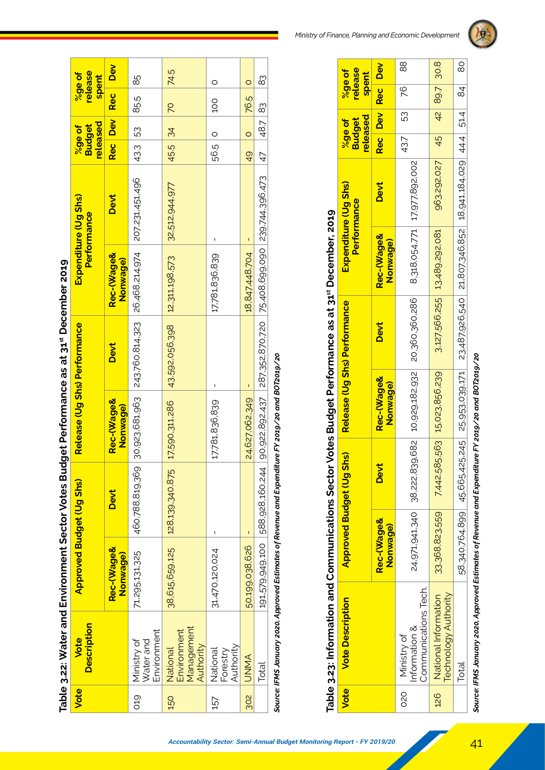|             |                                                    |                       | Table 3.22: Water and Environment Sector Votes Budget Performance as at 31st December 2019 |                       |                                                               |                       |                                     |                                     |                 |                            |                |
|-------------|----------------------------------------------------|-----------------------|--------------------------------------------------------------------------------------------|-----------------------|---------------------------------------------------------------|-----------------------|-------------------------------------|-------------------------------------|-----------------|----------------------------|----------------|
| <b>Vote</b> | <b>Description</b><br>Vote                         |                       | Approved Budget (Ug Shs)                                                                   |                       | Release (Ug Shs) Performance                                  |                       | Expenditure (Ug Shs)<br>Performance | released<br><b>Budget</b><br>%ge of |                 | release<br>%ge of<br>spent |                |
|             |                                                    | Rec-Wage&<br>Nonwage) | Devt                                                                                       | Rec-Wage&<br>Nonwage) | Devt                                                          | Rec-Wage&<br>Nonwage) | Devt                                | Rec                                 | <b>Dev</b>      | <b>Rec</b>                 | Dev            |
| 019         | Environment<br>Ministry of<br>Water and            | 71.295.131.325        | 460,788,819,369                                                                            | 30,923,681,963        | 243.760.814.323                                               | 26,468,214,974        | 207,231,451,496                     | 43.3                                | 53              | 85.5                       | 85             |
| 150         | Management<br>Environment<br>Authority<br>National | 38,615,659,125        | 128,139,340,875                                                                            | 17.590,311,286        | 43.592.056.398                                                | 12,311,198,573        | 32,512,944,977                      | 45.5                                | $\overline{34}$ | <b>PC</b>                  | 74.5           |
| 157         | Authority<br>National<br>Forestry                  | 31,470,120,024        |                                                                                            | 17,781,836,839        | ı                                                             | 17,781,836,839        | ı                                   | 56.5                                | $\circ$         | O<br>100                   |                |
| 302         | <b>UNMA</b>                                        | 50,199,038,626        |                                                                                            | 24,627,062,349        | ı                                                             | 18,847,448,704        | ı                                   | $\frac{1}{2}$                       | $\circ$         | 76.5                       | $\overline{O}$ |
|             | Total                                              |                       | 191.579.949.100 588,928.160.244                                                            |                       | 90.922.892.437 287.352.870.720 75.408.699.090 239.744.396.473 |                       |                                     | $\overline{4}$                      | 48.7 83         |                            | 83             |
|             |                                                    |                       |                                                                                            |                       |                                                               |                       |                                     |                                     |                 |                            |                |

Table 3.23: Information and Communications Sector Votes Buddet Performance as at  $31^{\circ}$  December, 2019 **Table 3.23: Information and Communications Sector Votes Budget Performance as at 31st December, 2019**

| Release (Ug Shs) Performance<br>Shs)<br><b>Approved Budget (Ug)</b><br><b>Vote Description</b>                     | אלא איינט איינט איינט איינט איינט איינט איינט איינט איינט איינט איינט איינט איינט איינט איינט איינט איינט איינט |  |      |                              | Expenditure (Ug Shs)         |      | %ge of                    |                  | %ge of         |
|--------------------------------------------------------------------------------------------------------------------|-----------------------------------------------------------------------------------------------------------------|--|------|------------------------------|------------------------------|------|---------------------------|------------------|----------------|
|                                                                                                                    |                                                                                                                 |  |      | <b>Performance</b>           |                              |      | released<br><b>Budget</b> | release<br>spent |                |
| Rec-Wage&<br>Nonwage)<br>Devt<br>Rec-Wage&<br>Nonwage)                                                             |                                                                                                                 |  | Devt | Rec-Wage&<br>Nonwage)        | Devt                         |      |                           | Rec Dev Rec Dev  |                |
| 24,971,941,340 38,222,839,682 10,929,182,932 20,360,360,286<br>Communications Tech.<br>nformation &<br>Ministry of |                                                                                                                 |  |      |                              | 8,318,054,771 17,977,892,002 | 43.7 |                           | 53 76            | $\frac{88}{1}$ |
| 7,442,585,563 15,023,856,239<br>33,368,823,559<br><b>Technology Authority</b><br>National Information              |                                                                                                                 |  |      | 3.127.566.255 13.489.292.081 | 963,292,027 45 42 89.7 30.8  |      |                           |                  |                |
| 58.340.764.899   45.665.425.245   25.953.0353.037.926.540   21.807.346.852   18.941.184.029   44.4   51.4   84     |                                                                                                                 |  |      |                              |                              |      |                           |                  |                |



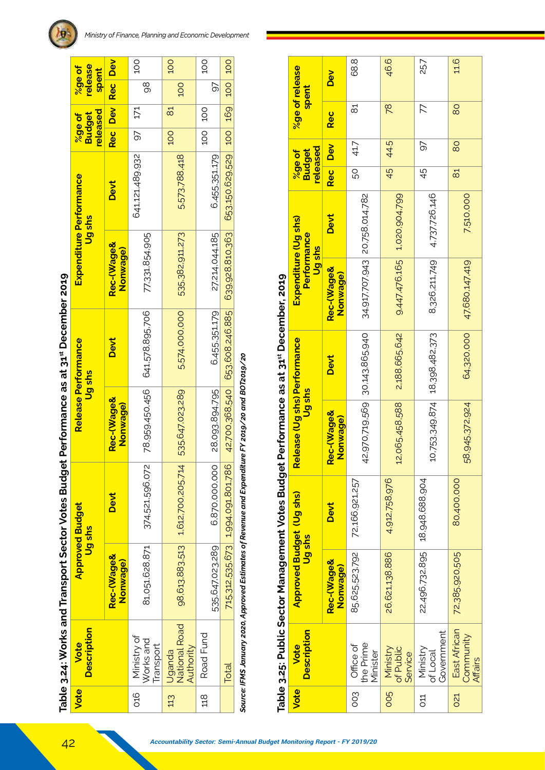

| release<br>%ge of<br>spent          | <b>Rec</b> Dev        |                                      | 100<br>98 | 100<br>100                                  | 100<br>50       |
|-------------------------------------|-----------------------|--------------------------------------|-----------|---------------------------------------------|-----------------|
| released<br><b>Budget</b><br>%ge of | <b>Dev</b><br>Rec     | 171<br>97                            |           | $\overline{8}$<br>100                       | 100<br>100      |
|                                     | Devt                  | 641,121,489,932                      |           | 5.573.788.418                               | 6,455,351,179   |
| Expenditure Performance<br>Ug shs   |                       |                                      |           |                                             |                 |
|                                     | Rec-Wage&<br>Nonwage) | 77.331.854.905                       |           | 535,382,911,273                             | 27,214,044,185  |
|                                     | Devt                  | 641,578,895,706                      |           | 5.574.000,000                               | 6,455,351,179   |
| Ug shs                              |                       |                                      |           |                                             |                 |
| <b>Release Performance</b>          | Rec-Wage&<br>Nonwage) | 78,959,450,456                       |           | 535,647,023,289                             | 28,093,894,795  |
|                                     |                       |                                      |           |                                             |                 |
| <b>Approved Budget</b><br>Ug shs    | Devt                  | 374,521,596,072                      |           | 1,612,700,205,714                           | 6,870,000,000   |
|                                     | Rec-Wage&<br>Nonwage) | 81,051,628,871                       |           | 98,613,883,513                              | 535,647,023,289 |
| <b>Description</b><br>Vote          |                       | Ministry of<br>Works and<br>ransport |           | <b>National Road</b><br>Authority<br>Uganda | Road Fund       |
| <b>Vote</b>                         |                       | 016                                  |           | 113                                         | 118             |

| SS<br>SSS<br>SSSS<br>Iananamant Votas Ri |
|------------------------------------------|
|                                          |
|                                          |
|                                          |
|                                          |
|                                          |
|                                          |
|                                          |
|                                          |
|                                          |
|                                          |
|                                          |
|                                          |
|                                          |
|                                          |
|                                          |
|                                          |
| $\frac{1}{2}$                            |
| $\mathbf{I}$                             |
|                                          |
|                                          |
|                                          |
|                                          |
| $\frac{1}{2}$                            |
|                                          |
|                                          |
| able 3.25: P                             |
|                                          |
|                                          |
|                                          |
|                                          |
|                                          |
|                                          |
|                                          |

|                                                                                                                                                                                                                                | %ge of release<br><b>spent</b>                              | <b>Dev</b><br><b>Rec</b>         | 68.8<br>81                         | 46.6<br>$\frac{8}{2}$            | 25.7<br>77                         | 11.6<br>80                                  |
|--------------------------------------------------------------------------------------------------------------------------------------------------------------------------------------------------------------------------------|-------------------------------------------------------------|----------------------------------|------------------------------------|----------------------------------|------------------------------------|---------------------------------------------|
|                                                                                                                                                                                                                                | released<br><b>Budget</b><br>%ge of                         | <b>Dev</b>                       | 41.7                               | 44.5                             | 60                                 | 80                                          |
|                                                                                                                                                                                                                                |                                                             | Rec                              | 50                                 | 45                               | 45                                 | 81                                          |
|                                                                                                                                                                                                                                |                                                             | Devt                             | 34.917.707.943 20.758.014.782      | 1,020,904,799                    | 4,737,726,146                      | 7,510,000                                   |
|                                                                                                                                                                                                                                | Expenditure (Ug shs)<br><b>Performance</b><br><b>Ug</b> shs | Rec-Wage&<br>Nonwage)            |                                    | 9,447,476,165                    | 8,326,211,749                      | 47,680,147,419                              |
| Research of the S-25. Fundi in the individual policy policy product in the internal control of the S-2-25. Fundi and S-2-25. Fundi in the internal control of the S-2-25. Fundi in the internal control in the internal contro |                                                             | Devt                             |                                    | 2,188,665,642                    | 10.753.349.874 18.398.482.373      | 64,320,000                                  |
|                                                                                                                                                                                                                                | Release (Ug shs) Performance<br>Ug shs                      | <b>Rec-Wage&amp;</b><br>Nonwage) | 42.970.719.569 30.143.865.940      | 12,065,458,588                   |                                    | 58,945,372,924                              |
|                                                                                                                                                                                                                                | Ug shs                                                      | Devt                             | 72,166,921,257                     | 4,912,758,976                    | 22.496.732.895 18.948.688.904      | 80,400,000                                  |
|                                                                                                                                                                                                                                | Approved Budget (Ug shs)                                    | Rec-Wage&<br>Nonwage)            | 85,625,523,792                     | 26,621,138,886                   |                                    | 72,385,920,505                              |
|                                                                                                                                                                                                                                | <b>Description</b><br>Vote                                  |                                  | the Prime<br>Office of<br>Minister | Ministry<br>of Public<br>Service | Government<br>Ministry<br>of Local | East African<br>Community<br><b>Affairs</b> |
|                                                                                                                                                                                                                                | <b>Vote</b>                                                 |                                  | 003                                | 005                              | <b>D11</b>                         | 021                                         |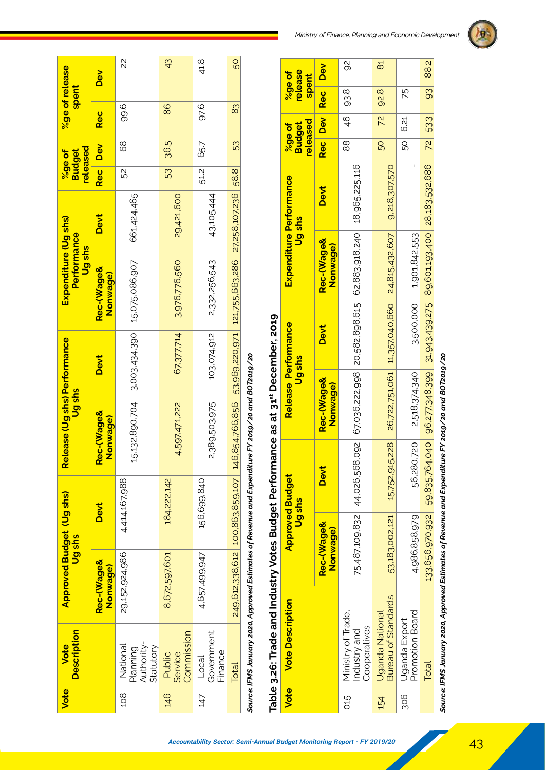| %ge of release<br>spent                              | Dev                               | 22                                              | 43                              | 41.8                           | 50                                                                                                             |
|------------------------------------------------------|-----------------------------------|-------------------------------------------------|---------------------------------|--------------------------------|----------------------------------------------------------------------------------------------------------------|
|                                                      | <b>Rec</b>                        | 99.61                                           | 86                              | 97.6                           | 83                                                                                                             |
| released<br><b>Budget</b><br>%ge of                  | <b>Dev</b>                        | 89                                              | 36.5                            | 65.7                           | 53                                                                                                             |
|                                                      | Rec<br>                           | 52                                              | 53                              | 51.2                           |                                                                                                                |
|                                                      | Devt                              | 661,424,465                                     | 29,421,600                      | 43.105.444                     |                                                                                                                |
| Expenditure (Ug shs)<br><b>Performance</b><br>Ug shs | Rec-Wage&<br>Nonwage <sup>)</sup> | 15.075.086.907                                  | 3,976,776,560                   | 2.332.256.543                  |                                                                                                                |
|                                                      | Devt                              | 3.003.434.390                                   | 67.377.714                      | 103,074,912                    |                                                                                                                |
| <b>Release (Ug shs) Performance</b><br>Ug shs        | <b>Rec-Wage&amp;</b><br>Nonwage)  | 15.132.890.704                                  | 4.597.471.222                   | 2,389,503,975                  |                                                                                                                |
|                                                      | Devt                              | 4,414,167,988                                   | 184,222,142                     | 156,699,840                    | 249.612.338.612   100.863.859.107   146.854.766.856   53.969.220.971   121.755.663.286   27.258.107.236   58.8 |
| Approved Budget (Ug shs)<br>Ug shs                   | Rec-Wage&<br>Nonwage)             | 29.152.924.986                                  | 8,672,597,601                   | 4.657.499.947                  |                                                                                                                |
| <b>Description</b><br>Vote                           |                                   | Authority-<br>National<br>Statutory<br>Planning | Commission<br>Service<br>Public | Government<br>Finance<br>Local | <b>Total</b>                                                                                                   |
| Vote                                                 |                                   | 108                                             | 146                             | 147                            |                                                                                                                |

# **Table 3.26: Trade and Industry Votes Budget Performance as at 31st December, 2019** l, ļ  $\bullet$  $\blacksquare$ - C Ď Í  $\overline{\phantom{a}}$

|             | Table 3.26: Trade and Industry Votes Budget Performance as at 31st December, 2019 |                                  |                                                                                                     |                               |                                              |                                          |               |                                                  |                |                            |            |
|-------------|-----------------------------------------------------------------------------------|----------------------------------|-----------------------------------------------------------------------------------------------------|-------------------------------|----------------------------------------------|------------------------------------------|---------------|--------------------------------------------------|----------------|----------------------------|------------|
| <b>Vote</b> | <b>Vote Description</b>                                                           | <b>Approved Budget</b><br>Ug shs |                                                                                                     | Release Performance<br>Ug shs |                                              | <b>Expenditure Performance</b><br>Ug shs |               | released<br><b>Budget</b><br><mark>%ge of</mark> |                | release<br>%ge of<br>spent |            |
|             |                                                                                   | Rec-Wage&<br>Nonwage)            | Devt                                                                                                | Rec-Wage&<br>Nonwage)         | Devt                                         | Rec-Wage&<br>Nonwage)                    | Devt          |                                                  | Rec Dev Rec    |                            | <b>Dev</b> |
| 015         | Ministry of Trade,<br>Cooperatives<br>industry and                                |                                  | 75,487,109,832   44,026,568,092   67,036,222,998   20,582,898,615   62,883,918,240   18,965,225,116 |                               |                                              |                                          |               | $\frac{8}{8}$                                    | $\overline{6}$ | $-93.8$                    | SQ         |
| 154         | <b>Bureau of Standards</b><br><b>Uganda National</b>                              | 53,183,002,121                   | 15.752.915.228                                                                                      |                               | 26.722.751.061 11.357.040.660 24.815.432.607 |                                          | 9,218,307,570 | $\overline{50}$                                  |                | 72 92.8                    | 81         |
| 306         | Promotion Board<br>Uganda Export                                                  | 4,986,858,979                    | 56,280,720                                                                                          | 2,518,374,340                 | 3,500,000                                    | 1,901,842,553                            | ı             |                                                  | 50 6.21        | 75                         |            |
|             | <b>Total</b>                                                                      | 133,656,970,932                  | 59.835.764.040   96.277.348.399   31.943.439.275   89.601.193.400   28.183.532.686                  |                               |                                              |                                          |               |                                                  | 72   533       | $\overline{93}$            | 88.2       |

*Ministry of Finance, Planning and Economic Development*

Source: IFMS January 2020, Approved Estimates of Revenue and Expenditure FY 2019/20 and BOT2019/20 *Source: IFMS January 2020, Approved Estimates of Revenue and Expenditure FY 2019/20 and BOT2019/20*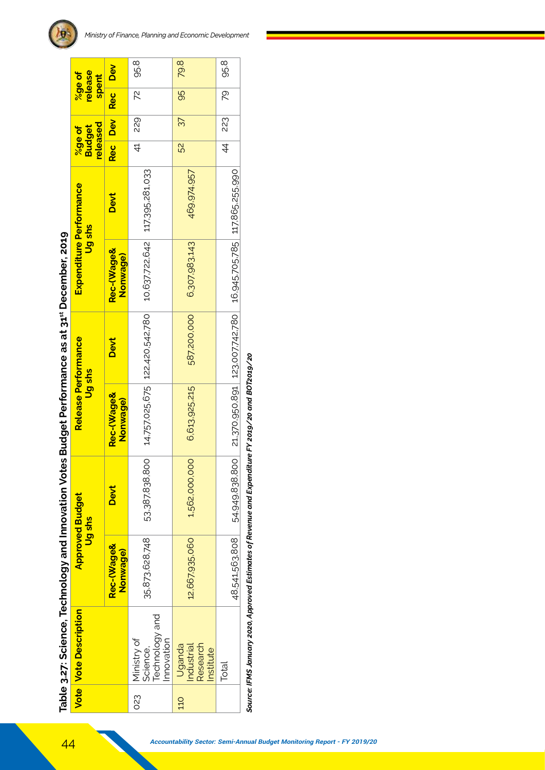| <b>Approved Budget</b>           |                       | Release Performance |                       |                                   |                              |               |                            |
|----------------------------------|-----------------------|---------------------|-----------------------|-----------------------------------|------------------------------|---------------|----------------------------|
| <b>Ug</b> shs                    | Ug shs                |                     |                       | Expenditure Performance<br>Ug shs | released<br>%ge of<br>Budget |               | %ge of<br>release<br>spent |
| Devt<br>Rec-Wage&                | Rec-Wage&<br>Nonwage) | Devt                | Rec-Wage&<br>Nonwage) | Devt                              | Rec Dev                      |               | <b>Rec</b>                 |
| 53.387.838.800<br>35,873,628,748 | 14,757,025,675        | 122,420,542,780     | 10,637,722,642        | 117.395.281.033                   | $\overline{4}$               | 229           | 72                         |
| 1,562,000,000<br>12,667,935,060  | 6,613,925,215         | 587,200,000         | 6,307,983,143         | 469,974,957                       | 52                           | $\mathcal{E}$ | 95                         |
|                                  |                       |                     |                       |                                   |                              |               |                            |
| 54,949,838,800<br>48,541,563,808 | 21,370,950,891        | 123,007,742,780     | 16,945,705,785        | 117,865,255,990                   | $\overline{4}$               | 223           | ρŚ                         |
|                                  |                       |                     |                       |                                   |                              |               |                            |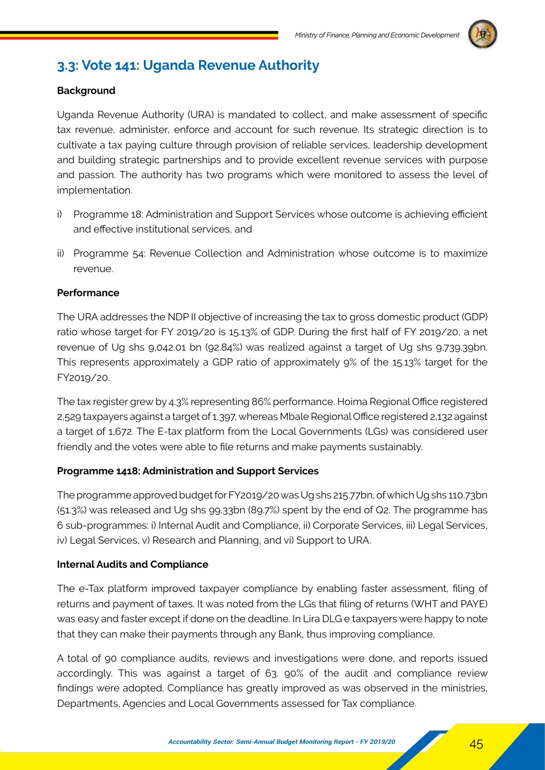

# **3.3: Vote 141: Uganda Revenue Authority**

#### **Background**

Uganda Revenue Authority (URA) is mandated to collect, and make assessment of specific tax revenue, administer, enforce and account for such revenue. Its strategic direction is to cultivate a tax paying culture through provision of reliable services, leadership development and building strategic partnerships and to provide excellent revenue services with purpose and passion. The authority has two programs which were monitored to assess the level of implementation.

- i) Programme 18: Administration and Support Services whose outcome is achieving efficient and effective institutional services, and
- ii) Programme 54: Revenue Collection and Administration whose outcome is to maximize revenue.

#### **Performance**

The URA addresses the NDP II objective of increasing the tax to gross domestic product (GDP) ratio whose target for FY 2019/20 is 15.13% of GDP. During the first half of FY 2019/20, a net revenue of Ug shs 9,042.01 bn (92.84%) was realized against a target of Ug shs 9,739.39bn. This represents approximately a GDP ratio of approximately 9% of the 15.13% target for the FY2019/20.

The tax register grew by 4.3% representing 86% performance. Hoima Regional Office registered 2,529 taxpayers against a target of 1,397, whereas Mbale Regional Office registered 2,132 against a target of 1,672. The E-tax platform from the Local Governments (LGs) was considered user friendly and the votes were able to file returns and make payments sustainably.

#### **Programme 1418: Administration and Support Services**

The programme approved budget for FY2019/20 was Ug shs 215.77bn, of which Ug shs 110.73bn (51.3%) was released and Ug shs 99.33bn (89.7%) spent by the end of Q2. The programme has 6 sub-programmes: i) Internal Audit and Compliance, ii) Corporate Services, iii) Legal Services, iv) Legal Services, v) Research and Planning, and vi) Support to URA.

#### **Internal Audits and Compliance**

The e-Tax platform improved taxpayer compliance by enabling faster assessment, filing of returns and payment of taxes. It was noted from the LGs that filing of returns (WHT and PAYE) was easy and faster except if done on the deadline. In Lira DLG e taxpayers were happy to note that they can make their payments through any Bank, thus improving compliance.

A total of 90 compliance audits, reviews and investigations were done, and reports issued accordingly. This was against a target of 63. 90% of the audit and compliance review findings were adopted. Compliance has greatly improved as was observed in the ministries, Departments, Agencies and Local Governments assessed for Tax compliance.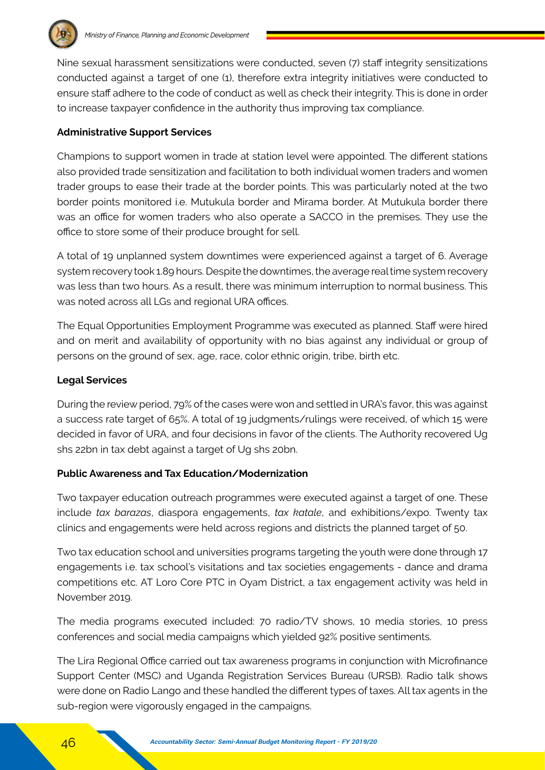

Nine sexual harassment sensitizations were conducted, seven (7) staff integrity sensitizations conducted against a target of one (1), therefore extra integrity initiatives were conducted to ensure staff adhere to the code of conduct as well as check their integrity. This is done in order to increase taxpayer confidence in the authority thus improving tax compliance.

#### **Administrative Support Services**

Champions to support women in trade at station level were appointed. The different stations also provided trade sensitization and facilitation to both individual women traders and women trader groups to ease their trade at the border points. This was particularly noted at the two border points monitored i.e. Mutukula border and Mirama border. At Mutukula border there was an office for women traders who also operate a SACCO in the premises. They use the office to store some of their produce brought for sell.

A total of 19 unplanned system downtimes were experienced against a target of 6. Average system recovery took 1.89 hours. Despite the downtimes, the average real time system recovery was less than two hours. As a result, there was minimum interruption to normal business. This was noted across all LGs and regional URA offices.

The Equal Opportunities Employment Programme was executed as planned. Staff were hired and on merit and availability of opportunity with no bias against any individual or group of persons on the ground of sex, age, race, color ethnic origin, tribe, birth etc.

#### **Legal Services**

During the review period, 79% of the cases were won and settled in URA's favor, this was against a success rate target of 65%. A total of 19 judgments/rulings were received, of which 15 were decided in favor of URA, and four decisions in favor of the clients. The Authority recovered Ug shs 22bn in tax debt against a target of Ug shs 20bn.

#### **Public Awareness and Tax Education/Modernization**

Two taxpayer education outreach programmes were executed against a target of one. These include *tax barazas*, diaspora engagements, *tax katale*, and exhibitions/expo. Twenty tax clinics and engagements were held across regions and districts the planned target of 50.

Two tax education school and universities programs targeting the youth were done through 17 engagements i.e. tax school's visitations and tax societies engagements - dance and drama competitions etc. AT Loro Core PTC in Oyam District, a tax engagement activity was held in November 2019.

The media programs executed included: 70 radio/TV shows, 10 media stories, 10 press conferences and social media campaigns which yielded 92% positive sentiments.

The Lira Regional Office carried out tax awareness programs in conjunction with Microfinance Support Center (MSC) and Uganda Registration Services Bureau (URSB). Radio talk shows were done on Radio Lango and these handled the different types of taxes. All tax agents in the sub-region were vigorously engaged in the campaigns.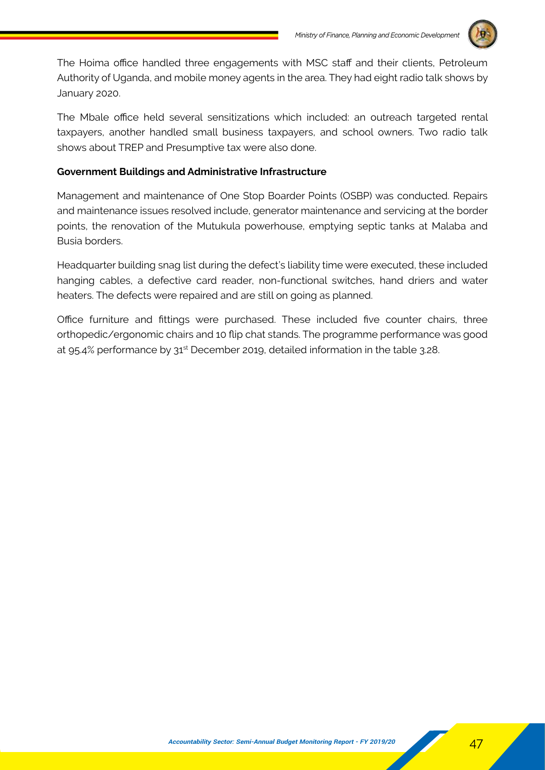

The Hoima office handled three engagements with MSC staff and their clients, Petroleum Authority of Uganda, and mobile money agents in the area. They had eight radio talk shows by January 2020.

The Mbale office held several sensitizations which included: an outreach targeted rental taxpayers, another handled small business taxpayers, and school owners. Two radio talk shows about TREP and Presumptive tax were also done.

#### **Government Buildings and Administrative Infrastructure**

Management and maintenance of One Stop Boarder Points (OSBP) was conducted. Repairs and maintenance issues resolved include, generator maintenance and servicing at the border points, the renovation of the Mutukula powerhouse, emptying septic tanks at Malaba and Busia borders.

Headquarter building snag list during the defect's liability time were executed, these included hanging cables, a defective card reader, non-functional switches, hand driers and water heaters. The defects were repaired and are still on going as planned.

Office furniture and fittings were purchased. These included five counter chairs, three orthopedic/ergonomic chairs and 10 flip chat stands. The programme performance was good at 95.4% performance by 31<sup>st</sup> December 2019, detailed information in the table 3.28.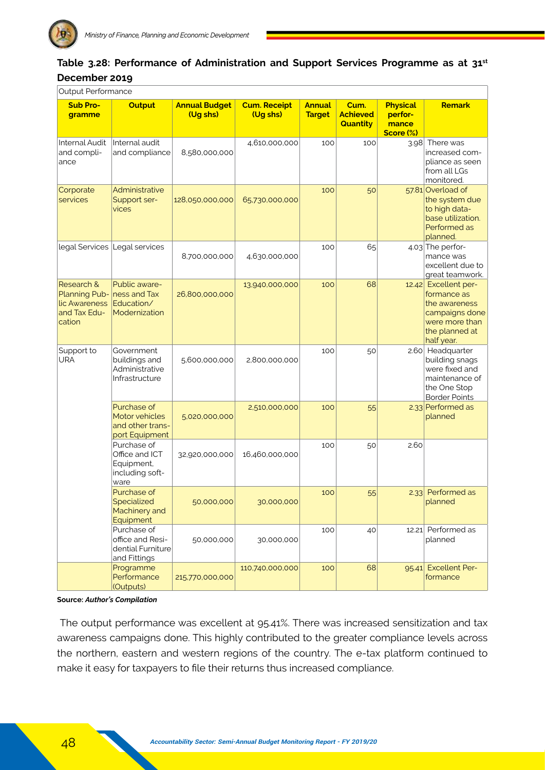

Output Performance

#### **Table 3.28: Performance of Administration and Support Services Programme as at 31st December 2019**

| <b>Sub Pro-</b><br>gramme                                                     | <b>Output</b>                                                          | <b>Annual Budget</b><br>(Ug shs) | <b>Cum. Receipt</b><br>(Ug shs) | <b>Annual</b><br><b>Target</b> | Cum.<br><b>Achieved</b><br><b>Quantity</b> | <b>Physical</b><br>perfor-<br>mance<br>Score (%) | <b>Remark</b>                                                                                                            |
|-------------------------------------------------------------------------------|------------------------------------------------------------------------|----------------------------------|---------------------------------|--------------------------------|--------------------------------------------|--------------------------------------------------|--------------------------------------------------------------------------------------------------------------------------|
| Internal Audit<br>and compli-<br>ance                                         | Internal audit<br>and compliance                                       | 8,580,000,000                    | 4,610,000,000                   | 100                            | 100                                        | 3.98                                             | There was<br>increased com-<br>pliance as seen<br>from all LGs<br>monitored.                                             |
| Corporate<br>services                                                         | Administrative<br>Support ser-<br>vices                                | 128,050,000,000                  | 65,730,000,000                  | 100                            | 50                                         |                                                  | 57.81 Overload of<br>the system due<br>to high data-<br>base utilization.<br>Performed as<br>planned.                    |
|                                                                               | legal Services Legal services                                          | 8,700,000,000                    | 4,630,000,000                   | 100                            | 65                                         |                                                  | 4.03 The perfor-<br>mance was<br>excellent due to<br>great teamwork.                                                     |
| Research &<br><b>Planning Pub-</b><br>lic Awareness<br>and Tax Edu-<br>cation | Public aware-<br>ness and Tax<br>Education/<br>Modernization           | 26,800,000,000                   | 13,940,000,000                  | 100                            | 68                                         |                                                  | 12.42 Excellent per-<br>formance as<br>the awareness<br>campaigns done<br>were more than<br>the planned at<br>half year. |
| Support to<br><b>URA</b>                                                      | Government<br>buildings and<br>Administrative<br>Infrastructure        | 5,600,000,000                    | 2,800,000,000                   | 100                            | 50                                         |                                                  | 2.60 Headquarter<br>building snags<br>were fixed and<br>maintenance of<br>the One Stop<br><b>Border Points</b>           |
|                                                                               | Purchase of<br>Motor vehicles<br>and other trans-<br>port Equipment    | 5,020,000,000                    | 2,510,000,000                   | 100                            | 55                                         |                                                  | 2.33 Performed as<br>planned                                                                                             |
|                                                                               | Purchase of<br>Office and ICT<br>Equipment,<br>including soft-<br>ware | 32,920,000,000                   | 16,460,000,000                  | 100                            | 50                                         | 2.60                                             |                                                                                                                          |
|                                                                               | Purchase of<br>Specialized<br>Machinery and<br>Equipment               | 50,000,000                       | 30,000,000                      | 100                            | 55                                         | 2.33                                             | Performed as<br>planned                                                                                                  |
|                                                                               | Purchase of<br>office and Resi-<br>dential Furniture<br>and Fittings   | 50,000,000                       | 30,000,000                      | 100                            | 40                                         |                                                  | 12.21 Performed as<br>planned                                                                                            |
|                                                                               | Programme<br>Performance<br>(Outputs)                                  | 215,770,000,000                  | 110,740,000,000                 | 100                            | 68                                         | 95.41                                            | <b>Excellent Per-</b><br>formance                                                                                        |

**Source:** *Author's Compilation*

 The output performance was excellent at 95.41%. There was increased sensitization and tax awareness campaigns done. This highly contributed to the greater compliance levels across the northern, eastern and western regions of the country. The e-tax platform continued to make it easy for taxpayers to file their returns thus increased compliance.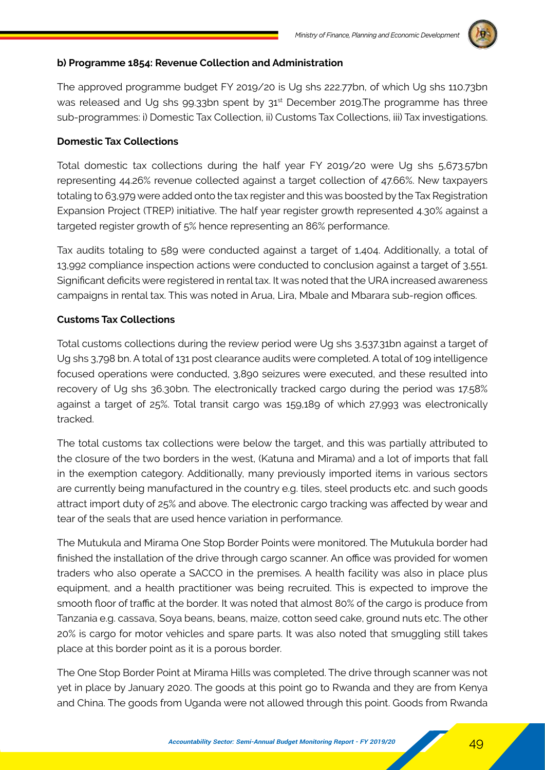

#### **b) Programme 1854: Revenue Collection and Administration**

The approved programme budget FY 2019/20 is Ug shs 222.77bn, of which Ug shs 110.73bn was released and Ug shs 99.33bn spent by 31<sup>st</sup> December 2019. The programme has three sub-programmes: i) Domestic Tax Collection, ii) Customs Tax Collections, iii) Tax investigations.

#### **Domestic Tax Collections**

Total domestic tax collections during the half year FY 2019/20 were Ug shs 5,673.57bn representing 44.26% revenue collected against a target collection of 47.66%. New taxpayers totaling to 63,979 were added onto the tax register and this was boosted by the Tax Registration Expansion Project (TREP) initiative. The half year register growth represented 4.30% against a targeted register growth of 5% hence representing an 86% performance.

Tax audits totaling to 589 were conducted against a target of 1,404. Additionally, a total of 13,992 compliance inspection actions were conducted to conclusion against a target of 3,551. Significant deficits were registered in rental tax. It was noted that the URA increased awareness campaigns in rental tax. This was noted in Arua, Lira, Mbale and Mbarara sub-region offices.

#### **Customs Tax Collections**

Total customs collections during the review period were Ug shs 3,537.31bn against a target of Ug shs 3,798 bn. A total of 131 post clearance audits were completed. A total of 109 intelligence focused operations were conducted, 3,890 seizures were executed, and these resulted into recovery of Ug shs 36.30bn. The electronically tracked cargo during the period was 17.58% against a target of 25%. Total transit cargo was 159,189 of which 27,993 was electronically tracked.

The total customs tax collections were below the target, and this was partially attributed to the closure of the two borders in the west, (Katuna and Mirama) and a lot of imports that fall in the exemption category. Additionally, many previously imported items in various sectors are currently being manufactured in the country e.g. tiles, steel products etc. and such goods attract import duty of 25% and above. The electronic cargo tracking was affected by wear and tear of the seals that are used hence variation in performance.

The Mutukula and Mirama One Stop Border Points were monitored. The Mutukula border had finished the installation of the drive through cargo scanner. An office was provided for women traders who also operate a SACCO in the premises. A health facility was also in place plus equipment, and a health practitioner was being recruited. This is expected to improve the smooth floor of traffic at the border. It was noted that almost 80% of the cargo is produce from Tanzania e.g. cassava, Soya beans, beans, maize, cotton seed cake, ground nuts etc. The other 20% is cargo for motor vehicles and spare parts. It was also noted that smuggling still takes place at this border point as it is a porous border.

The One Stop Border Point at Mirama Hills was completed. The drive through scanner was not yet in place by January 2020. The goods at this point go to Rwanda and they are from Kenya and China. The goods from Uganda were not allowed through this point. Goods from Rwanda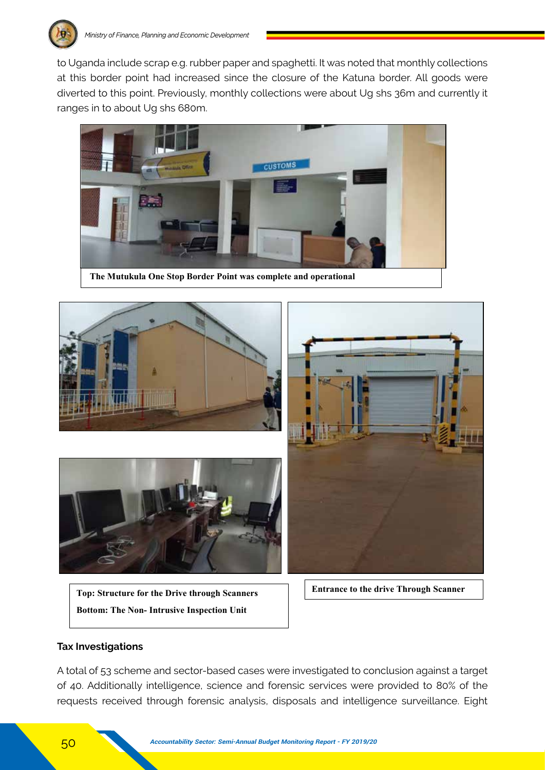

to Uganda include scrap e.g. rubber paper and spaghetti. It was noted that monthly collections at this border point had increased since the closure of the Katuna border. All goods were diverted to this point. Previously, monthly collections were about Ug shs 36m and currently it ranges in to about Ug shs 680m.



**The Mutukula One Stop Border Point was complete and operational**



**Bottom: The Non- Intrusive Inspection Unit**

**Tax Investigations**

A total of 53 scheme and sector-based cases were investigated to conclusion against a target of 40. Additionally intelligence, science and forensic services were provided to 80% of the requests received through forensic analysis, disposals and intelligence surveillance. Eight

**Scanner**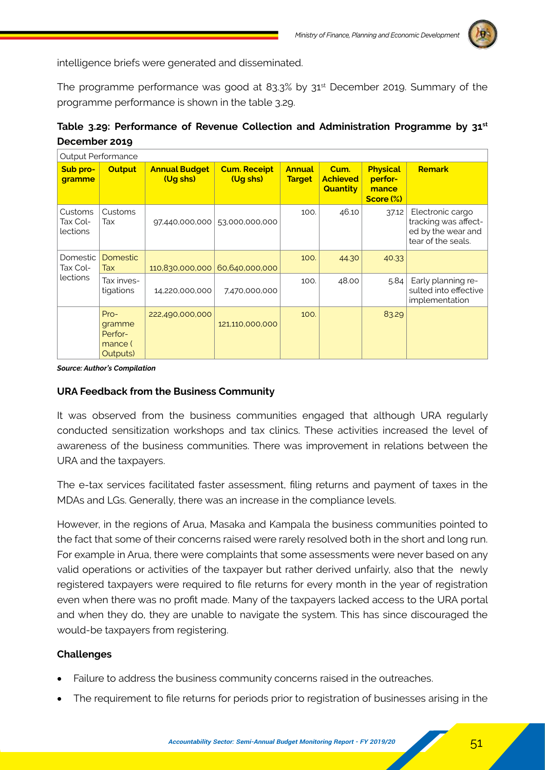

intelligence briefs were generated and disseminated.

The programme performance was good at  $83.3\%$  by  $31<sup>st</sup>$  December 2019. Summary of the programme performance is shown in the table 3.29.

#### **Table 3.29: Performance of Revenue Collection and Administration Programme by 31st December 2019**

|                                 | <b>Output Performance</b>                          |                                  |                                 |                                |                                            |                                                  |                                                                                      |
|---------------------------------|----------------------------------------------------|----------------------------------|---------------------------------|--------------------------------|--------------------------------------------|--------------------------------------------------|--------------------------------------------------------------------------------------|
| Sub pro-<br>gramme              | <b>Output</b>                                      | <b>Annual Budget</b><br>(Ug shs) | <b>Cum. Receipt</b><br>(Ug shs) | <b>Annual</b><br><b>Target</b> | Cum.<br><b>Achieved</b><br><b>Quantity</b> | <b>Physical</b><br>perfor-<br>mance<br>Score (%) | <b>Remark</b>                                                                        |
| Customs<br>Tax Col-<br>lections | Customs<br>Tax                                     | 97,440,000,000                   | 53,000,000,000                  | 100.                           | 46.10                                      | 37.12                                            | Electronic cargo<br>tracking was affect-<br>ed by the wear and<br>tear of the seals. |
| Domestic<br>Tax Col-            | <b>Domestic</b><br>Tax                             | 110,830,000,000                  | 60,640,000,000                  | 100.                           | 44.30                                      | 40.33                                            |                                                                                      |
| lections                        | Tax inves-<br>tigations                            | 14,220,000,000                   | 7,470,000,000                   | 100.                           | 48.00                                      | 5.84                                             | Early planning re-<br>sulted into effective<br>implementation                        |
|                                 | $Pro-$<br>gramme<br>Perfor-<br>mance (<br>Outputs) | 222,490,000,000                  | 121,110,000,000                 | 100.                           |                                            | 83.29                                            |                                                                                      |

*Source: Author's Compilation*

#### **URA Feedback from the Business Community**

It was observed from the business communities engaged that although URA regularly conducted sensitization workshops and tax clinics. These activities increased the level of awareness of the business communities. There was improvement in relations between the URA and the taxpayers.

The e-tax services facilitated faster assessment, filing returns and payment of taxes in the MDAs and LGs. Generally, there was an increase in the compliance levels.

However, in the regions of Arua, Masaka and Kampala the business communities pointed to the fact that some of their concerns raised were rarely resolved both in the short and long run. For example in Arua, there were complaints that some assessments were never based on any valid operations or activities of the taxpayer but rather derived unfairly, also that the newly registered taxpayers were required to file returns for every month in the year of registration even when there was no profit made. Many of the taxpayers lacked access to the URA portal and when they do, they are unable to navigate the system. This has since discouraged the would-be taxpayers from registering.

#### **Challenges**

- Failure to address the business community concerns raised in the outreaches.
- The requirement to file returns for periods prior to registration of businesses arising in the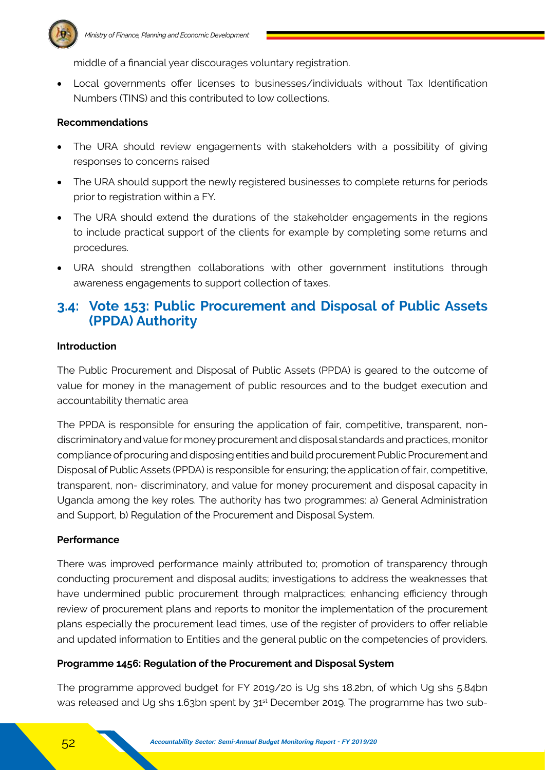

middle of a financial year discourages voluntary registration.

Local governments offer licenses to businesses/individuals without Tax Identification Numbers (TINS) and this contributed to low collections.

#### **Recommendations**

- The URA should review engagements with stakeholders with a possibility of giving responses to concerns raised
- The URA should support the newly registered businesses to complete returns for periods prior to registration within a FY.
- The URA should extend the durations of the stakeholder engagements in the regions to include practical support of the clients for example by completing some returns and procedures.
- URA should strengthen collaborations with other government institutions through awareness engagements to support collection of taxes.

## **3.4: Vote 153: Public Procurement and Disposal of Public Assets (PPDA) Authority**

#### **Introduction**

The Public Procurement and Disposal of Public Assets (PPDA) is geared to the outcome of value for money in the management of public resources and to the budget execution and accountability thematic area

The PPDA is responsible for ensuring the application of fair, competitive, transparent, nondiscriminatory and value for money procurement and disposal standards and practices, monitor compliance of procuring and disposing entities and build procurement Public Procurement and Disposal of Public Assets (PPDA) is responsible for ensuring; the application of fair, competitive, transparent, non- discriminatory, and value for money procurement and disposal capacity in Uganda among the key roles. The authority has two programmes: a) General Administration and Support, b) Regulation of the Procurement and Disposal System.

#### **Performance**

There was improved performance mainly attributed to; promotion of transparency through conducting procurement and disposal audits; investigations to address the weaknesses that have undermined public procurement through malpractices; enhancing efficiency through review of procurement plans and reports to monitor the implementation of the procurement plans especially the procurement lead times, use of the register of providers to offer reliable and updated information to Entities and the general public on the competencies of providers.

#### **Programme 1456: Regulation of the Procurement and Disposal System**

The programme approved budget for FY 2019/20 is Ug shs 18.2bn, of which Ug shs 5.84bn was released and Ug shs 1.63bn spent by 31<sup>st</sup> December 2019. The programme has two sub-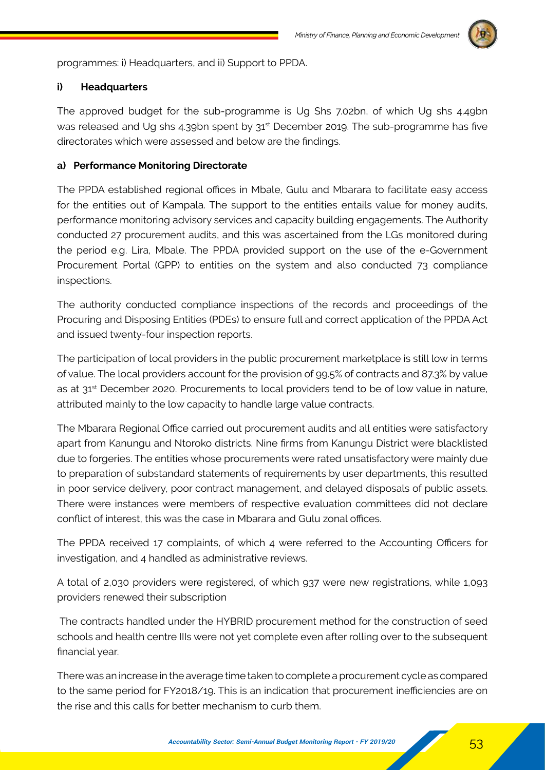

programmes: i) Headquarters, and ii) Support to PPDA.

#### **i) Headquarters**

The approved budget for the sub-programme is Ug Shs 7.02bn, of which Ug shs 4.49bn was released and Ug shs 4.39bn spent by 31<sup>st</sup> December 2019. The sub-programme has five directorates which were assessed and below are the findings.

#### **a) Performance Monitoring Directorate**

The PPDA established regional offices in Mbale, Gulu and Mbarara to facilitate easy access for the entities out of Kampala. The support to the entities entails value for money audits, performance monitoring advisory services and capacity building engagements. The Authority conducted 27 procurement audits, and this was ascertained from the LGs monitored during the period e.g. Lira, Mbale. The PPDA provided support on the use of the e-Government Procurement Portal (GPP) to entities on the system and also conducted 73 compliance inspections.

The authority conducted compliance inspections of the records and proceedings of the Procuring and Disposing Entities (PDEs) to ensure full and correct application of the PPDA Act and issued twenty-four inspection reports.

The participation of local providers in the public procurement marketplace is still low in terms of value. The local providers account for the provision of 99.5% of contracts and 87.3% by value as at 31<sup>st</sup> December 2020. Procurements to local providers tend to be of low value in nature, attributed mainly to the low capacity to handle large value contracts.

The Mbarara Regional Office carried out procurement audits and all entities were satisfactory apart from Kanungu and Ntoroko districts. Nine firms from Kanungu District were blacklisted due to forgeries. The entities whose procurements were rated unsatisfactory were mainly due to preparation of substandard statements of requirements by user departments, this resulted in poor service delivery, poor contract management, and delayed disposals of public assets. There were instances were members of respective evaluation committees did not declare conflict of interest, this was the case in Mbarara and Gulu zonal offices.

The PPDA received 17 complaints, of which 4 were referred to the Accounting Officers for investigation, and 4 handled as administrative reviews.

A total of 2,030 providers were registered, of which 937 were new registrations, while 1,093 providers renewed their subscription

 The contracts handled under the HYBRID procurement method for the construction of seed schools and health centre IIIs were not yet complete even after rolling over to the subsequent financial year.

There was an increase in the average time taken to complete a procurement cycle as compared to the same period for FY2018/19. This is an indication that procurement inefficiencies are on the rise and this calls for better mechanism to curb them.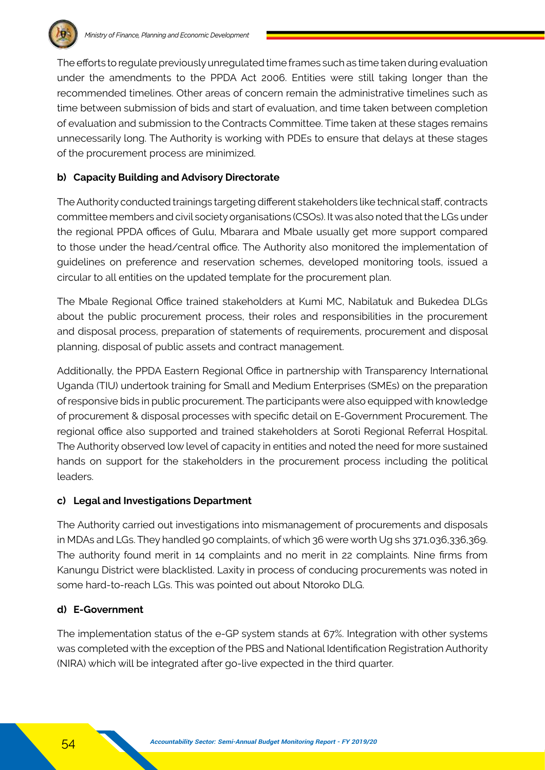The efforts to regulate previously unregulated time frames such as time taken during evaluation under the amendments to the PPDA Act 2006. Entities were still taking longer than the recommended timelines. Other areas of concern remain the administrative timelines such as time between submission of bids and start of evaluation, and time taken between completion of evaluation and submission to the Contracts Committee. Time taken at these stages remains unnecessarily long. The Authority is working with PDEs to ensure that delays at these stages of the procurement process are minimized.

#### **b) Capacity Building and Advisory Directorate**

The Authority conducted trainings targeting different stakeholders like technical staff, contracts committee members and civil society organisations (CSOs). It was also noted that the LGs under the regional PPDA offices of Gulu, Mbarara and Mbale usually get more support compared to those under the head/central office. The Authority also monitored the implementation of guidelines on preference and reservation schemes, developed monitoring tools, issued a circular to all entities on the updated template for the procurement plan.

The Mbale Regional Office trained stakeholders at Kumi MC, Nabilatuk and Bukedea DLGs about the public procurement process, their roles and responsibilities in the procurement and disposal process, preparation of statements of requirements, procurement and disposal planning, disposal of public assets and contract management.

Additionally, the PPDA Eastern Regional Office in partnership with Transparency International Uganda (TIU) undertook training for Small and Medium Enterprises (SMEs) on the preparation of responsive bids in public procurement. The participants were also equipped with knowledge of procurement & disposal processes with specific detail on E-Government Procurement. The regional office also supported and trained stakeholders at Soroti Regional Referral Hospital. The Authority observed low level of capacity in entities and noted the need for more sustained hands on support for the stakeholders in the procurement process including the political leaders.

#### **c) Legal and Investigations Department**

The Authority carried out investigations into mismanagement of procurements and disposals in MDAs and LGs. They handled 90 complaints, of which 36 were worth Ug shs 371,036,336,369. The authority found merit in 14 complaints and no merit in 22 complaints. Nine firms from Kanungu District were blacklisted. Laxity in process of conducing procurements was noted in some hard-to-reach LGs. This was pointed out about Ntoroko DLG.

#### **d) E-Government**

The implementation status of the e-GP system stands at 67%. Integration with other systems was completed with the exception of the PBS and National Identification Registration Authority (NIRA) which will be integrated after go-live expected in the third quarter.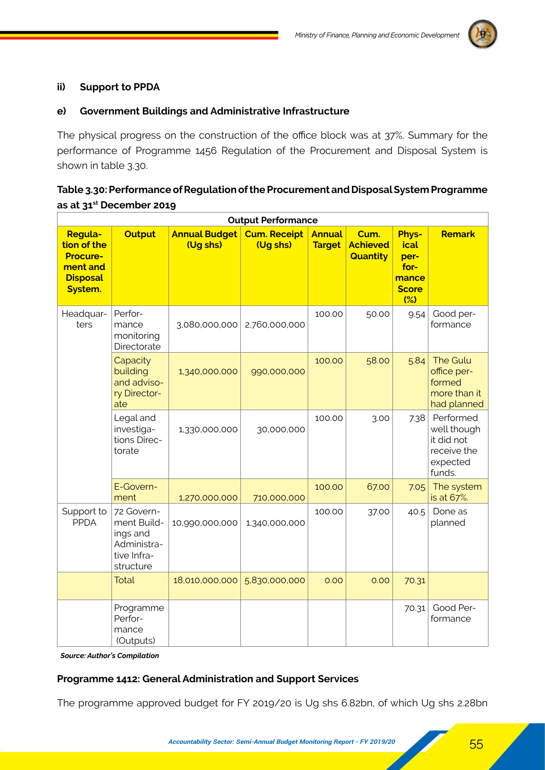

#### **ii) Support to PPDA**

#### **e) Government Buildings and Administrative Infrastructure**

The physical progress on the construction of the office block was at 37%. Summary for the performance of Programme 1456 Regulation of the Procurement and Disposal System is shown in table 3.30.

#### **Table 3.30: Performance of Regulation of the Procurement and Disposal System Programme as at 31st December 2019**

|                                                                                            |                                                                                  |                                  | <b>Output Performance</b>       |                                |                                     |                                                                                |                                                                             |
|--------------------------------------------------------------------------------------------|----------------------------------------------------------------------------------|----------------------------------|---------------------------------|--------------------------------|-------------------------------------|--------------------------------------------------------------------------------|-----------------------------------------------------------------------------|
| <b>Regula-</b><br>tion of the<br><b>Procure-</b><br>ment and<br><b>Disposal</b><br>System. | <b>Output</b>                                                                    | <b>Annual Budget</b><br>(Ug shs) | <b>Cum. Receipt</b><br>(Ug shs) | <b>Annual</b><br><b>Target</b> | Cum.<br><b>Achieved</b><br>Quantity | <b>Phys-</b><br><b>ical</b><br>per-<br>for-<br>mance<br><b>Score</b><br>$(\%)$ | <b>Remark</b>                                                               |
| Headquar-<br>ters                                                                          | Perfor-<br>mance<br>monitoring<br>Directorate                                    | 3,080,000,000                    | 2,760,000,000                   | 100.00                         | 50.00                               | 9.54                                                                           | Good per-<br>formance                                                       |
|                                                                                            | Capacity<br>building<br>and adviso-<br>ry Director-<br>ate                       | 1,340,000,000                    | 990,000,000                     | 100.00                         | 58.00                               | 5.84                                                                           | The Gulu<br>office per-<br>formed<br>more than it<br>had planned            |
|                                                                                            | Legal and<br>investiga-<br>tions Direc-<br>torate                                | 1,330,000,000                    | 30,000,000                      | 100.00                         | 3.00                                | 7.38                                                                           | Performed<br>well though<br>it did not<br>receive the<br>expected<br>funds. |
|                                                                                            | E-Govern-<br>ment                                                                | 1,270,000,000                    | 710,000,000                     | 100.00                         | 67.00                               | 7.05                                                                           | The system<br>is at 67%.                                                    |
| Support to<br><b>PPDA</b>                                                                  | 72 Govern-<br>ment Build-<br>ings and<br>Administra-<br>tive Infra-<br>structure | 10,990,000,000                   | 1,340,000,000                   | 100.00                         | 37.00                               | 40.5                                                                           | Done as<br>planned                                                          |
|                                                                                            | <b>Total</b>                                                                     | 18,010,000,000                   | 5,830,000,000                   | 0.00                           | 0.00                                | 70.31                                                                          |                                                                             |
|                                                                                            | Programme<br>Perfor-<br>mance<br>(Outputs)                                       |                                  |                                 |                                |                                     | 70.31                                                                          | Good Per-<br>formance                                                       |

 *Source: Author's Compilation*

#### **Programme 1412: General Administration and Support Services**

The programme approved budget for FY 2019/20 is Ug shs 6.82bn, of which Ug shs 2.28bn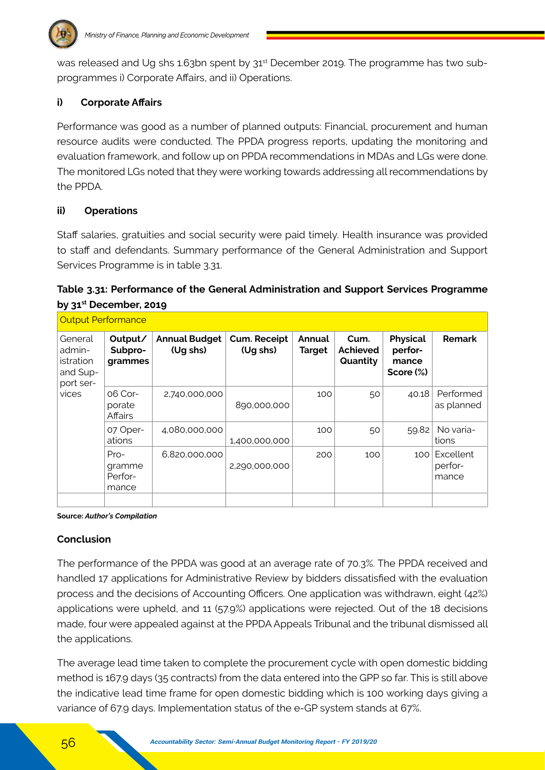was released and Ug shs 1.63bn spent by 31<sup>st</sup> December 2019. The programme has two subprogrammes i) Corporate Affairs, and ii) Operations.

#### **i) Corporate Affairs**

Performance was good as a number of planned outputs: Financial, procurement and human resource audits were conducted. The PPDA progress reports, updating the monitoring and evaluation framework, and follow up on PPDA recommendations in MDAs and LGs were done. The monitored LGs noted that they were working towards addressing all recommendations by the PPDA.

#### **ii) Operations**

Staff salaries, gratuities and social security were paid timely. Health insurance was provided to staff and defendants. Summary performance of the General Administration and Support Services Programme is in table 3.31.

#### **Table 3.31: Performance of the General Administration and Support Services Programme by 31st December, 2019**

| <b>Output Performance</b>                                        |                                     |                                  |                                 |                         |                                     |                                                  |                               |
|------------------------------------------------------------------|-------------------------------------|----------------------------------|---------------------------------|-------------------------|-------------------------------------|--------------------------------------------------|-------------------------------|
| General<br>admin-<br>istration<br>and Sup-<br>port ser-<br>vices | Output/<br>Subpro-<br>grammes       | <b>Annual Budget</b><br>(Ug shs) | <b>Cum. Receipt</b><br>(Ug shs) | Annual<br><b>Target</b> | Cum.<br><b>Achieved</b><br>Quantity | <b>Physical</b><br>perfor-<br>mance<br>Score (%) | Remark                        |
|                                                                  | 06 Cor-<br>porate<br><b>Affairs</b> | 2,740,000,000                    | 890,000,000                     | 100                     | 50                                  | 40.18                                            | Performed<br>as planned       |
|                                                                  | 07 Oper-<br>ations                  | 4,080,000,000                    | 1,400,000,000                   | 100                     | 50                                  | 59.82                                            | No varia-<br>tions            |
|                                                                  | Pro-<br>gramme<br>Perfor-<br>mance  | 6.820.000.000                    | 2,290,000,000                   | 200                     | 100                                 | 100                                              | Excellent<br>perfor-<br>mance |
|                                                                  |                                     |                                  |                                 |                         |                                     |                                                  |                               |

**Source:** *Author's Compilation*

#### **Conclusion**

The performance of the PPDA was good at an average rate of 70.3%. The PPDA received and handled 17 applications for Administrative Review by bidders dissatisfied with the evaluation process and the decisions of Accounting Officers. One application was withdrawn, eight (42%) applications were upheld, and 11 (57.9%) applications were rejected. Out of the 18 decisions made, four were appealed against at the PPDA Appeals Tribunal and the tribunal dismissed all the applications.

The average lead time taken to complete the procurement cycle with open domestic bidding method is 167.9 days (35 contracts) from the data entered into the GPP so far. This is still above the indicative lead time frame for open domestic bidding which is 100 working days giving a variance of 67.9 days. Implementation status of the e-GP system stands at 67%.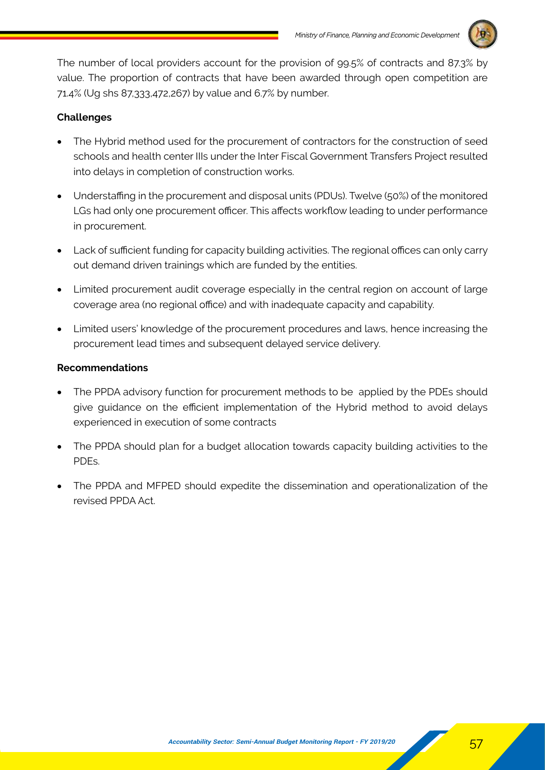

The number of local providers account for the provision of 99.5% of contracts and 87.3% by value. The proportion of contracts that have been awarded through open competition are 71.4% (Ug shs 87,333,472,267) by value and 6.7% by number.

#### **Challenges**

- The Hybrid method used for the procurement of contractors for the construction of seed schools and health center IIIs under the Inter Fiscal Government Transfers Project resulted into delays in completion of construction works.
- Understaffing in the procurement and disposal units (PDUs). Twelve (50%) of the monitored LGs had only one procurement officer. This affects workflow leading to under performance in procurement.
- Lack of sufficient funding for capacity building activities. The regional offices can only carry out demand driven trainings which are funded by the entities.
- Limited procurement audit coverage especially in the central region on account of large coverage area (no regional office) and with inadequate capacity and capability.
- Limited users' knowledge of the procurement procedures and laws, hence increasing the procurement lead times and subsequent delayed service delivery.

#### **Recommendations**

- The PPDA advisory function for procurement methods to be applied by the PDEs should give guidance on the efficient implementation of the Hybrid method to avoid delays experienced in execution of some contracts
- The PPDA should plan for a budget allocation towards capacity building activities to the PDEs.
- The PPDA and MFPED should expedite the dissemination and operationalization of the revised PPDA Act.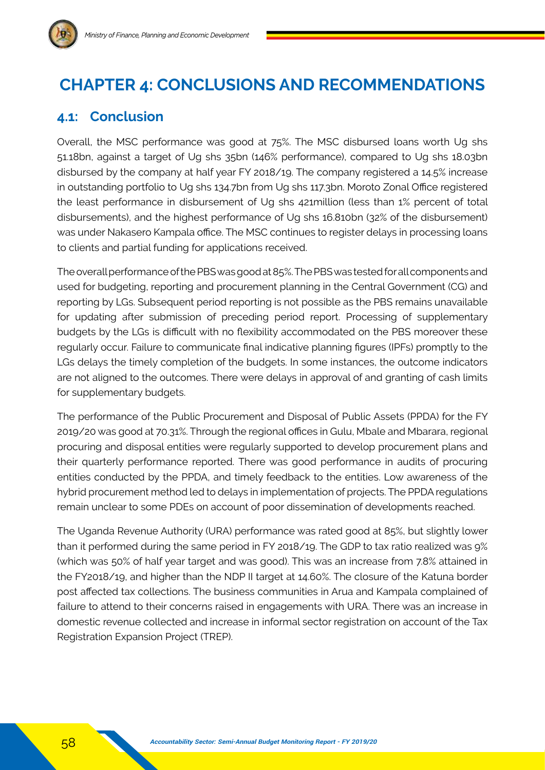

# **CHAPTER 4: CONCLUSIONS AND RECOMMENDATIONS**

#### **4.1: Conclusion**

Overall, the MSC performance was good at 75%. The MSC disbursed loans worth Ug shs 51.18bn, against a target of Ug shs 35bn (146% performance), compared to Ug shs 18.03bn disbursed by the company at half year FY 2018/19. The company registered a 14.5% increase in outstanding portfolio to Ug shs 134.7bn from Ug shs 117.3bn. Moroto Zonal Office registered the least performance in disbursement of Ug shs 421million (less than 1% percent of total disbursements), and the highest performance of Ug shs 16.810bn (32% of the disbursement) was under Nakasero Kampala office. The MSC continues to register delays in processing loans to clients and partial funding for applications received.

The overall performance of the PBS was good at 85%. The PBS was tested for all components and used for budgeting, reporting and procurement planning in the Central Government (CG) and reporting by LGs. Subsequent period reporting is not possible as the PBS remains unavailable for updating after submission of preceding period report. Processing of supplementary budgets by the LGs is difficult with no flexibility accommodated on the PBS moreover these regularly occur. Failure to communicate final indicative planning figures (IPFs) promptly to the LGs delays the timely completion of the budgets. In some instances, the outcome indicators are not aligned to the outcomes. There were delays in approval of and granting of cash limits for supplementary budgets.

The performance of the Public Procurement and Disposal of Public Assets (PPDA) for the FY 2019/20 was good at 70.31%. Through the regional offices in Gulu, Mbale and Mbarara, regional procuring and disposal entities were regularly supported to develop procurement plans and their quarterly performance reported. There was good performance in audits of procuring entities conducted by the PPDA, and timely feedback to the entities. Low awareness of the hybrid procurement method led to delays in implementation of projects. The PPDA regulations remain unclear to some PDEs on account of poor dissemination of developments reached.

The Uganda Revenue Authority (URA) performance was rated good at 85%, but slightly lower than it performed during the same period in FY 2018/19. The GDP to tax ratio realized was 9% (which was 50% of half year target and was good). This was an increase from 7.8% attained in the FY2018/19, and higher than the NDP II target at 14.60%. The closure of the Katuna border post affected tax collections. The business communities in Arua and Kampala complained of failure to attend to their concerns raised in engagements with URA. There was an increase in domestic revenue collected and increase in informal sector registration on account of the Tax Registration Expansion Project (TREP).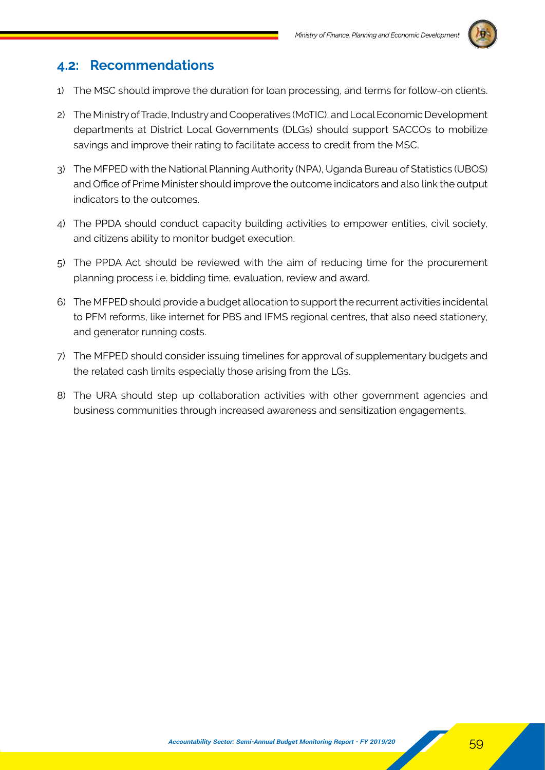

### **4.2: Recommendations**

- 1) The MSC should improve the duration for loan processing, and terms for follow-on clients.
- 2) The Ministry of Trade, Industry and Cooperatives (MoTIC), and Local Economic Development departments at District Local Governments (DLGs) should support SACCOs to mobilize savings and improve their rating to facilitate access to credit from the MSC.
- 3) The MFPED with the National Planning Authority (NPA), Uganda Bureau of Statistics (UBOS) and Office of Prime Minister should improve the outcome indicators and also link the output indicators to the outcomes.
- 4) The PPDA should conduct capacity building activities to empower entities, civil society, and citizens ability to monitor budget execution.
- 5) The PPDA Act should be reviewed with the aim of reducing time for the procurement planning process i.e. bidding time, evaluation, review and award.
- 6) The MFPED should provide a budget allocation to support the recurrent activities incidental to PFM reforms, like internet for PBS and IFMS regional centres, that also need stationery, and generator running costs.
- 7) The MFPED should consider issuing timelines for approval of supplementary budgets and the related cash limits especially those arising from the LGs.
- 8) The URA should step up collaboration activities with other government agencies and business communities through increased awareness and sensitization engagements.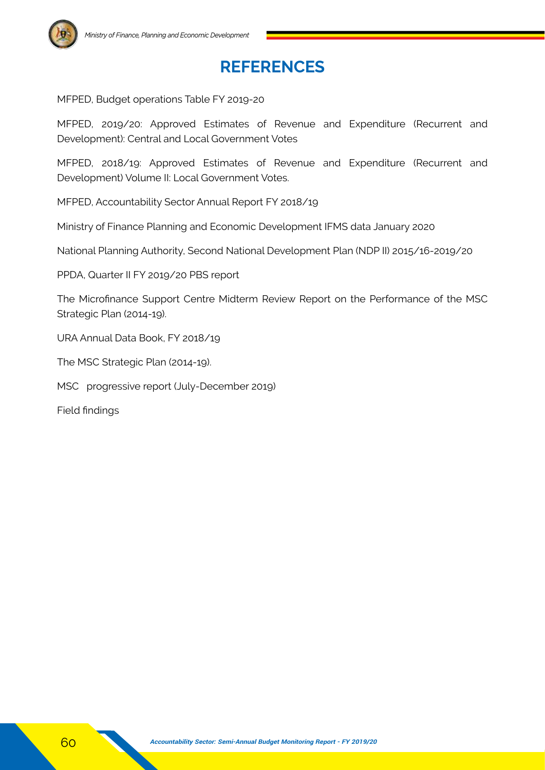

# **References**

MFPED, Budget operations Table FY 2019-20

MFPED, 2019/20: Approved Estimates of Revenue and Expenditure (Recurrent and Development): Central and Local Government Votes

MFPED, 2018/19: Approved Estimates of Revenue and Expenditure (Recurrent and Development) Volume II: Local Government Votes.

MFPED, Accountability Sector Annual Report FY 2018/19

Ministry of Finance Planning and Economic Development IFMS data January 2020

National Planning Authority, Second National Development Plan (NDP II) 2015/16-2019/20

PPDA, Quarter II FY 2019/20 PBS report

The Microfinance Support Centre Midterm Review Report on the Performance of the MSC Strategic Plan (2014-19).

URA Annual Data Book, FY 2018/19

The MSC Strategic Plan (2014-19).

MSC progressive report (July-December 2019)

Field findings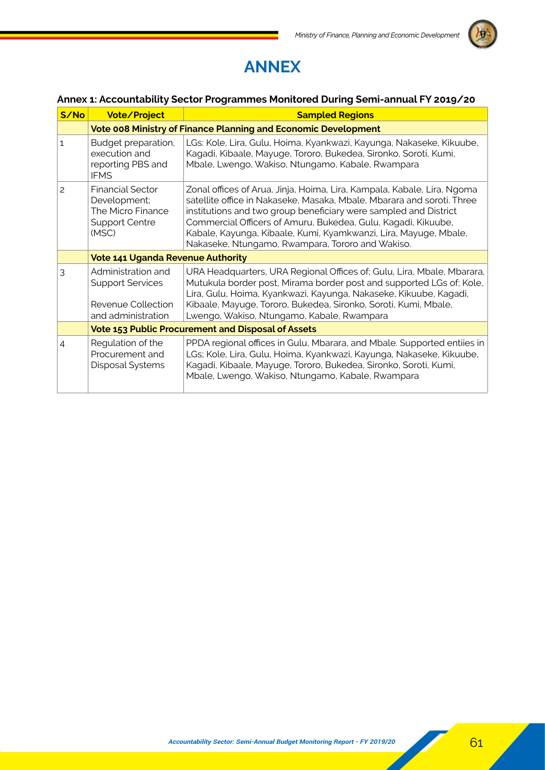

## **Annex**

## **Annex 1: Accountability Sector Programmes Monitored During Semi-annual FY 2019/20**

| S/No           | Vote/Project                                                                                   | <b>Sampled Regions</b>                                                                                                                                                                                                                                                                                                                                                                                         |  |
|----------------|------------------------------------------------------------------------------------------------|----------------------------------------------------------------------------------------------------------------------------------------------------------------------------------------------------------------------------------------------------------------------------------------------------------------------------------------------------------------------------------------------------------------|--|
|                | <b>Vote 008 Ministry of Finance Planning and Economic Development</b>                          |                                                                                                                                                                                                                                                                                                                                                                                                                |  |
| 1              | Budget preparation,<br>execution and<br>reporting PBS and<br><b>IFMS</b>                       | LGs: Kole, Lira, Gulu, Hoima, Kyankwazi, Kayunga, Nakaseke, Kikuube,<br>Kagadi, Kibaale, Mayuge, Tororo, Bukedea, Sironko, Soroti, Kumi,<br>Mbale, Lwengo, Wakiso, Ntungamo, Kabale, Rwampara                                                                                                                                                                                                                  |  |
| $\overline{c}$ | <b>Financial Sector</b><br>Development;<br>The Micro Finance<br><b>Support Centre</b><br>(MSC) | Zonal offices of Arua, Jinja, Hoima, Lira, Kampala, Kabale, Lira, Ngoma<br>satellite office in Nakaseke, Masaka, Mbale, Mbarara and soroti. Three<br>institutions and two group beneficiary were sampled and District<br>Commercial Officers of Amuru, Bukedea, Gulu, Kagadi, Kikuube,<br>Kabale, Kayunga, Kibaale, Kumi, Kyamkwanzi, Lira, Mayuge, Mbale,<br>Nakaseke, Ntungamo, Rwampara, Tororo and Wakiso. |  |
|                | <b>Vote 141 Uganda Revenue Authority</b>                                                       |                                                                                                                                                                                                                                                                                                                                                                                                                |  |
| 3              | Administration and<br><b>Support Services</b><br>Revenue Collection<br>and administration      | URA Headquarters, URA Regional Offices of; Gulu, Lira, Mbale, Mbarara,<br>Mutukula border post, Mirama border post and supported LGs of; Kole,<br>Lira, Gulu, Hoima, Kyankwazi, Kayunga, Nakaseke, Kikuube, Kagadi,<br>Kibaale, Mayuge, Tororo, Bukedea, Sironko, Soroti, Kumi, Mbale,<br>Lwengo, Wakiso, Ntungamo, Kabale, Rwampara                                                                           |  |
|                | <b>Vote 153 Public Procurement and Disposal of Assets</b>                                      |                                                                                                                                                                                                                                                                                                                                                                                                                |  |
| 4              | Regulation of the<br>Procurement and<br>Disposal Systems                                       | PPDA regional offices in Gulu, Mbarara, and Mbale. Supported entiies in<br>LGs; Kole, Lira, Gulu, Hoima, Kyankwazi, Kayunga, Nakaseke, Kikuube,<br>Kagadi, Kibaale, Mayuge, Tororo, Bukedea, Sironko, Soroti, Kumi,<br>Mbale, Lwengo, Wakiso, Ntungamo, Kabale, Rwampara                                                                                                                                       |  |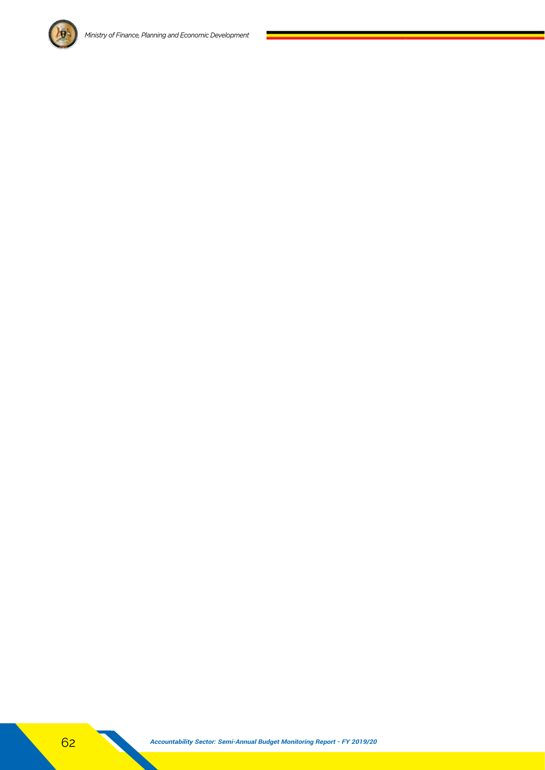